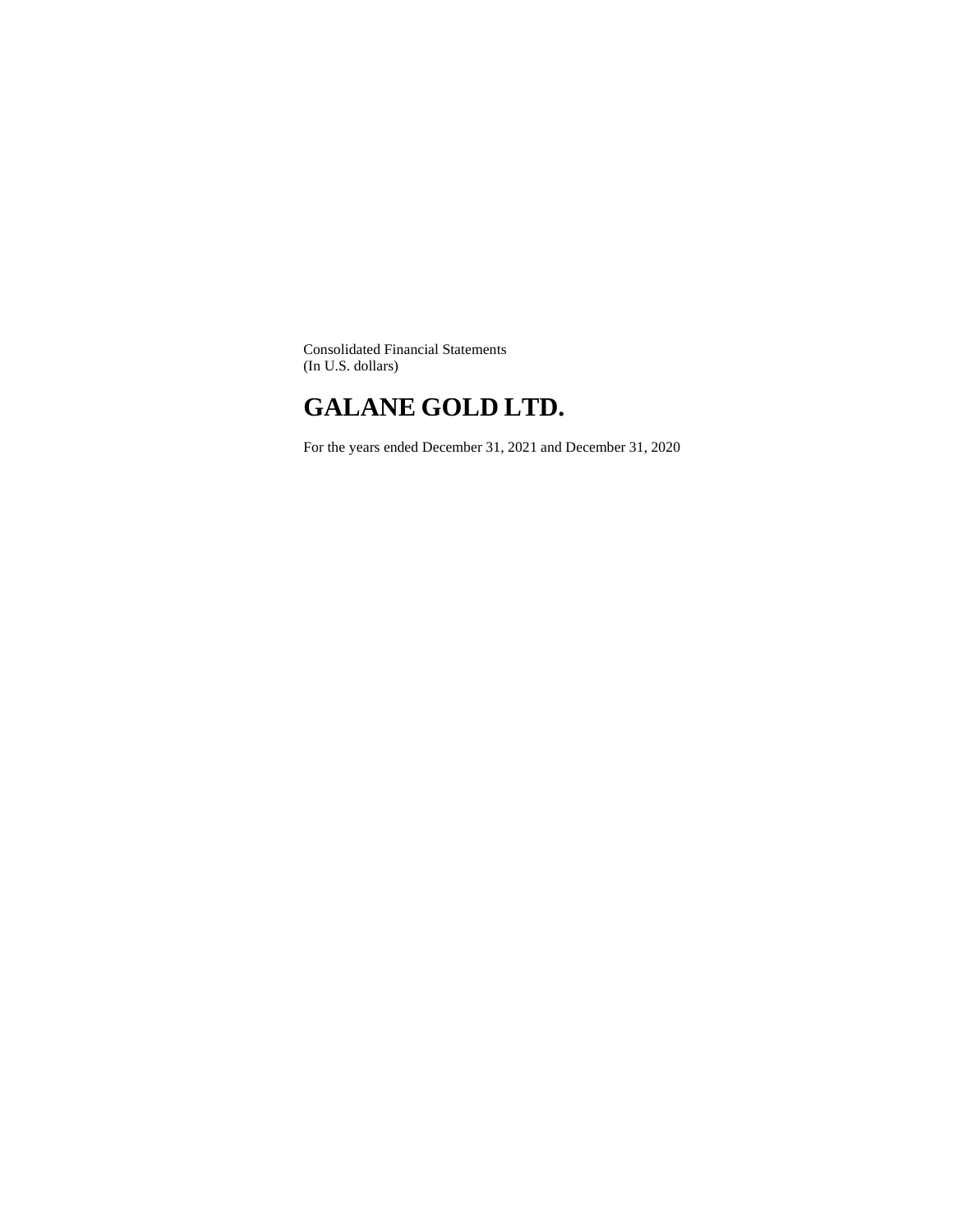Consolidated Financial Statements (In U.S. dollars)

# **GALANE GOLD LTD.**

For the years ended December 31, 2021 and December 31, 2020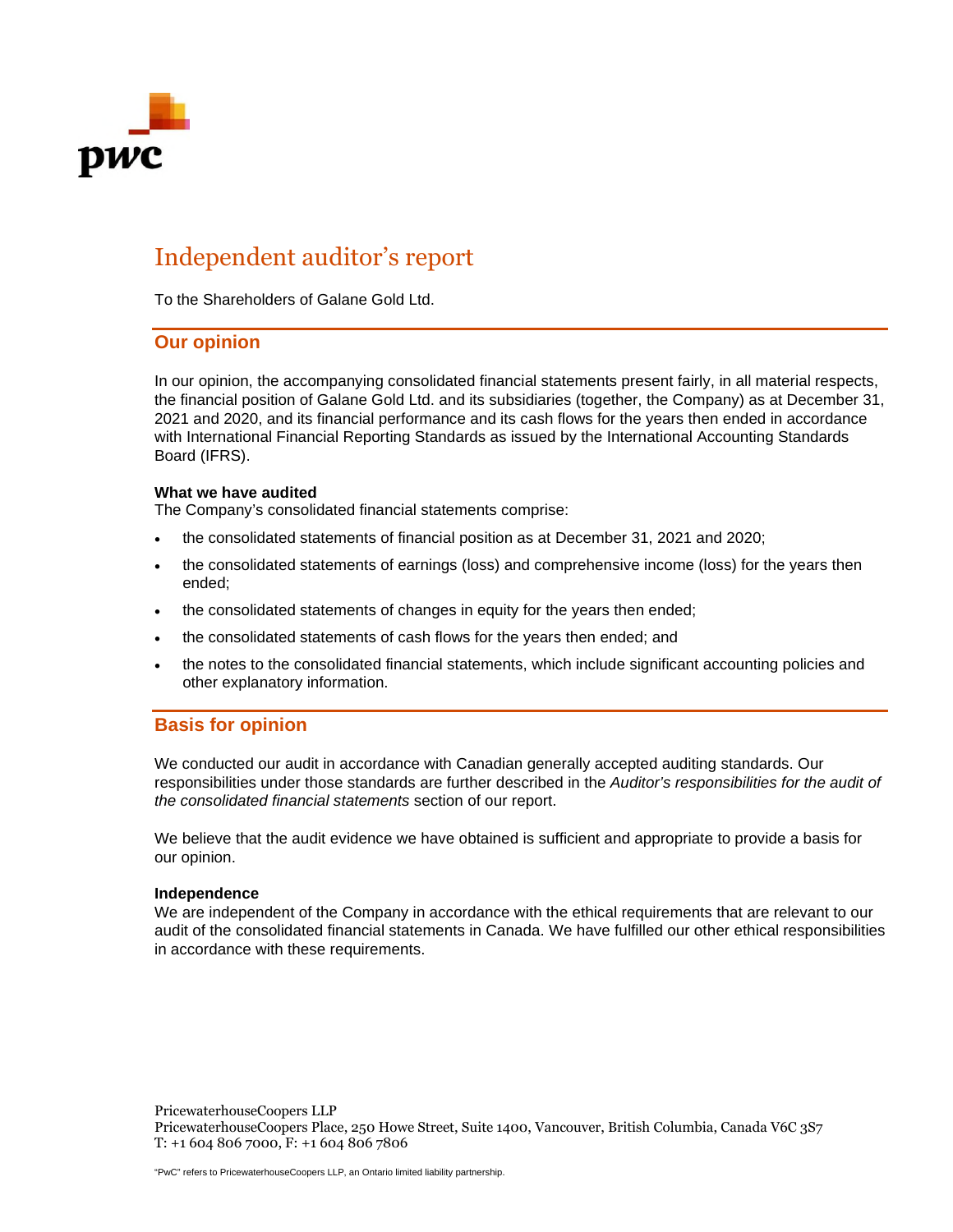

# Independent auditor's report

To the Shareholders of Galane Gold Ltd.

### **Our opinion**

In our opinion, the accompanying consolidated financial statements present fairly, in all material respects, the financial position of Galane Gold Ltd. and its subsidiaries (together, the Company) as at December 31, 2021 and 2020, and its financial performance and its cash flows for the years then ended in accordance with International Financial Reporting Standards as issued by the International Accounting Standards Board (IFRS).

### **What we have audited**

The Company's consolidated financial statements comprise:

- the consolidated statements of financial position as at December 31, 2021 and 2020;
- the consolidated statements of earnings (loss) and comprehensive income (loss) for the years then ended;
- the consolidated statements of changes in equity for the years then ended;
- the consolidated statements of cash flows for the years then ended; and
- the notes to the consolidated financial statements, which include significant accounting policies and other explanatory information.

### **Basis for opinion**

We conducted our audit in accordance with Canadian generally accepted auditing standards. Our responsibilities under those standards are further described in the *Auditor's responsibilities for the audit of the consolidated financial statements* section of our report.

We believe that the audit evidence we have obtained is sufficient and appropriate to provide a basis for our opinion.

### **Independence**

We are independent of the Company in accordance with the ethical requirements that are relevant to our audit of the consolidated financial statements in Canada. We have fulfilled our other ethical responsibilities in accordance with these requirements.

PricewaterhouseCoopers LLP PricewaterhouseCoopers Place, 250 Howe Street, Suite 1400, Vancouver, British Columbia, Canada V6C 3S7 T: +1 604 806 7000, F: +1 604 806 7806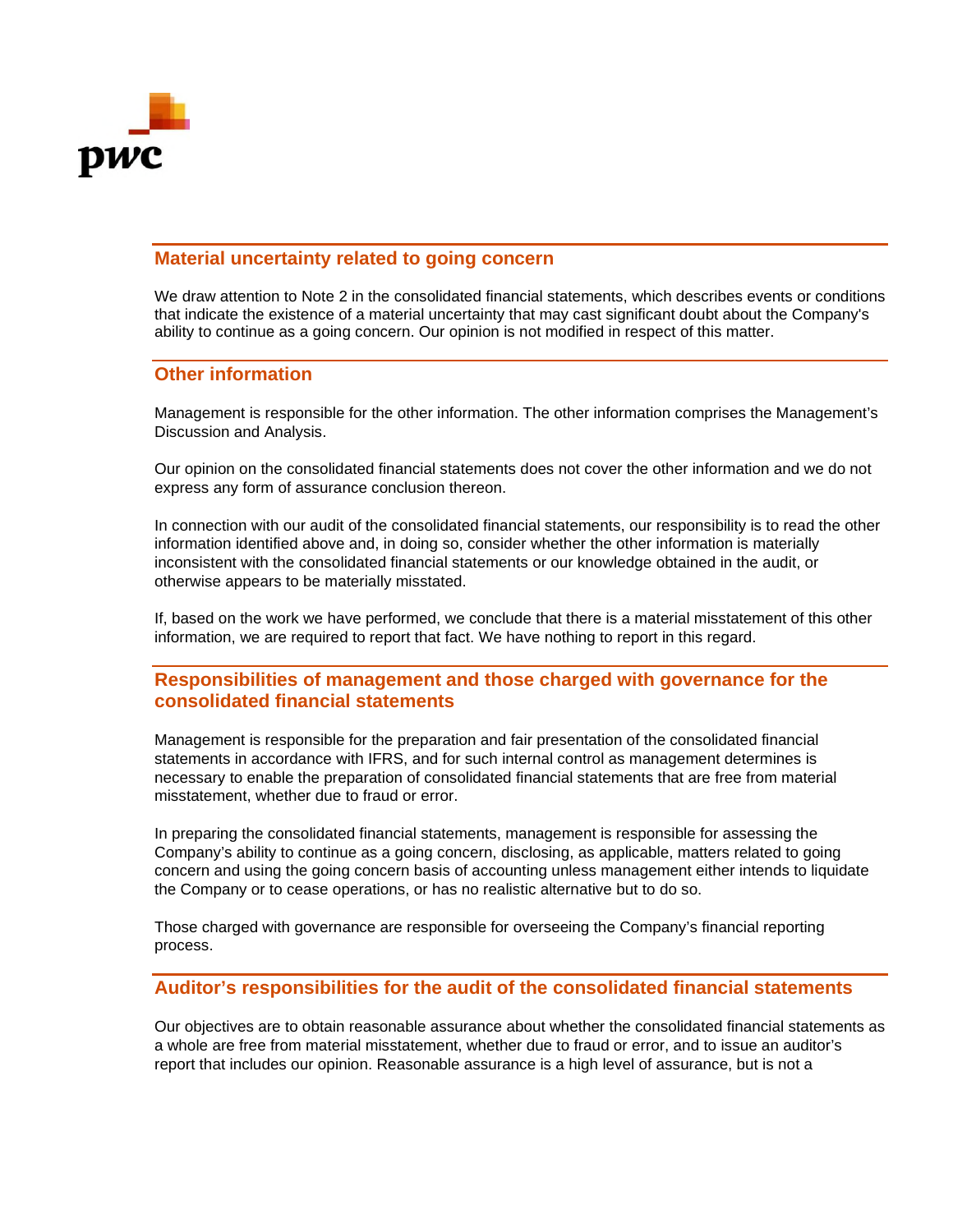

### **Material uncertainty related to going concern**

We draw attention to Note 2 in the consolidated financial statements, which describes events or conditions that indicate the existence of a material uncertainty that may cast significant doubt about the Company's ability to continue as a going concern. Our opinion is not modified in respect of this matter.

### **Other information**

Management is responsible for the other information. The other information comprises the Management's Discussion and Analysis.

Our opinion on the consolidated financial statements does not cover the other information and we do not express any form of assurance conclusion thereon.

In connection with our audit of the consolidated financial statements, our responsibility is to read the other information identified above and, in doing so, consider whether the other information is materially inconsistent with the consolidated financial statements or our knowledge obtained in the audit, or otherwise appears to be materially misstated.

If, based on the work we have performed, we conclude that there is a material misstatement of this other information, we are required to report that fact. We have nothing to report in this regard.

### **Responsibilities of management and those charged with governance for the consolidated financial statements**

Management is responsible for the preparation and fair presentation of the consolidated financial statements in accordance with IFRS, and for such internal control as management determines is necessary to enable the preparation of consolidated financial statements that are free from material misstatement, whether due to fraud or error.

In preparing the consolidated financial statements, management is responsible for assessing the Company's ability to continue as a going concern, disclosing, as applicable, matters related to going concern and using the going concern basis of accounting unless management either intends to liquidate the Company or to cease operations, or has no realistic alternative but to do so.

Those charged with governance are responsible for overseeing the Company's financial reporting process.

### **Auditor's responsibilities for the audit of the consolidated financial statements**

Our objectives are to obtain reasonable assurance about whether the consolidated financial statements as a whole are free from material misstatement, whether due to fraud or error, and to issue an auditor's report that includes our opinion. Reasonable assurance is a high level of assurance, but is not a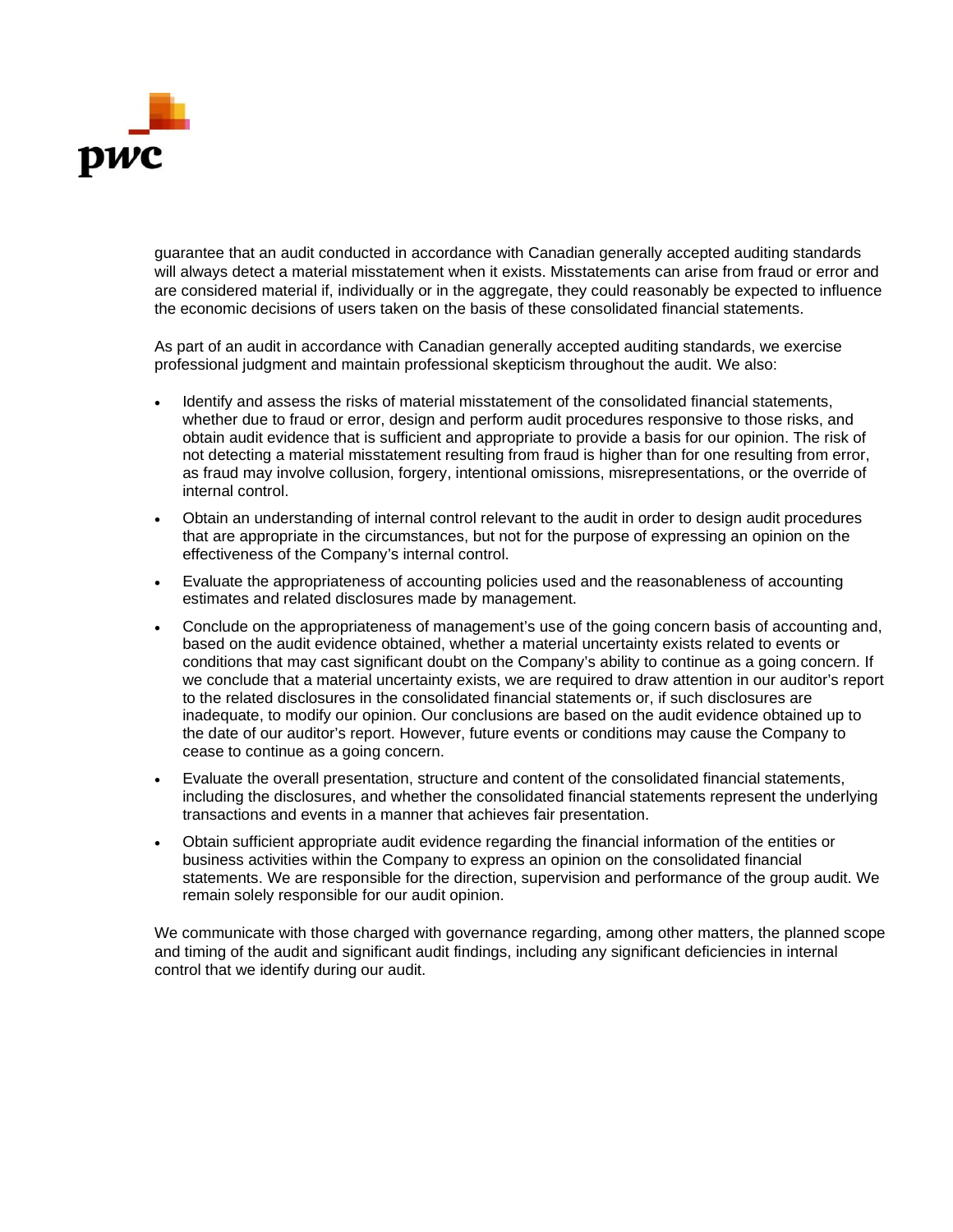

guarantee that an audit conducted in accordance with Canadian generally accepted auditing standards will always detect a material misstatement when it exists. Misstatements can arise from fraud or error and are considered material if, individually or in the aggregate, they could reasonably be expected to influence the economic decisions of users taken on the basis of these consolidated financial statements.

As part of an audit in accordance with Canadian generally accepted auditing standards, we exercise professional judgment and maintain professional skepticism throughout the audit. We also:

- Identify and assess the risks of material misstatement of the consolidated financial statements, whether due to fraud or error, design and perform audit procedures responsive to those risks, and obtain audit evidence that is sufficient and appropriate to provide a basis for our opinion. The risk of not detecting a material misstatement resulting from fraud is higher than for one resulting from error, as fraud may involve collusion, forgery, intentional omissions, misrepresentations, or the override of internal control.
- Obtain an understanding of internal control relevant to the audit in order to design audit procedures that are appropriate in the circumstances, but not for the purpose of expressing an opinion on the effectiveness of the Company's internal control.
- Evaluate the appropriateness of accounting policies used and the reasonableness of accounting estimates and related disclosures made by management.
- Conclude on the appropriateness of management's use of the going concern basis of accounting and, based on the audit evidence obtained, whether a material uncertainty exists related to events or conditions that may cast significant doubt on the Company's ability to continue as a going concern. If we conclude that a material uncertainty exists, we are required to draw attention in our auditor's report to the related disclosures in the consolidated financial statements or, if such disclosures are inadequate, to modify our opinion. Our conclusions are based on the audit evidence obtained up to the date of our auditor's report. However, future events or conditions may cause the Company to cease to continue as a going concern.
- Evaluate the overall presentation, structure and content of the consolidated financial statements, including the disclosures, and whether the consolidated financial statements represent the underlying transactions and events in a manner that achieves fair presentation.
- Obtain sufficient appropriate audit evidence regarding the financial information of the entities or business activities within the Company to express an opinion on the consolidated financial statements. We are responsible for the direction, supervision and performance of the group audit. We remain solely responsible for our audit opinion.

We communicate with those charged with governance regarding, among other matters, the planned scope and timing of the audit and significant audit findings, including any significant deficiencies in internal control that we identify during our audit.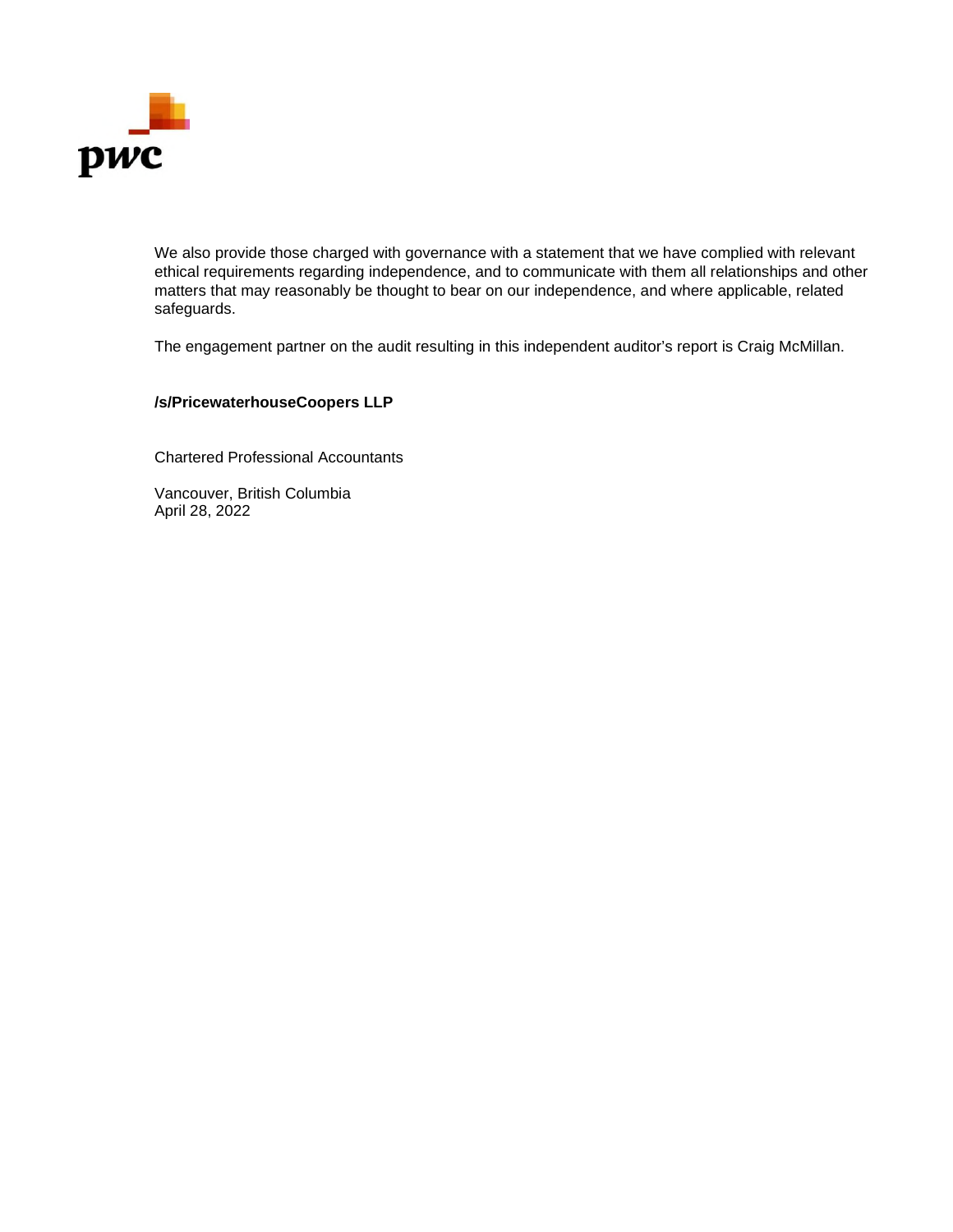

We also provide those charged with governance with a statement that we have complied with relevant ethical requirements regarding independence, and to communicate with them all relationships and other matters that may reasonably be thought to bear on our independence, and where applicable, related safeguards.

The engagement partner on the audit resulting in this independent auditor's report is Craig McMillan.

### **/s/PricewaterhouseCoopers LLP**

Chartered Professional Accountants

Vancouver, British Columbia April 28, 2022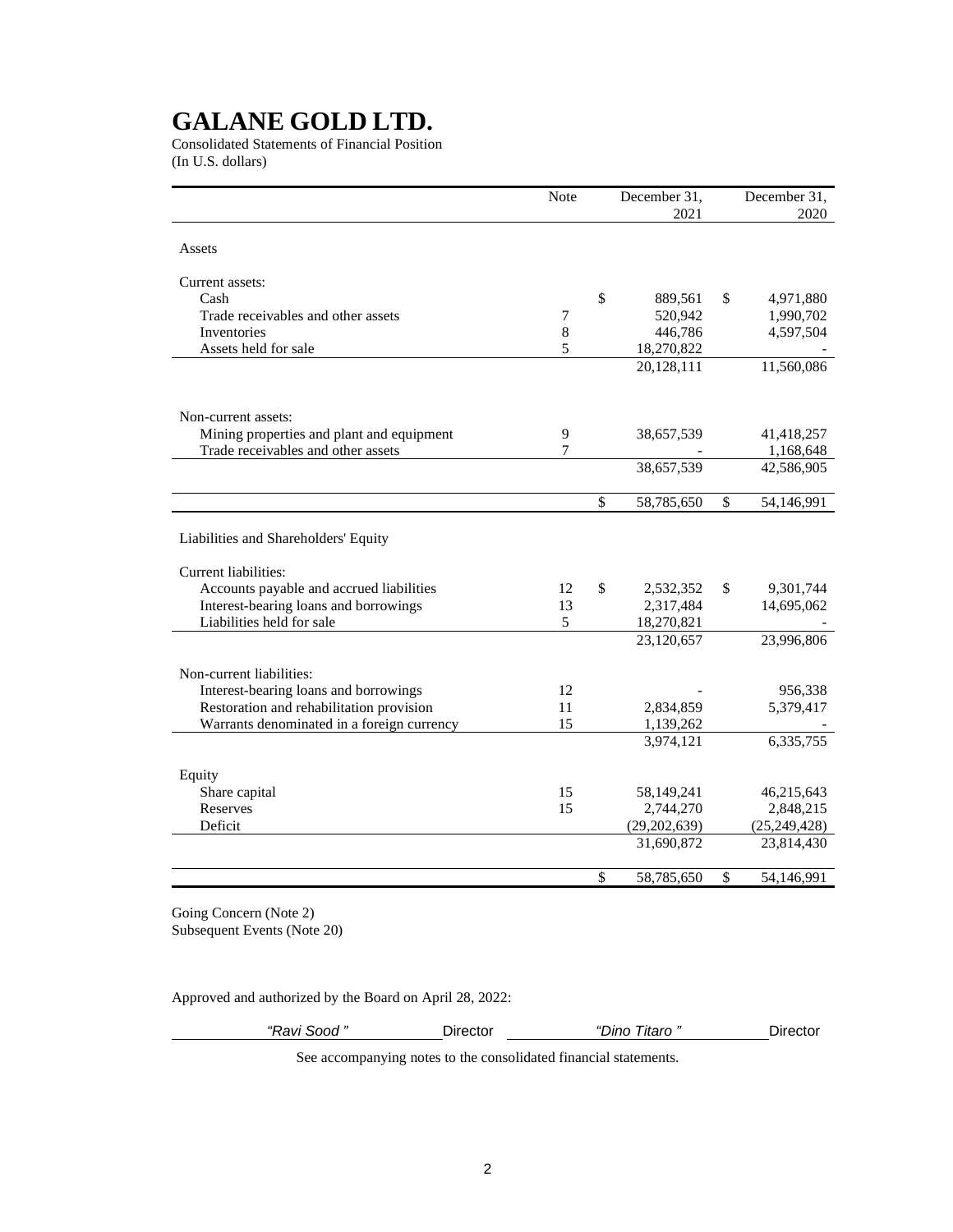Consolidated Statements of Financial Position (In U.S. dollars)

|                                            | Note           | December 31,<br>2021 |               | December 31,<br>2020 |
|--------------------------------------------|----------------|----------------------|---------------|----------------------|
| Assets                                     |                |                      |               |                      |
| Current assets:                            |                |                      |               |                      |
| Cash                                       |                | \$<br>889,561        | \$            | 4,971,880            |
| Trade receivables and other assets         | $\tau$         | 520,942              |               | 1,990,702            |
| Inventories                                | 8              | 446,786              |               | 4,597,504            |
| Assets held for sale                       | 5              | 18,270,822           |               |                      |
|                                            |                | 20,128,111           |               | 11,560,086           |
|                                            |                |                      |               |                      |
| Non-current assets:                        |                |                      |               |                      |
| Mining properties and plant and equipment  | 9              | 38,657,539           |               | 41,418,257           |
| Trade receivables and other assets         | $\overline{7}$ |                      |               | 1,168,648            |
|                                            |                | 38,657,539           |               | 42,586,905           |
|                                            |                | \$<br>58,785,650     | \$            | 54,146,991           |
|                                            |                |                      |               |                      |
| Liabilities and Shareholders' Equity       |                |                      |               |                      |
| Current liabilities:                       |                |                      |               |                      |
| Accounts payable and accrued liabilities   | 12             | \$<br>2,532,352      | \$            | 9,301,744            |
| Interest-bearing loans and borrowings      | 13             | 2,317,484            |               | 14,695,062           |
| Liabilities held for sale                  | 5              | 18,270,821           |               |                      |
|                                            |                | 23,120,657           |               | 23,996,806           |
| Non-current liabilities:                   |                |                      |               |                      |
| Interest-bearing loans and borrowings      | 12             |                      |               | 956,338              |
| Restoration and rehabilitation provision   | 11             | 2,834,859            |               | 5,379,417            |
| Warrants denominated in a foreign currency | 15             | 1,139,262            |               |                      |
|                                            |                | 3,974,121            |               | 6,335,755            |
| Equity                                     |                |                      |               |                      |
| Share capital                              | 15             | 58,149,241           |               | 46,215,643           |
| Reserves                                   | 15             | 2,744,270            |               | 2,848,215            |
| Deficit                                    |                | (29, 202, 639)       |               | (25, 249, 428)       |
|                                            |                | 31,690,872           |               | 23,814,430           |
|                                            |                | \$<br>58,785,650     | $\mathcal{S}$ | 54,146,991           |

Going Concern (Note 2) Subsequent Events (Note 20)

Approved and authorized by the Board on April 28, 2022:

*"Ravi Sood "* Director *"Dino Titaro "* Director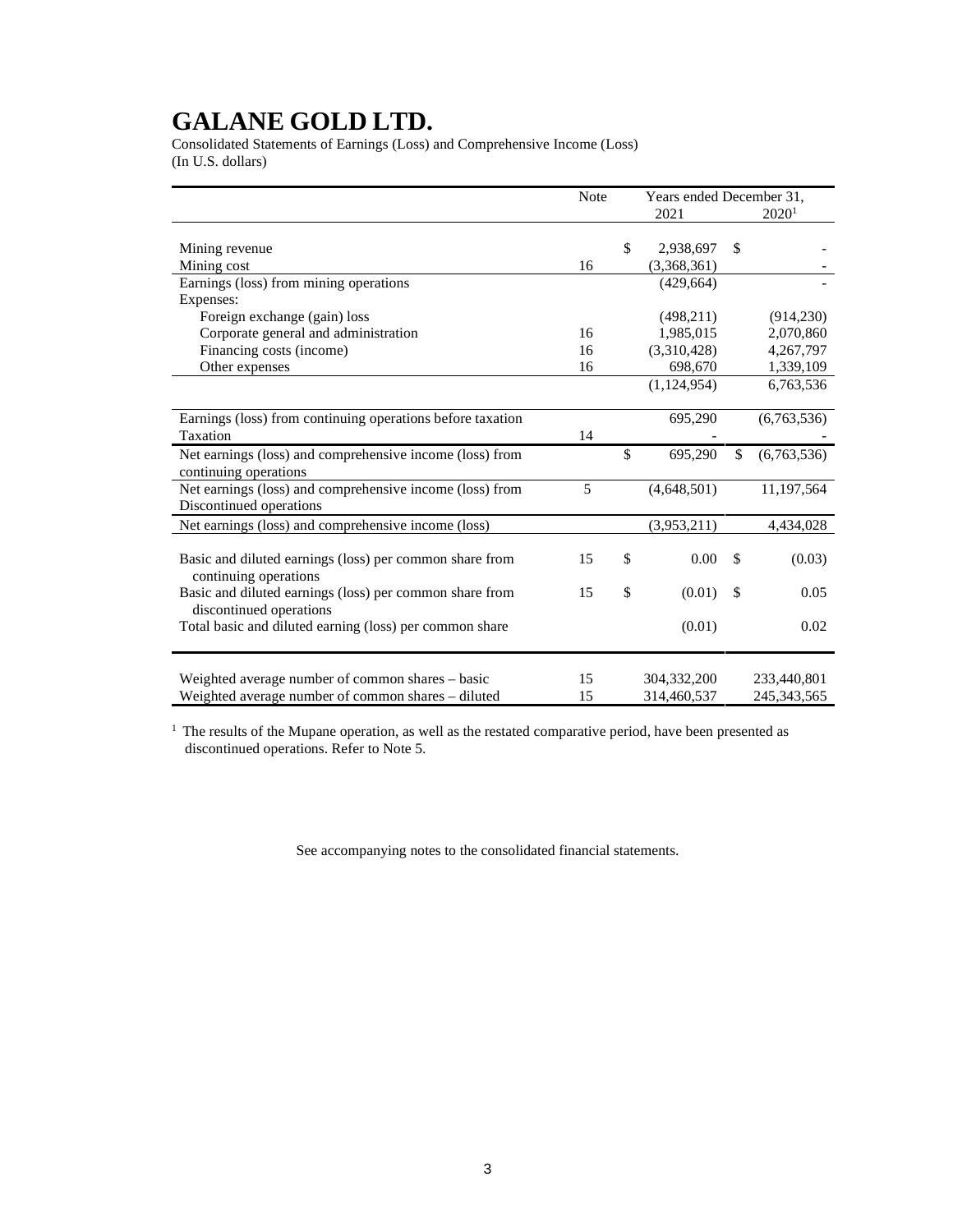Consolidated Statements of Earnings (Loss) and Comprehensive Income (Loss) (In U.S. dollars)

|                                                                                     | <b>Note</b> | Years ended December 31, |               |               |                   |  |  |
|-------------------------------------------------------------------------------------|-------------|--------------------------|---------------|---------------|-------------------|--|--|
|                                                                                     |             |                          | 2021          |               | 2020 <sup>1</sup> |  |  |
| Mining revenue                                                                      |             | \$                       | 2,938,697     | \$            |                   |  |  |
| Mining cost                                                                         | 16          |                          | (3,368,361)   |               |                   |  |  |
| Earnings (loss) from mining operations                                              |             |                          | (429, 664)    |               |                   |  |  |
| Expenses:                                                                           |             |                          |               |               |                   |  |  |
| Foreign exchange (gain) loss                                                        |             |                          | (498,211)     |               | (914, 230)        |  |  |
| Corporate general and administration                                                | 16          |                          | 1,985,015     |               | 2,070,860         |  |  |
| Financing costs (income)                                                            | 16          |                          | (3,310,428)   |               | 4,267,797         |  |  |
| Other expenses                                                                      | 16          |                          | 698,670       |               | 1,339,109         |  |  |
|                                                                                     |             |                          | (1, 124, 954) |               | 6,763,536         |  |  |
| Earnings (loss) from continuing operations before taxation                          |             |                          | 695,290       |               | (6,763,536)       |  |  |
| Taxation                                                                            | 14          |                          |               |               |                   |  |  |
| Net earnings (loss) and comprehensive income (loss) from<br>continuing operations   |             | $\mathbb{S}$             | 695,290       | $\mathcal{S}$ | (6,763,536)       |  |  |
| Net earnings (loss) and comprehensive income (loss) from<br>Discontinued operations | 5           |                          | (4,648,501)   |               | 11,197,564        |  |  |
| Net earnings (loss) and comprehensive income (loss)                                 |             |                          | (3,953,211)   |               | 4,434,028         |  |  |
| Basic and diluted earnings (loss) per common share from<br>continuing operations    | 15          | \$                       | 0.00          | \$            | (0.03)            |  |  |
| Basic and diluted earnings (loss) per common share from<br>discontinued operations  | 15          | \$                       | (0.01)        | \$            | 0.05              |  |  |
| Total basic and diluted earning (loss) per common share                             |             |                          | (0.01)        |               | 0.02              |  |  |
| Weighted average number of common shares – basic                                    | 15          |                          | 304, 332, 200 |               | 233,440,801       |  |  |
| Weighted average number of common shares - diluted                                  | 15          |                          | 314,460,537   |               | 245, 343, 565     |  |  |

<sup>1</sup> The results of the Mupane operation, as well as the restated comparative period, have been presented as discontinued operations. Refer to Note 5.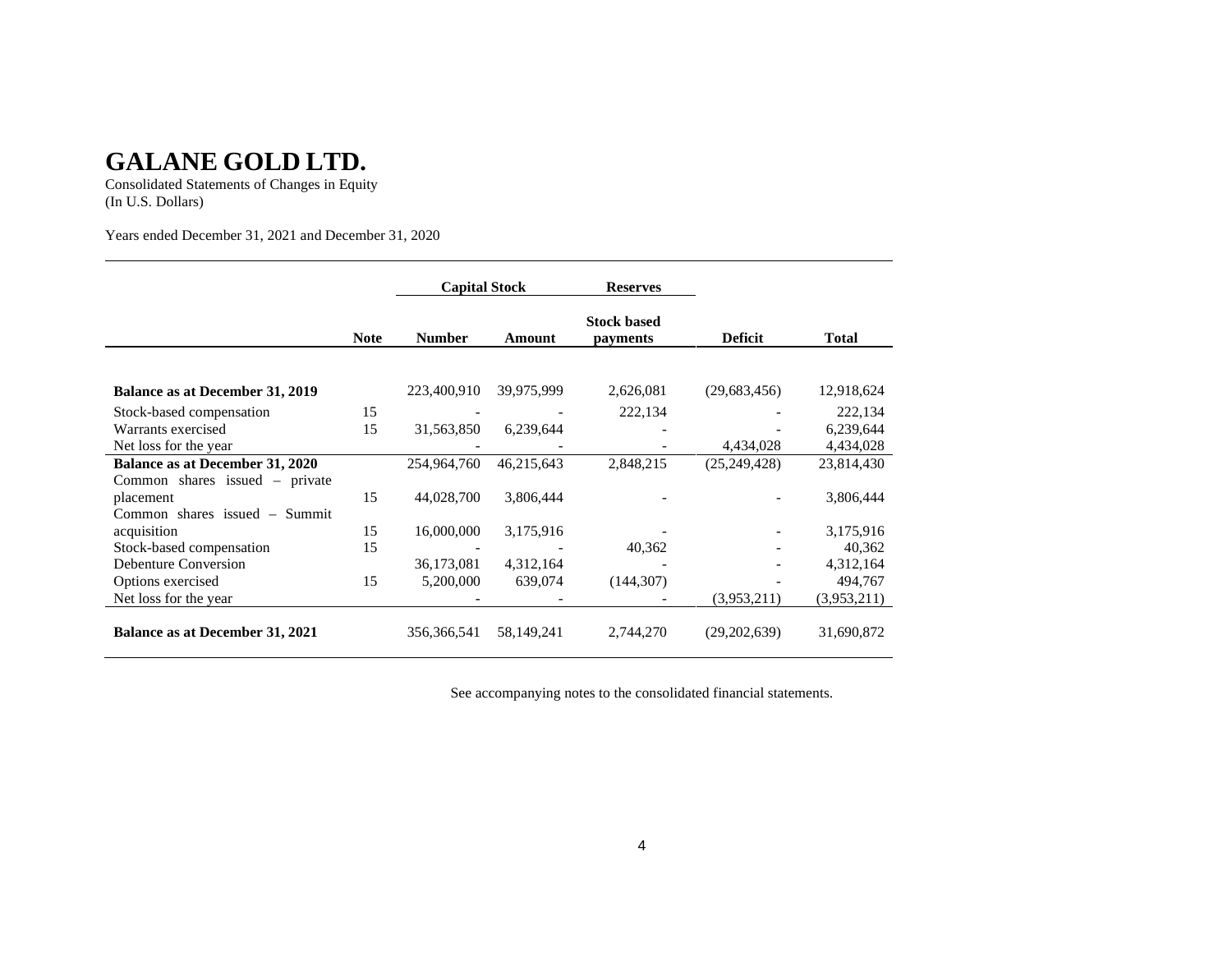Consolidated Statements of Changes in Equity (In U.S. Dollars)

Years ended December 31, 2021 and December 31, 2020

|                                        |             | <b>Capital Stock</b> |            | <b>Reserves</b>                |                |              |
|----------------------------------------|-------------|----------------------|------------|--------------------------------|----------------|--------------|
|                                        | <b>Note</b> | <b>Number</b>        | Amount     | <b>Stock based</b><br>payments | <b>Deficit</b> | <b>Total</b> |
|                                        |             |                      |            |                                |                |              |
| <b>Balance as at December 31, 2019</b> |             | 223,400,910          | 39,975,999 | 2,626,081                      | (29,683,456)   | 12,918,624   |
| Stock-based compensation               | 15          |                      |            | 222,134                        |                | 222,134      |
| Warrants exercised                     | 15          | 31,563,850           | 6,239,644  |                                |                | 6,239,644    |
| Net loss for the year                  |             |                      |            |                                | 4,434,028      | 4,434,028    |
| <b>Balance as at December 31, 2020</b> |             | 254,964,760          | 46,215,643 | 2,848,215                      | (25, 249, 428) | 23,814,430   |
| Common shares issued – private         |             |                      |            |                                |                |              |
| placement                              | 15          | 44,028,700           | 3,806,444  |                                |                | 3,806,444    |
| Common shares issued – Summit          |             |                      |            |                                |                |              |
| acquisition                            | 15          | 16,000,000           | 3,175,916  |                                |                | 3,175,916    |
| Stock-based compensation               | 15          |                      |            | 40,362                         |                | 40,362       |
| Debenture Conversion                   |             | 36,173,081           | 4,312,164  |                                |                | 4,312,164    |
| Options exercised                      | 15          | 5,200,000            | 639,074    | (144, 307)                     |                | 494,767      |
| Net loss for the year                  |             |                      |            |                                | (3,953,211)    | (3,953,211)  |
| Balance as at December 31, 2021        |             | 356,366,541          | 58,149,241 | 2,744,270                      | (29,202,639)   | 31,690,872   |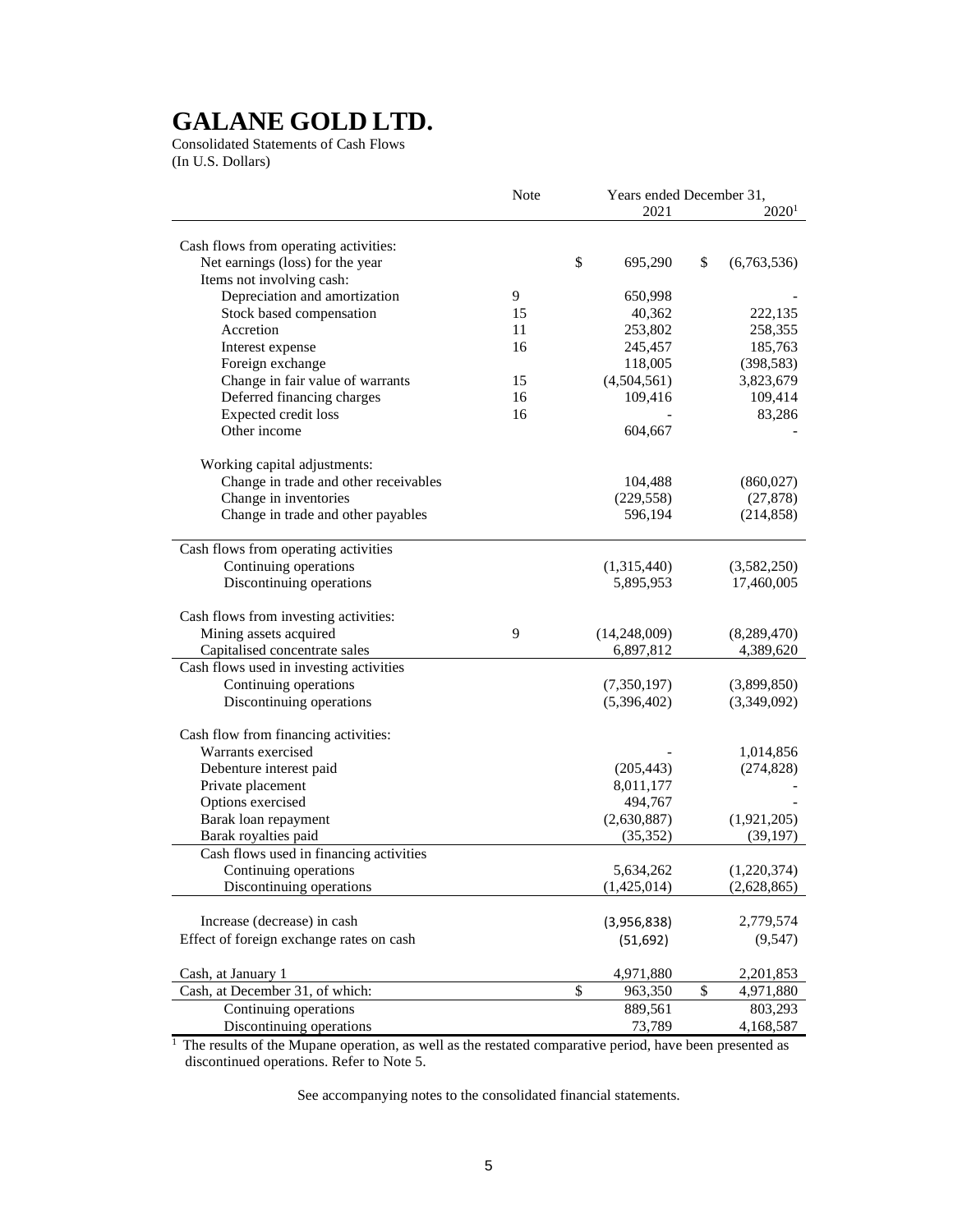Consolidated Statements of Cash Flows (In U.S. Dollars)

|                                          |    | Years ended December 31, |              |    |                   |
|------------------------------------------|----|--------------------------|--------------|----|-------------------|
|                                          |    |                          | 2021         |    | 2020 <sup>1</sup> |
| Cash flows from operating activities:    |    |                          |              |    |                   |
| Net earnings (loss) for the year         |    | \$                       | 695,290      | \$ | (6,763,536)       |
| Items not involving cash:                |    |                          |              |    |                   |
| Depreciation and amortization            | 9  |                          | 650,998      |    |                   |
| Stock based compensation                 | 15 |                          | 40,362       |    | 222,135           |
| Accretion                                | 11 |                          | 253,802      |    | 258,355           |
| Interest expense                         | 16 |                          | 245,457      |    | 185,763           |
| Foreign exchange                         |    |                          | 118,005      |    | (398, 583)        |
| Change in fair value of warrants         | 15 |                          | (4,504,561)  |    | 3,823,679         |
| Deferred financing charges               | 16 |                          | 109,416      |    | 109,414           |
| Expected credit loss                     | 16 |                          |              |    | 83,286            |
| Other income                             |    |                          | 604,667      |    |                   |
| Working capital adjustments:             |    |                          |              |    |                   |
| Change in trade and other receivables    |    |                          | 104,488      |    | (860,027)         |
| Change in inventories                    |    |                          | (229, 558)   |    | (27, 878)         |
| Change in trade and other payables       |    |                          | 596,194      |    | (214, 858)        |
| Cash flows from operating activities     |    |                          |              |    |                   |
| Continuing operations                    |    |                          | (1,315,440)  |    | (3,582,250)       |
| Discontinuing operations                 |    |                          | 5,895,953    |    | 17,460,005        |
| Cash flows from investing activities:    |    |                          |              |    |                   |
| Mining assets acquired                   | 9  |                          | (14,248,009) |    | (8,289,470)       |
| Capitalised concentrate sales            |    |                          | 6,897,812    |    | 4,389,620         |
| Cash flows used in investing activities  |    |                          |              |    |                   |
| Continuing operations                    |    |                          | (7,350,197)  |    | (3,899,850)       |
| Discontinuing operations                 |    |                          | (5,396,402)  |    | (3,349,092)       |
| Cash flow from financing activities:     |    |                          |              |    |                   |
| Warrants exercised                       |    |                          |              |    | 1,014,856         |
| Debenture interest paid                  |    |                          | (205, 443)   |    | (274, 828)        |
| Private placement                        |    |                          | 8,011,177    |    |                   |
| Options exercised                        |    |                          | 494,767      |    |                   |
| Barak loan repayment                     |    |                          | (2,630,887)  |    | (1,921,205)       |
| Barak royalties paid                     |    |                          | (35, 352)    |    | (39, 197)         |
| Cash flows used in financing activities  |    |                          |              |    |                   |
| Continuing operations                    |    |                          | 5,634,262    |    | (1,220,374)       |
| Discontinuing operations                 |    |                          | (1,425,014)  |    | (2,628,865)       |
| Increase (decrease) in cash              |    |                          | (3,956,838)  |    | 2,779,574         |
| Effect of foreign exchange rates on cash |    |                          | (51, 692)    |    | (9, 547)          |
| Cash, at January 1                       |    |                          | 4,971,880    |    | 2,201,853         |
| Cash, at December 31, of which:          |    | \$                       | 963,350      | \$ | 4,971,880         |
| Continuing operations                    |    |                          | 889,561      |    | 803,293           |
| Discontinuing operations                 |    |                          | 73,789       |    | 4,168,587         |

 $<sup>1</sup>$  The results of the Mupane operation, as well as the restated comparative period, have been presented as</sup> discontinued operations. Refer to Note 5.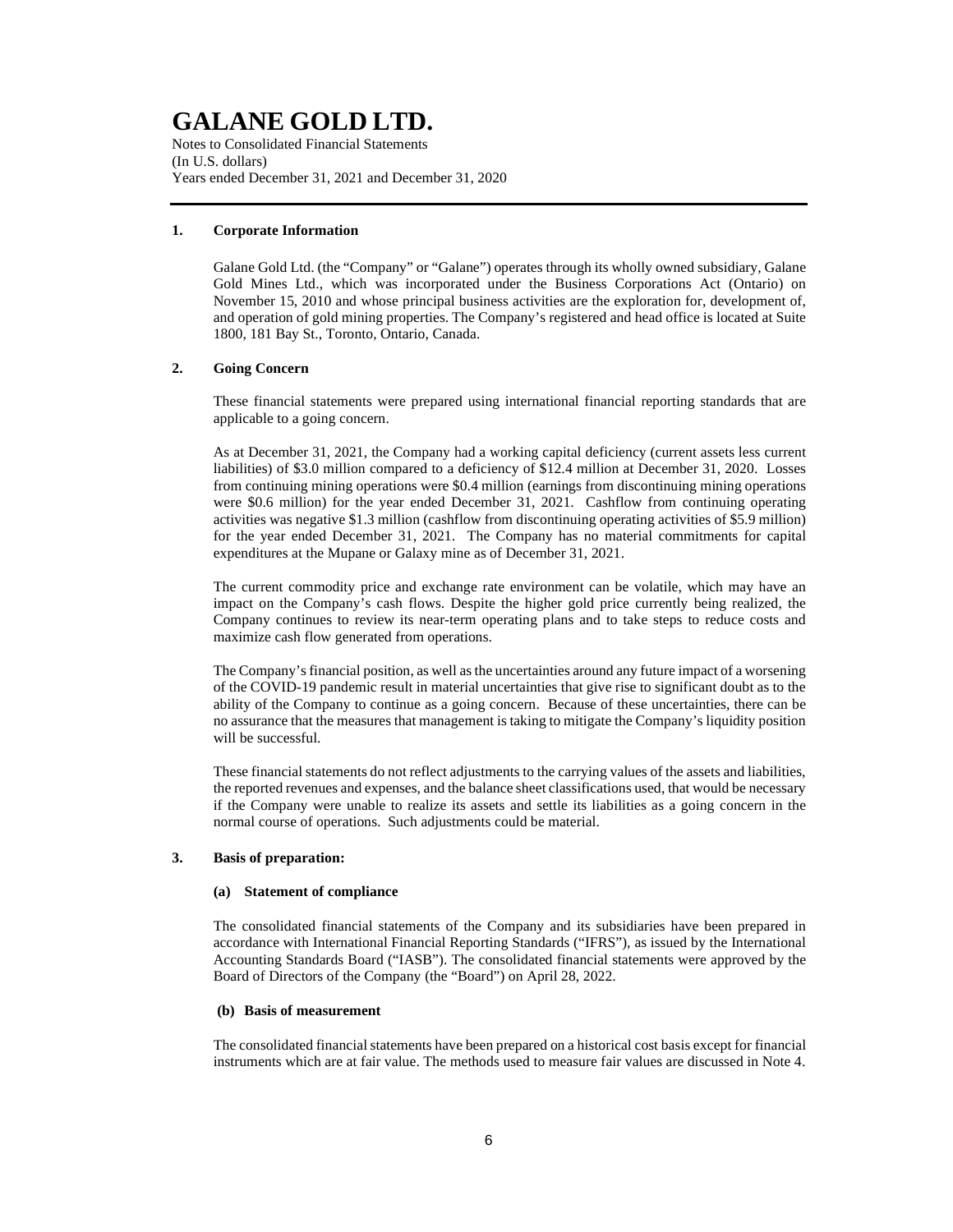Notes to Consolidated Financial Statements (In U.S. dollars) Years ended December 31, 2021 and December 31, 2020

#### **1. Corporate Information**

Galane Gold Ltd. (the "Company" or "Galane") operates through its wholly owned subsidiary, Galane Gold Mines Ltd., which was incorporated under the Business Corporations Act (Ontario) on November 15, 2010 and whose principal business activities are the exploration for, development of, and operation of gold mining properties. The Company's registered and head office is located at Suite 1800, 181 Bay St., Toronto, Ontario, Canada.

#### **2. Going Concern**

These financial statements were prepared using international financial reporting standards that are applicable to a going concern.

As at December 31, 2021, the Company had a working capital deficiency (current assets less current liabilities) of \$3.0 million compared to a deficiency of \$12.4 million at December 31, 2020. Losses from continuing mining operations were \$0.4 million (earnings from discontinuing mining operations were \$0.6 million) for the year ended December 31, 2021. Cashflow from continuing operating activities was negative \$1.3 million (cashflow from discontinuing operating activities of \$5.9 million) for the year ended December 31, 2021. The Company has no material commitments for capital expenditures at the Mupane or Galaxy mine as of December 31, 2021.

The current commodity price and exchange rate environment can be volatile, which may have an impact on the Company's cash flows. Despite the higher gold price currently being realized, the Company continues to review its near-term operating plans and to take steps to reduce costs and maximize cash flow generated from operations.

The Company's financial position, as well as the uncertainties around any future impact of a worsening of the COVID-19 pandemic result in material uncertainties that give rise to significant doubt as to the ability of the Company to continue as a going concern. Because of these uncertainties, there can be no assurance that the measures that management is taking to mitigate the Company's liquidity position will be successful.

These financial statements do not reflect adjustments to the carrying values of the assets and liabilities, the reported revenues and expenses, and the balance sheet classifications used, that would be necessary if the Company were unable to realize its assets and settle its liabilities as a going concern in the normal course of operations. Such adjustments could be material.

#### **3. Basis of preparation:**

#### **(a) Statement of compliance**

The consolidated financial statements of the Company and its subsidiaries have been prepared in accordance with International Financial Reporting Standards ("IFRS"), as issued by the International Accounting Standards Board ("IASB"). The consolidated financial statements were approved by the Board of Directors of the Company (the "Board") on April 28, 2022.

#### **(b) Basis of measurement**

The consolidated financial statements have been prepared on a historical cost basis except for financial instruments which are at fair value. The methods used to measure fair values are discussed in Note 4.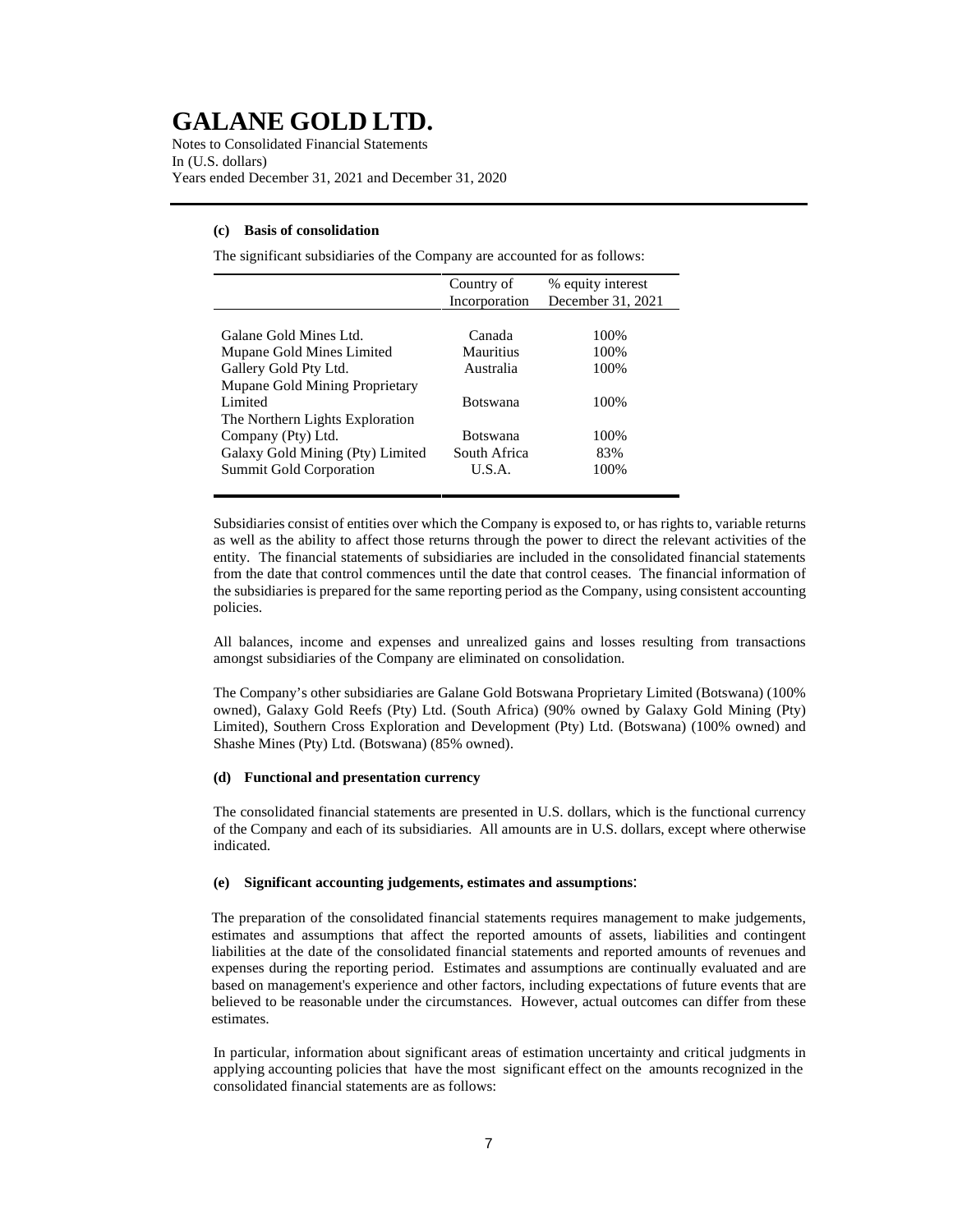Notes to Consolidated Financial Statements In (U.S. dollars) Years ended December 31, 2021 and December 31, 2020

#### **(c) Basis of consolidation**

The significant subsidiaries of the Company are accounted for as follows:

|                                  | Country of<br>Incorporation | % equity interest<br>December 31, 2021 |
|----------------------------------|-----------------------------|----------------------------------------|
|                                  |                             |                                        |
| Galane Gold Mines Ltd.           | Canada                      | 100\%                                  |
| Mupane Gold Mines Limited        | Mauritius                   | 100\%                                  |
| Gallery Gold Pty Ltd.            | Australia                   | 100\%                                  |
| Mupane Gold Mining Proprietary   |                             |                                        |
| Limited                          | <b>Botswana</b>             | 100%                                   |
| The Northern Lights Exploration  |                             |                                        |
| Company (Pty) Ltd.               | <b>Botswana</b>             | 100%                                   |
| Galaxy Gold Mining (Pty) Limited | South Africa                | 83%                                    |
| <b>Summit Gold Corporation</b>   | U.S.A.                      | 100%                                   |
|                                  |                             |                                        |

Subsidiaries consist of entities over which the Company is exposed to, or has rights to, variable returns as well as the ability to affect those returns through the power to direct the relevant activities of the entity. The financial statements of subsidiaries are included in the consolidated financial statements from the date that control commences until the date that control ceases. The financial information of the subsidiaries is prepared for the same reporting period as the Company, using consistent accounting policies.

All balances, income and expenses and unrealized gains and losses resulting from transactions amongst subsidiaries of the Company are eliminated on consolidation.

The Company's other subsidiaries are Galane Gold Botswana Proprietary Limited (Botswana) (100% owned), Galaxy Gold Reefs (Pty) Ltd. (South Africa) (90% owned by Galaxy Gold Mining (Pty) Limited), Southern Cross Exploration and Development (Pty) Ltd. (Botswana) (100% owned) and Shashe Mines (Pty) Ltd. (Botswana) (85% owned).

#### **(d) Functional and presentation currency**

The consolidated financial statements are presented in U.S. dollars, which is the functional currency of the Company and each of its subsidiaries. All amounts are in U.S. dollars, except where otherwise indicated.

#### **(e) Significant accounting judgements, estimates and assumptions**:

The preparation of the consolidated financial statements requires management to make judgements, estimates and assumptions that affect the reported amounts of assets, liabilities and contingent liabilities at the date of the consolidated financial statements and reported amounts of revenues and expenses during the reporting period. Estimates and assumptions are continually evaluated and are based on management's experience and other factors, including expectations of future events that are believed to be reasonable under the circumstances. However, actual outcomes can differ from these estimates.

In particular, information about significant areas of estimation uncertainty and critical judgments in applying accounting policies that have the most significant effect on the amounts recognized in the consolidated financial statements are as follows: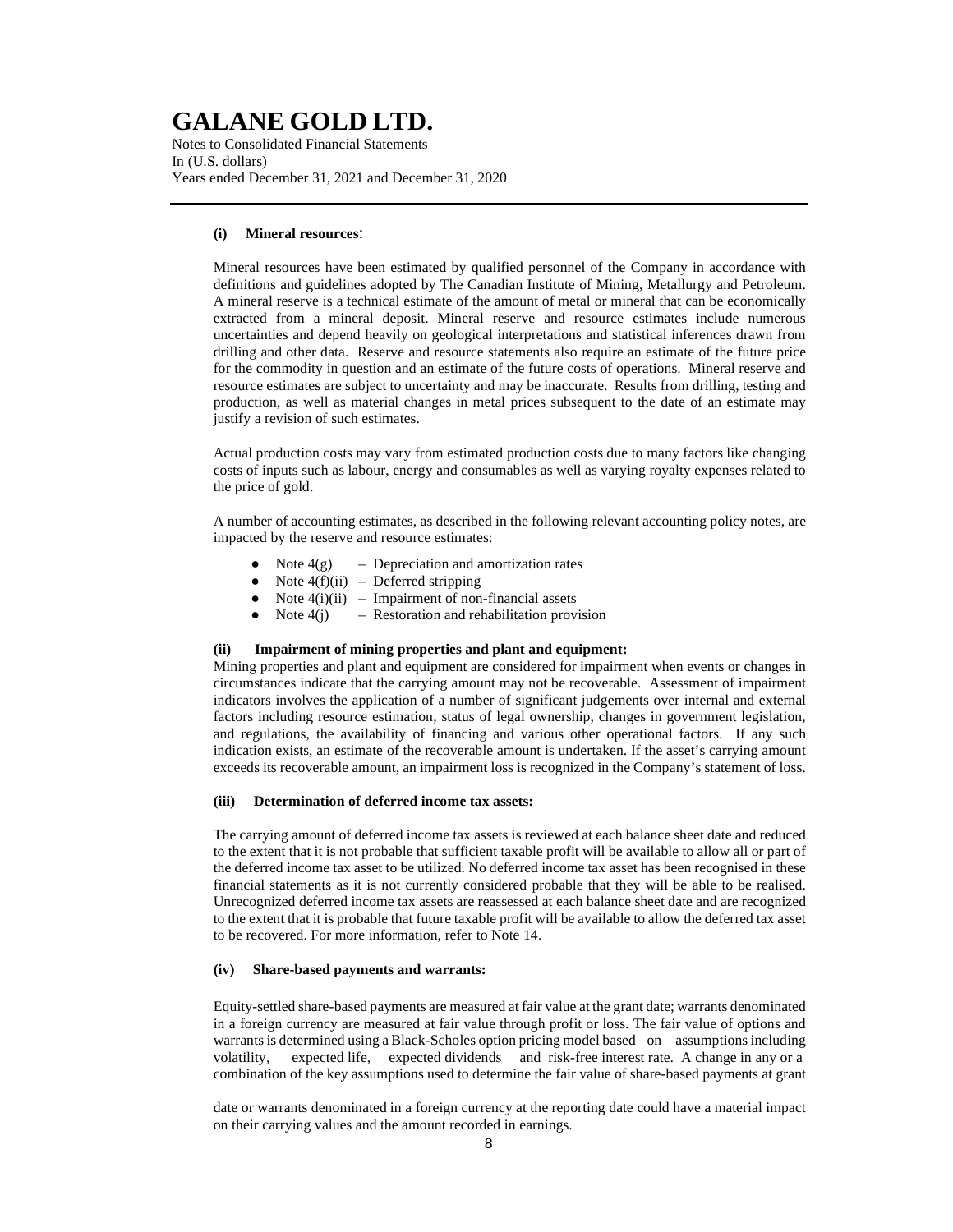Notes to Consolidated Financial Statements In (U.S. dollars) Years ended December 31, 2021 and December 31, 2020

#### **(i) Mineral resources**:

Mineral resources have been estimated by qualified personnel of the Company in accordance with definitions and guidelines adopted by The Canadian Institute of Mining, Metallurgy and Petroleum. A mineral reserve is a technical estimate of the amount of metal or mineral that can be economically extracted from a mineral deposit. Mineral reserve and resource estimates include numerous uncertainties and depend heavily on geological interpretations and statistical inferences drawn from drilling and other data. Reserve and resource statements also require an estimate of the future price for the commodity in question and an estimate of the future costs of operations. Mineral reserve and resource estimates are subject to uncertainty and may be inaccurate. Results from drilling, testing and production, as well as material changes in metal prices subsequent to the date of an estimate may justify a revision of such estimates.

Actual production costs may vary from estimated production costs due to many factors like changing costs of inputs such as labour, energy and consumables as well as varying royalty expenses related to the price of gold.

A number of accounting estimates, as described in the following relevant accounting policy notes, are impacted by the reserve and resource estimates:

- Note  $4(g)$  Depreciation and amortization rates
- Note  $4(f)(ii)$  Deferred stripping
- Note  $4(i)(ii)$  Impairment of non-financial assets
- Note  $4(j)$  Restoration and rehabilitation provision

#### **(ii) Impairment of mining properties and plant and equipment:**

Mining properties and plant and equipment are considered for impairment when events or changes in circumstances indicate that the carrying amount may not be recoverable. Assessment of impairment indicators involves the application of a number of significant judgements over internal and external factors including resource estimation, status of legal ownership, changes in government legislation, and regulations, the availability of financing and various other operational factors. If any such indication exists, an estimate of the recoverable amount is undertaken. If the asset's carrying amount exceeds its recoverable amount, an impairment loss is recognized in the Company's statement of loss.

#### **(iii) Determination of deferred income tax assets:**

The carrying amount of deferred income tax assets is reviewed at each balance sheet date and reduced to the extent that it is not probable that sufficient taxable profit will be available to allow all or part of the deferred income tax asset to be utilized. No deferred income tax asset has been recognised in these financial statements as it is not currently considered probable that they will be able to be realised. Unrecognized deferred income tax assets are reassessed at each balance sheet date and are recognized to the extent that it is probable that future taxable profit will be available to allow the deferred tax asset to be recovered. For more information, refer to Note 14.

#### **(iv) Share-based payments and warrants:**

Equity-settled share-based payments are measured at fair value at the grant date; warrants denominated in a foreign currency are measured at fair value through profit or loss. The fair value of options and warrants is determined using a Black-Scholes option pricing model based on assumptions including volatility, expected life, expected dividends and risk-free interest rate. A change in any or a combination of the key assumptions used to determine the fair value of share-based payments at grant

date or warrants denominated in a foreign currency at the reporting date could have a material impact on their carrying values and the amount recorded in earnings.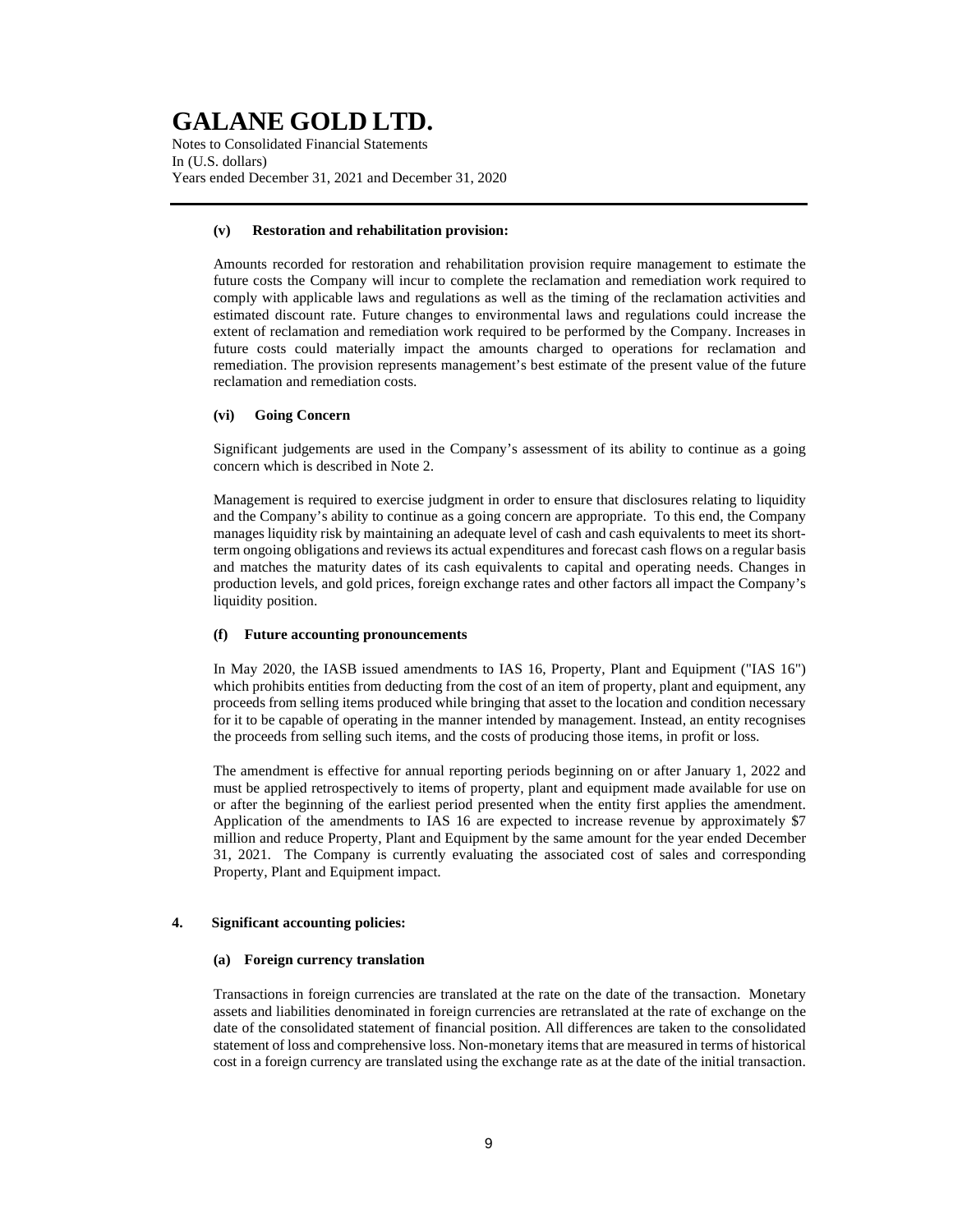Notes to Consolidated Financial Statements In (U.S. dollars) Years ended December 31, 2021 and December 31, 2020

#### **(v) Restoration and rehabilitation provision:**

Amounts recorded for restoration and rehabilitation provision require management to estimate the future costs the Company will incur to complete the reclamation and remediation work required to comply with applicable laws and regulations as well as the timing of the reclamation activities and estimated discount rate. Future changes to environmental laws and regulations could increase the extent of reclamation and remediation work required to be performed by the Company. Increases in future costs could materially impact the amounts charged to operations for reclamation and remediation. The provision represents management's best estimate of the present value of the future reclamation and remediation costs.

#### **(vi) Going Concern**

Significant judgements are used in the Company's assessment of its ability to continue as a going concern which is described in Note 2.

Management is required to exercise judgment in order to ensure that disclosures relating to liquidity and the Company's ability to continue as a going concern are appropriate. To this end, the Company manages liquidity risk by maintaining an adequate level of cash and cash equivalents to meet its shortterm ongoing obligations and reviews its actual expenditures and forecast cash flows on a regular basis and matches the maturity dates of its cash equivalents to capital and operating needs. Changes in production levels, and gold prices, foreign exchange rates and other factors all impact the Company's liquidity position.

#### **(f) Future accounting pronouncements**

In May 2020, the IASB issued amendments to IAS 16, Property, Plant and Equipment ("IAS 16") which prohibits entities from deducting from the cost of an item of property, plant and equipment, any proceeds from selling items produced while bringing that asset to the location and condition necessary for it to be capable of operating in the manner intended by management. Instead, an entity recognises the proceeds from selling such items, and the costs of producing those items, in profit or loss.

The amendment is effective for annual reporting periods beginning on or after January 1, 2022 and must be applied retrospectively to items of property, plant and equipment made available for use on or after the beginning of the earliest period presented when the entity first applies the amendment. Application of the amendments to IAS 16 are expected to increase revenue by approximately \$7 million and reduce Property, Plant and Equipment by the same amount for the year ended December 31, 2021. The Company is currently evaluating the associated cost of sales and corresponding Property, Plant and Equipment impact.

#### **4. Significant accounting policies:**

#### **(a) Foreign currency translation**

Transactions in foreign currencies are translated at the rate on the date of the transaction. Monetary assets and liabilities denominated in foreign currencies are retranslated at the rate of exchange on the date of the consolidated statement of financial position. All differences are taken to the consolidated statement of loss and comprehensive loss. Non-monetary items that are measured in terms of historical cost in a foreign currency are translated using the exchange rate as at the date of the initial transaction.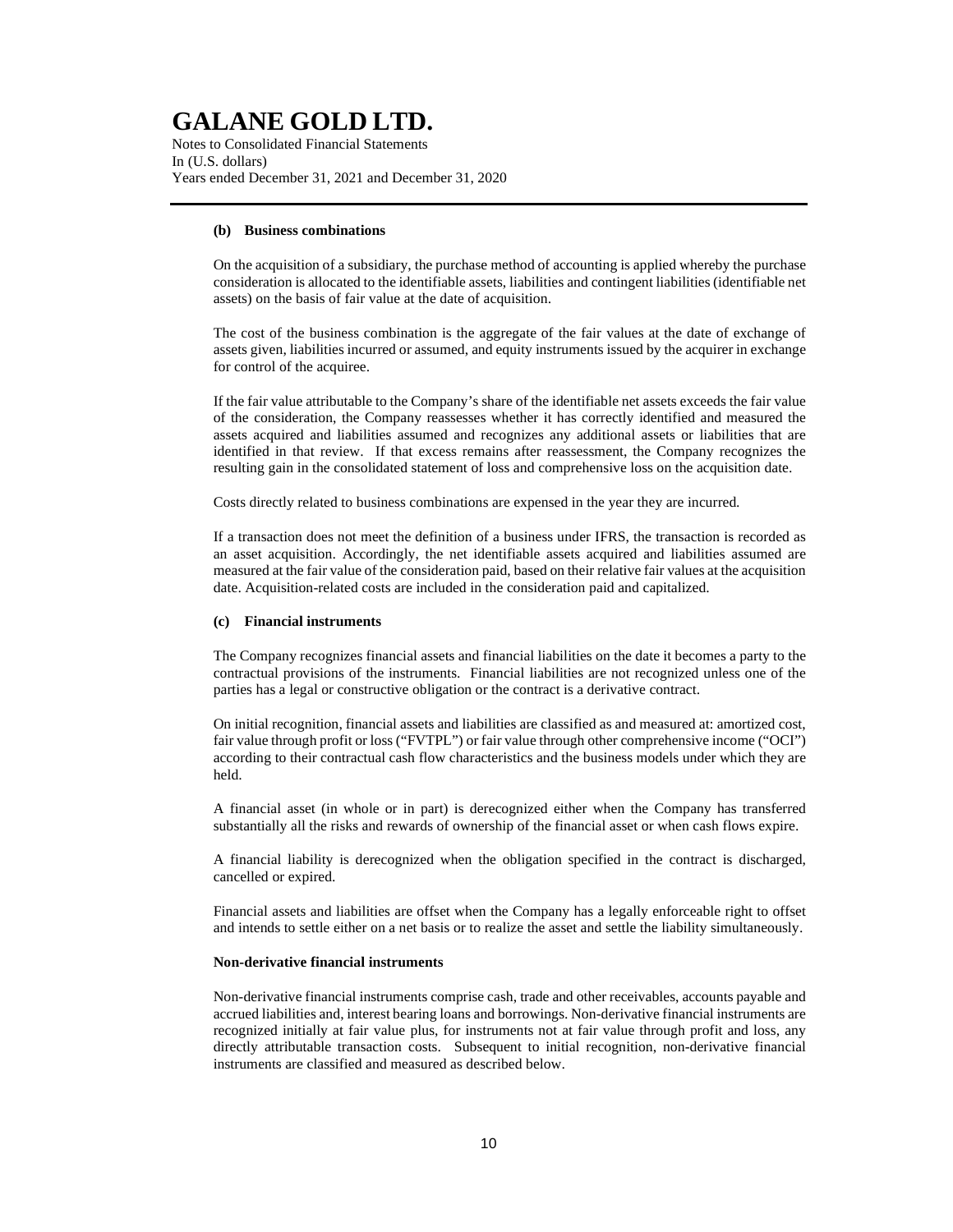Notes to Consolidated Financial Statements In (U.S. dollars) Years ended December 31, 2021 and December 31, 2020

#### **(b) Business combinations**

On the acquisition of a subsidiary, the purchase method of accounting is applied whereby the purchase consideration is allocated to the identifiable assets, liabilities and contingent liabilities (identifiable net assets) on the basis of fair value at the date of acquisition.

The cost of the business combination is the aggregate of the fair values at the date of exchange of assets given, liabilities incurred or assumed, and equity instruments issued by the acquirer in exchange for control of the acquiree.

If the fair value attributable to the Company's share of the identifiable net assets exceeds the fair value of the consideration, the Company reassesses whether it has correctly identified and measured the assets acquired and liabilities assumed and recognizes any additional assets or liabilities that are identified in that review. If that excess remains after reassessment, the Company recognizes the resulting gain in the consolidated statement of loss and comprehensive loss on the acquisition date.

Costs directly related to business combinations are expensed in the year they are incurred.

If a transaction does not meet the definition of a business under IFRS, the transaction is recorded as an asset acquisition. Accordingly, the net identifiable assets acquired and liabilities assumed are measured at the fair value of the consideration paid, based on their relative fair values at the acquisition date. Acquisition-related costs are included in the consideration paid and capitalized.

#### **(c) Financial instruments**

The Company recognizes financial assets and financial liabilities on the date it becomes a party to the contractual provisions of the instruments. Financial liabilities are not recognized unless one of the parties has a legal or constructive obligation or the contract is a derivative contract.

On initial recognition, financial assets and liabilities are classified as and measured at: amortized cost, fair value through profit or loss ("FVTPL") or fair value through other comprehensive income ("OCI") according to their contractual cash flow characteristics and the business models under which they are held.

A financial asset (in whole or in part) is derecognized either when the Company has transferred substantially all the risks and rewards of ownership of the financial asset or when cash flows expire.

A financial liability is derecognized when the obligation specified in the contract is discharged, cancelled or expired.

Financial assets and liabilities are offset when the Company has a legally enforceable right to offset and intends to settle either on a net basis or to realize the asset and settle the liability simultaneously.

#### **Non-derivative financial instruments**

Non-derivative financial instruments comprise cash, trade and other receivables, accounts payable and accrued liabilities and, interest bearing loans and borrowings. Non-derivative financial instruments are recognized initially at fair value plus, for instruments not at fair value through profit and loss, any directly attributable transaction costs. Subsequent to initial recognition, non-derivative financial instruments are classified and measured as described below.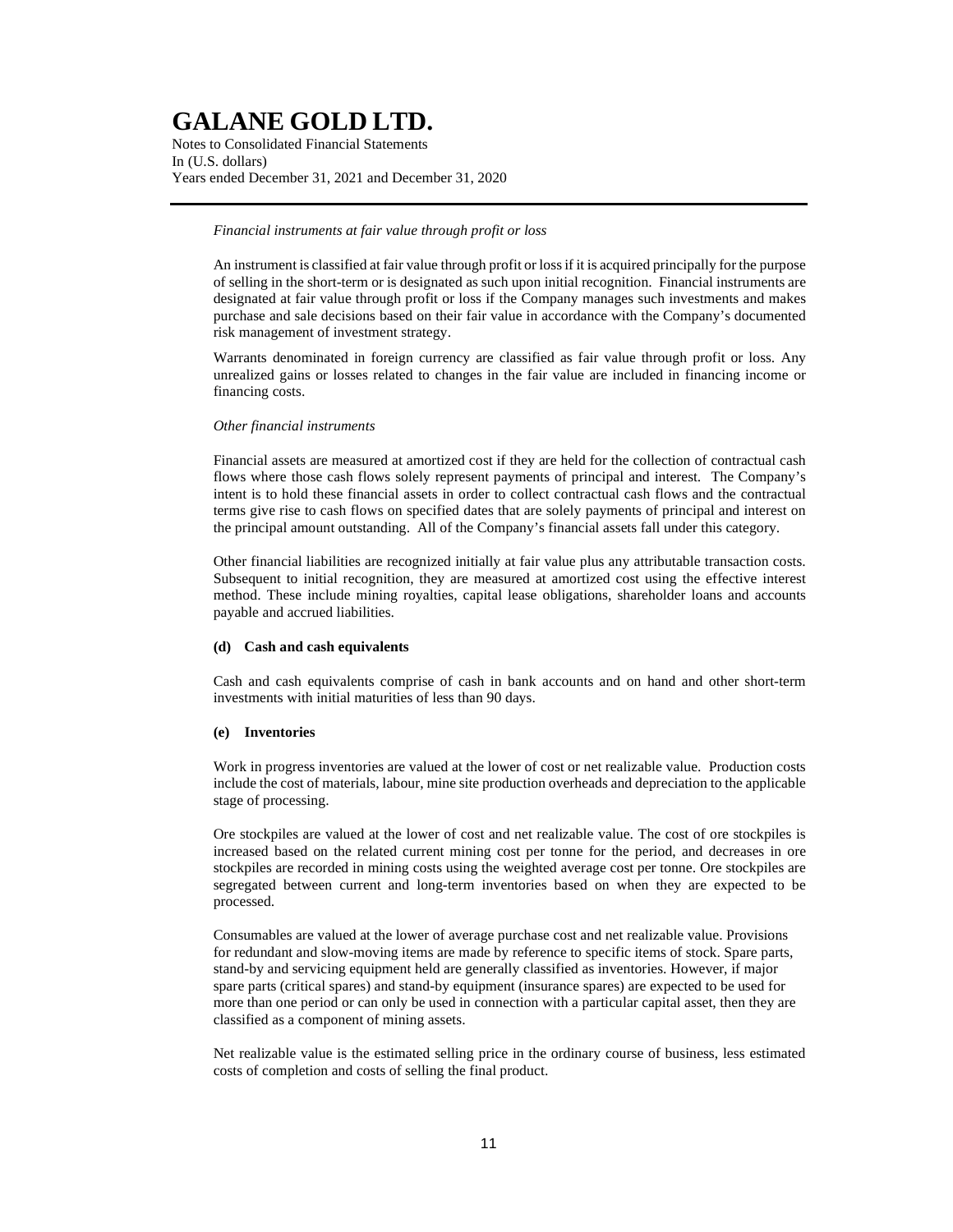Notes to Consolidated Financial Statements In (U.S. dollars) Years ended December 31, 2021 and December 31, 2020

#### *Financial instruments at fair value through profit or loss*

An instrument is classified at fair value through profit or loss if it is acquired principally for the purpose of selling in the short-term or is designated as such upon initial recognition. Financial instruments are designated at fair value through profit or loss if the Company manages such investments and makes purchase and sale decisions based on their fair value in accordance with the Company's documented risk management of investment strategy.

Warrants denominated in foreign currency are classified as fair value through profit or loss. Any unrealized gains or losses related to changes in the fair value are included in financing income or financing costs.

#### *Other financial instruments*

Financial assets are measured at amortized cost if they are held for the collection of contractual cash flows where those cash flows solely represent payments of principal and interest. The Company's intent is to hold these financial assets in order to collect contractual cash flows and the contractual terms give rise to cash flows on specified dates that are solely payments of principal and interest on the principal amount outstanding. All of the Company's financial assets fall under this category.

Other financial liabilities are recognized initially at fair value plus any attributable transaction costs. Subsequent to initial recognition, they are measured at amortized cost using the effective interest method. These include mining royalties, capital lease obligations, shareholder loans and accounts payable and accrued liabilities.

#### **(d) Cash and cash equivalents**

Cash and cash equivalents comprise of cash in bank accounts and on hand and other short-term investments with initial maturities of less than 90 days.

#### **(e) Inventories**

Work in progress inventories are valued at the lower of cost or net realizable value. Production costs include the cost of materials, labour, mine site production overheads and depreciation to the applicable stage of processing.

Ore stockpiles are valued at the lower of cost and net realizable value. The cost of ore stockpiles is increased based on the related current mining cost per tonne for the period, and decreases in ore stockpiles are recorded in mining costs using the weighted average cost per tonne. Ore stockpiles are segregated between current and long-term inventories based on when they are expected to be processed.

Consumables are valued at the lower of average purchase cost and net realizable value. Provisions for redundant and slow-moving items are made by reference to specific items of stock. Spare parts, stand-by and servicing equipment held are generally classified as inventories. However, if major spare parts (critical spares) and stand-by equipment (insurance spares) are expected to be used for more than one period or can only be used in connection with a particular capital asset, then they are classified as a component of mining assets.

Net realizable value is the estimated selling price in the ordinary course of business, less estimated costs of completion and costs of selling the final product.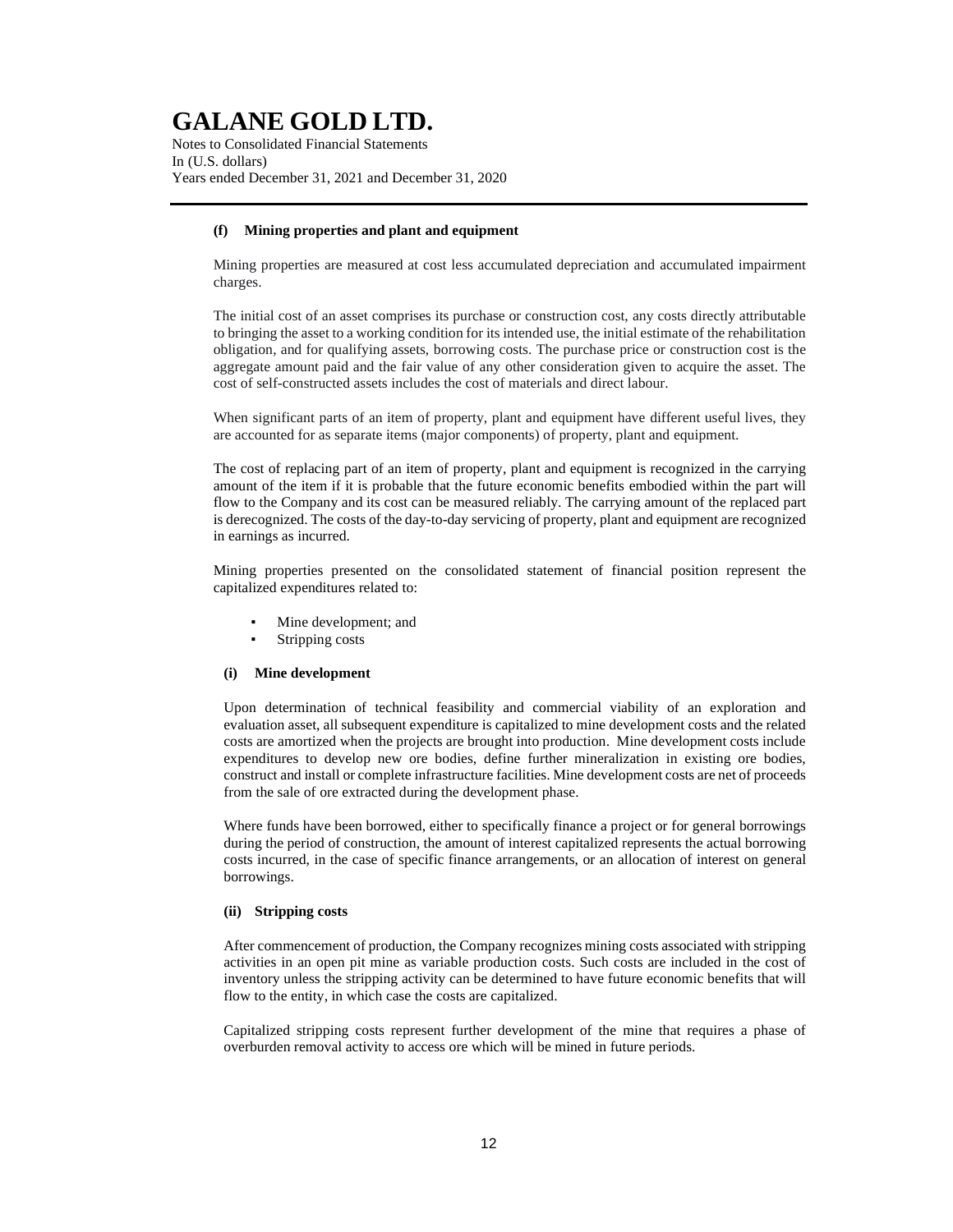Notes to Consolidated Financial Statements In (U.S. dollars) Years ended December 31, 2021 and December 31, 2020

#### **(f) Mining properties and plant and equipment**

Mining properties are measured at cost less accumulated depreciation and accumulated impairment charges.

The initial cost of an asset comprises its purchase or construction cost, any costs directly attributable to bringing the asset to a working condition for its intended use, the initial estimate of the rehabilitation obligation, and for qualifying assets, borrowing costs. The purchase price or construction cost is the aggregate amount paid and the fair value of any other consideration given to acquire the asset. The cost of self-constructed assets includes the cost of materials and direct labour.

When significant parts of an item of property, plant and equipment have different useful lives, they are accounted for as separate items (major components) of property, plant and equipment.

The cost of replacing part of an item of property, plant and equipment is recognized in the carrying amount of the item if it is probable that the future economic benefits embodied within the part will flow to the Company and its cost can be measured reliably. The carrying amount of the replaced part is derecognized. The costs of the day-to-day servicing of property, plant and equipment are recognized in earnings as incurred.

Mining properties presented on the consolidated statement of financial position represent the capitalized expenditures related to:

- Mine development; and
- Stripping costs

#### **(i) Mine development**

Upon determination of technical feasibility and commercial viability of an exploration and evaluation asset, all subsequent expenditure is capitalized to mine development costs and the related costs are amortized when the projects are brought into production. Mine development costs include expenditures to develop new ore bodies, define further mineralization in existing ore bodies, construct and install or complete infrastructure facilities. Mine development costs are net of proceeds from the sale of ore extracted during the development phase.

Where funds have been borrowed, either to specifically finance a project or for general borrowings during the period of construction, the amount of interest capitalized represents the actual borrowing costs incurred, in the case of specific finance arrangements, or an allocation of interest on general borrowings.

#### **(ii) Stripping costs**

After commencement of production, the Company recognizes mining costs associated with stripping activities in an open pit mine as variable production costs. Such costs are included in the cost of inventory unless the stripping activity can be determined to have future economic benefits that will flow to the entity, in which case the costs are capitalized.

Capitalized stripping costs represent further development of the mine that requires a phase of overburden removal activity to access ore which will be mined in future periods.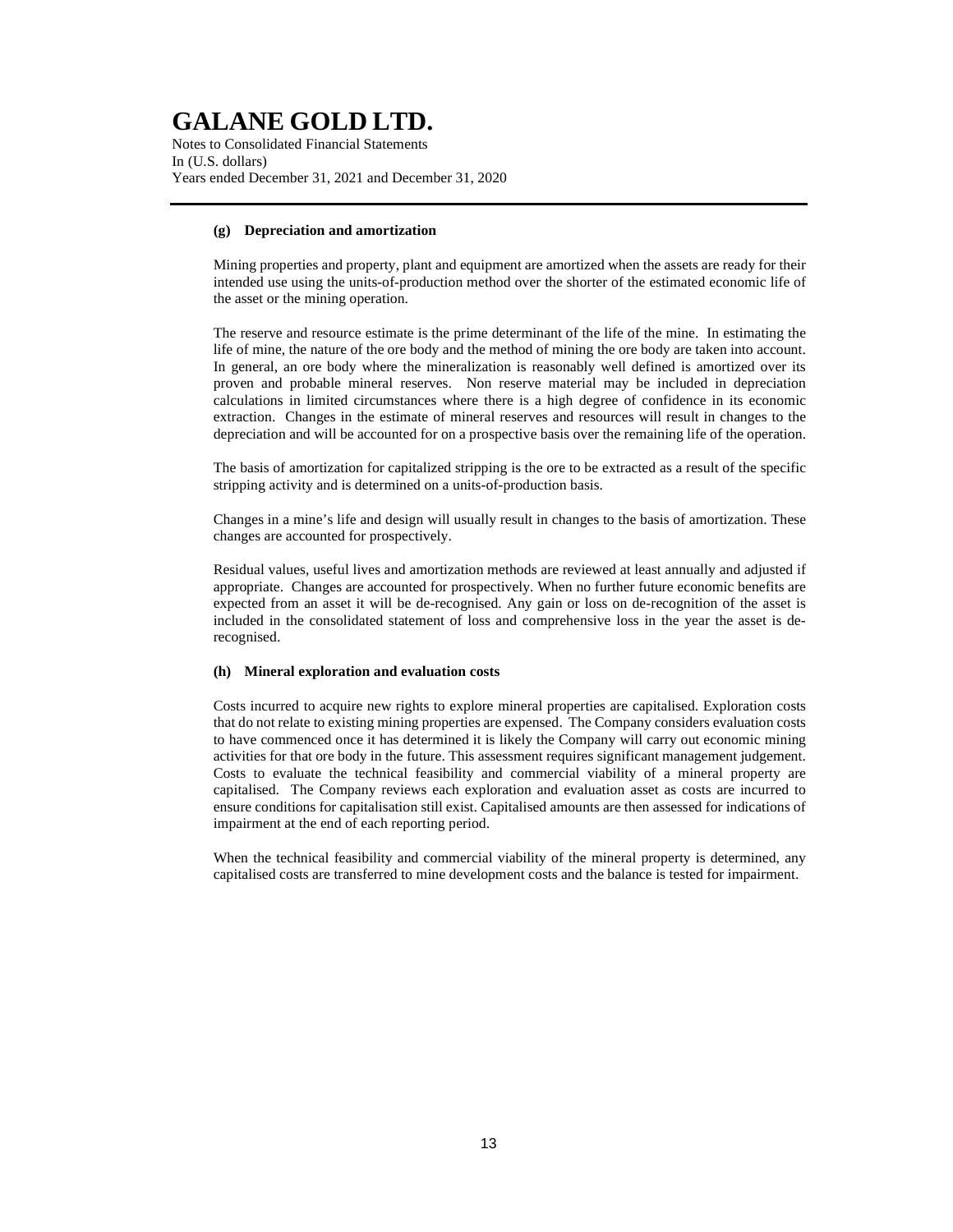Notes to Consolidated Financial Statements In (U.S. dollars) Years ended December 31, 2021 and December 31, 2020

#### **(g) Depreciation and amortization**

Mining properties and property, plant and equipment are amortized when the assets are ready for their intended use using the units-of-production method over the shorter of the estimated economic life of the asset or the mining operation.

The reserve and resource estimate is the prime determinant of the life of the mine. In estimating the life of mine, the nature of the ore body and the method of mining the ore body are taken into account. In general, an ore body where the mineralization is reasonably well defined is amortized over its proven and probable mineral reserves. Non reserve material may be included in depreciation calculations in limited circumstances where there is a high degree of confidence in its economic extraction. Changes in the estimate of mineral reserves and resources will result in changes to the depreciation and will be accounted for on a prospective basis over the remaining life of the operation.

The basis of amortization for capitalized stripping is the ore to be extracted as a result of the specific stripping activity and is determined on a units-of-production basis.

Changes in a mine's life and design will usually result in changes to the basis of amortization. These changes are accounted for prospectively.

Residual values, useful lives and amortization methods are reviewed at least annually and adjusted if appropriate. Changes are accounted for prospectively. When no further future economic benefits are expected from an asset it will be de-recognised. Any gain or loss on de-recognition of the asset is included in the consolidated statement of loss and comprehensive loss in the year the asset is derecognised.

#### **(h) Mineral exploration and evaluation costs**

Costs incurred to acquire new rights to explore mineral properties are capitalised. Exploration costs that do not relate to existing mining properties are expensed. The Company considers evaluation costs to have commenced once it has determined it is likely the Company will carry out economic mining activities for that ore body in the future. This assessment requires significant management judgement. Costs to evaluate the technical feasibility and commercial viability of a mineral property are capitalised. The Company reviews each exploration and evaluation asset as costs are incurred to ensure conditions for capitalisation still exist. Capitalised amounts are then assessed for indications of impairment at the end of each reporting period.

When the technical feasibility and commercial viability of the mineral property is determined, any capitalised costs are transferred to mine development costs and the balance is tested for impairment.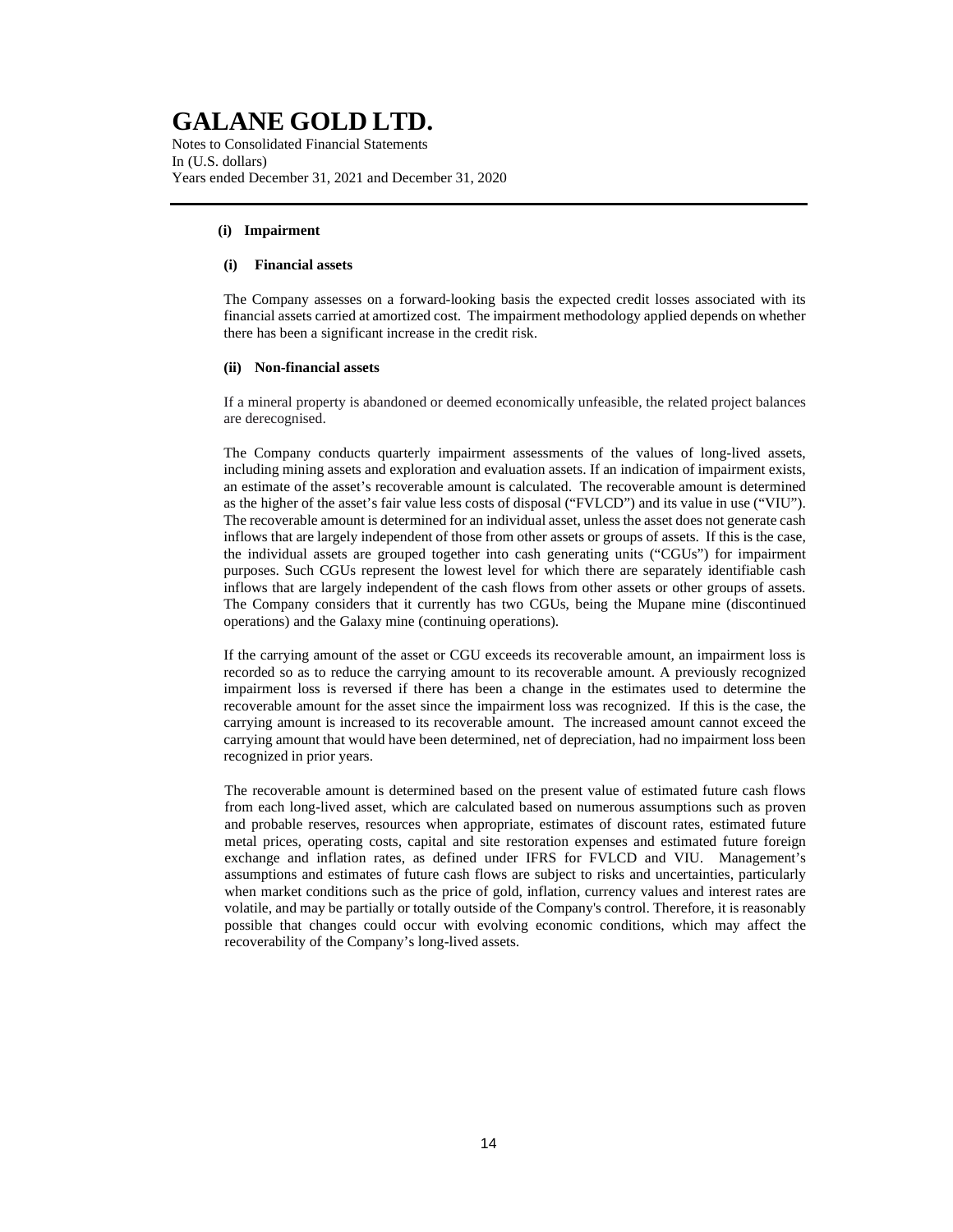Notes to Consolidated Financial Statements In (U.S. dollars) Years ended December 31, 2021 and December 31, 2020

#### **(i) Impairment**

#### **(i) Financial assets**

The Company assesses on a forward-looking basis the expected credit losses associated with its financial assets carried at amortized cost. The impairment methodology applied depends on whether there has been a significant increase in the credit risk.

#### **(ii) Non-financial assets**

If a mineral property is abandoned or deemed economically unfeasible, the related project balances are derecognised.

The Company conducts quarterly impairment assessments of the values of long-lived assets, including mining assets and exploration and evaluation assets. If an indication of impairment exists, an estimate of the asset's recoverable amount is calculated. The recoverable amount is determined as the higher of the asset's fair value less costs of disposal ("FVLCD") and its value in use ("VIU"). The recoverable amount is determined for an individual asset, unless the asset does not generate cash inflows that are largely independent of those from other assets or groups of assets. If this is the case, the individual assets are grouped together into cash generating units ("CGUs") for impairment purposes. Such CGUs represent the lowest level for which there are separately identifiable cash inflows that are largely independent of the cash flows from other assets or other groups of assets. The Company considers that it currently has two CGUs, being the Mupane mine (discontinued operations) and the Galaxy mine (continuing operations).

If the carrying amount of the asset or CGU exceeds its recoverable amount, an impairment loss is recorded so as to reduce the carrying amount to its recoverable amount. A previously recognized impairment loss is reversed if there has been a change in the estimates used to determine the recoverable amount for the asset since the impairment loss was recognized. If this is the case, the carrying amount is increased to its recoverable amount. The increased amount cannot exceed the carrying amount that would have been determined, net of depreciation, had no impairment loss been recognized in prior years.

The recoverable amount is determined based on the present value of estimated future cash flows from each long-lived asset, which are calculated based on numerous assumptions such as proven and probable reserves, resources when appropriate, estimates of discount rates, estimated future metal prices, operating costs, capital and site restoration expenses and estimated future foreign exchange and inflation rates, as defined under IFRS for FVLCD and VIU. Management's assumptions and estimates of future cash flows are subject to risks and uncertainties, particularly when market conditions such as the price of gold, inflation, currency values and interest rates are volatile, and may be partially or totally outside of the Company's control. Therefore, it is reasonably possible that changes could occur with evolving economic conditions, which may affect the recoverability of the Company's long-lived assets.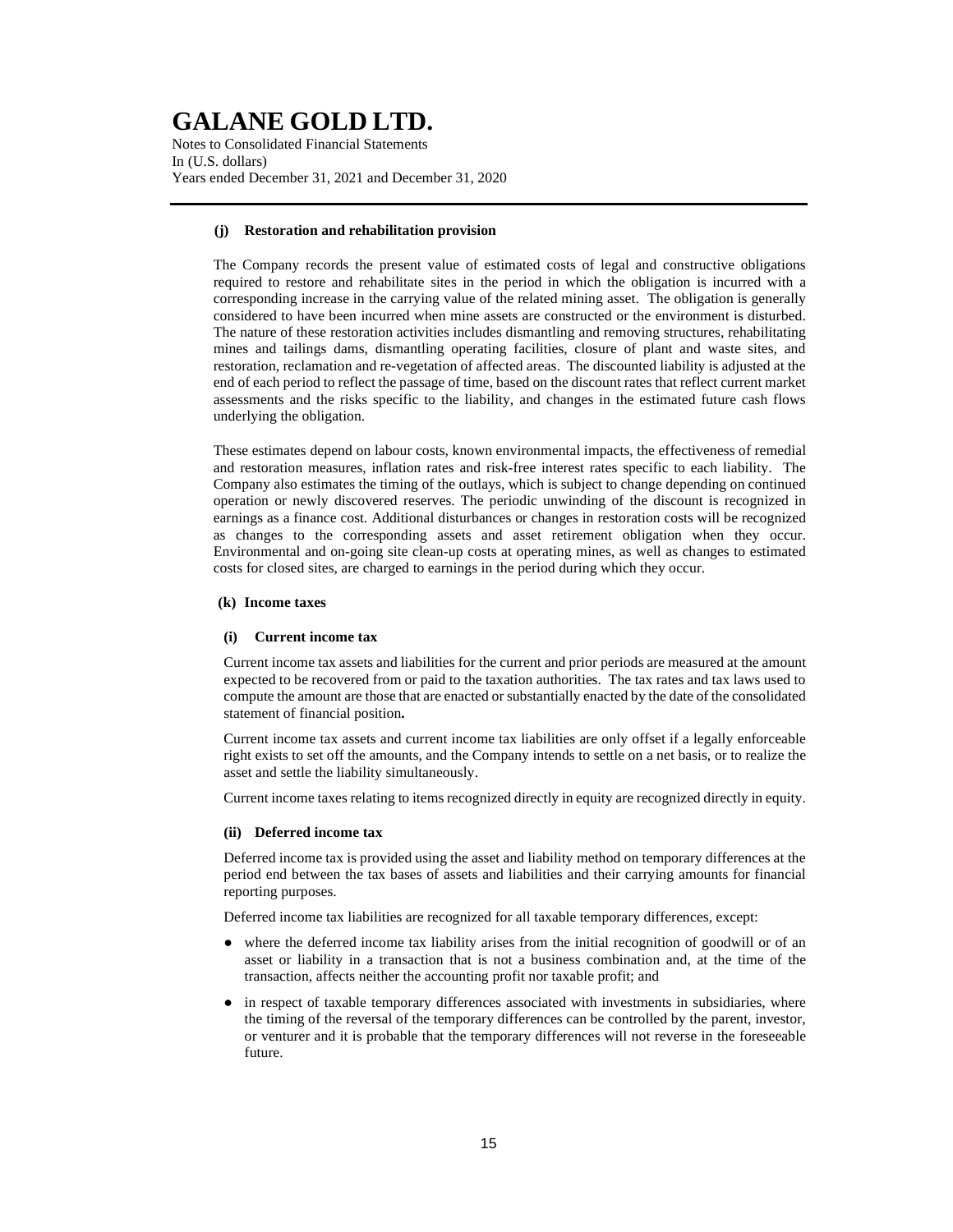Notes to Consolidated Financial Statements In (U.S. dollars) Years ended December 31, 2021 and December 31, 2020

#### **(j) Restoration and rehabilitation provision**

The Company records the present value of estimated costs of legal and constructive obligations required to restore and rehabilitate sites in the period in which the obligation is incurred with a corresponding increase in the carrying value of the related mining asset. The obligation is generally considered to have been incurred when mine assets are constructed or the environment is disturbed. The nature of these restoration activities includes dismantling and removing structures, rehabilitating mines and tailings dams, dismantling operating facilities, closure of plant and waste sites, and restoration, reclamation and re-vegetation of affected areas. The discounted liability is adjusted at the end of each period to reflect the passage of time, based on the discount rates that reflect current market assessments and the risks specific to the liability, and changes in the estimated future cash flows underlying the obligation.

These estimates depend on labour costs, known environmental impacts, the effectiveness of remedial and restoration measures, inflation rates and risk-free interest rates specific to each liability. The Company also estimates the timing of the outlays, which is subject to change depending on continued operation or newly discovered reserves. The periodic unwinding of the discount is recognized in earnings as a finance cost. Additional disturbances or changes in restoration costs will be recognized as changes to the corresponding assets and asset retirement obligation when they occur. Environmental and on-going site clean-up costs at operating mines, as well as changes to estimated costs for closed sites, are charged to earnings in the period during which they occur.

#### **(k) Income taxes**

#### **(i) Current income tax**

Current income tax assets and liabilities for the current and prior periods are measured at the amount expected to be recovered from or paid to the taxation authorities. The tax rates and tax laws used to compute the amount are those that are enacted or substantially enacted by the date of the consolidated statement of financial position**.** 

Current income tax assets and current income tax liabilities are only offset if a legally enforceable right exists to set off the amounts, and the Company intends to settle on a net basis, or to realize the asset and settle the liability simultaneously.

Current income taxes relating to items recognized directly in equity are recognized directly in equity.

#### **(ii) Deferred income tax**

Deferred income tax is provided using the asset and liability method on temporary differences at the period end between the tax bases of assets and liabilities and their carrying amounts for financial reporting purposes.

Deferred income tax liabilities are recognized for all taxable temporary differences, except:

- where the deferred income tax liability arises from the initial recognition of goodwill or of an asset or liability in a transaction that is not a business combination and, at the time of the transaction, affects neither the accounting profit nor taxable profit; and
- in respect of taxable temporary differences associated with investments in subsidiaries, where the timing of the reversal of the temporary differences can be controlled by the parent, investor, or venturer and it is probable that the temporary differences will not reverse in the foreseeable future.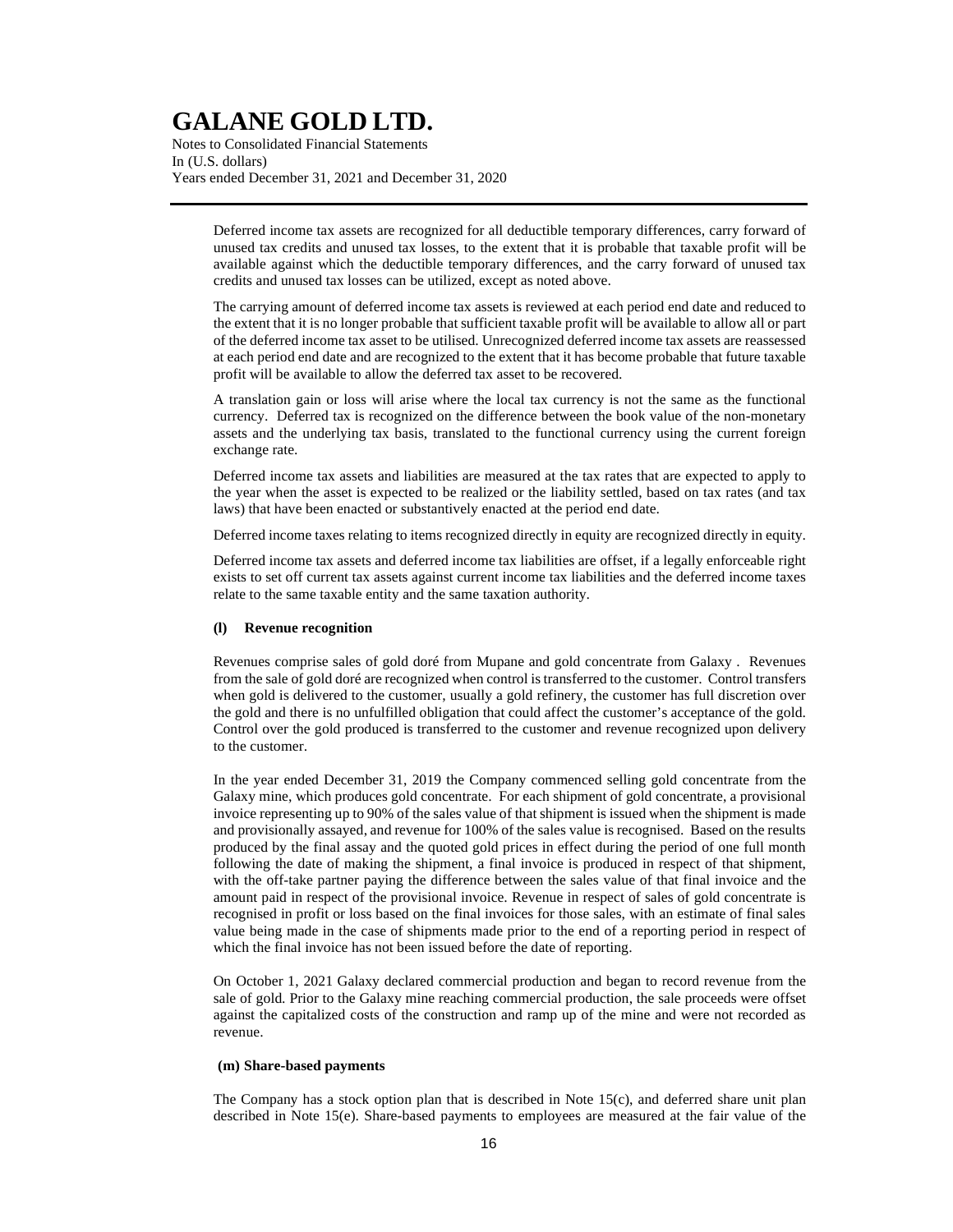Notes to Consolidated Financial Statements In (U.S. dollars) Years ended December 31, 2021 and December 31, 2020

> Deferred income tax assets are recognized for all deductible temporary differences, carry forward of unused tax credits and unused tax losses, to the extent that it is probable that taxable profit will be available against which the deductible temporary differences, and the carry forward of unused tax credits and unused tax losses can be utilized, except as noted above.

> The carrying amount of deferred income tax assets is reviewed at each period end date and reduced to the extent that it is no longer probable that sufficient taxable profit will be available to allow all or part of the deferred income tax asset to be utilised. Unrecognized deferred income tax assets are reassessed at each period end date and are recognized to the extent that it has become probable that future taxable profit will be available to allow the deferred tax asset to be recovered.

> A translation gain or loss will arise where the local tax currency is not the same as the functional currency. Deferred tax is recognized on the difference between the book value of the non-monetary assets and the underlying tax basis, translated to the functional currency using the current foreign exchange rate.

> Deferred income tax assets and liabilities are measured at the tax rates that are expected to apply to the year when the asset is expected to be realized or the liability settled, based on tax rates (and tax laws) that have been enacted or substantively enacted at the period end date.

> Deferred income taxes relating to items recognized directly in equity are recognized directly in equity.

Deferred income tax assets and deferred income tax liabilities are offset, if a legally enforceable right exists to set off current tax assets against current income tax liabilities and the deferred income taxes relate to the same taxable entity and the same taxation authority.

#### **(l) Revenue recognition**

Revenues comprise sales of gold doré from Mupane and gold concentrate from Galaxy . Revenues from the sale of gold doré are recognized when control is transferred to the customer. Control transfers when gold is delivered to the customer, usually a gold refinery, the customer has full discretion over the gold and there is no unfulfilled obligation that could affect the customer's acceptance of the gold. Control over the gold produced is transferred to the customer and revenue recognized upon delivery to the customer.

In the year ended December 31, 2019 the Company commenced selling gold concentrate from the Galaxy mine, which produces gold concentrate. For each shipment of gold concentrate, a provisional invoice representing up to 90% of the sales value of that shipment is issued when the shipment is made and provisionally assayed, and revenue for 100% of the sales value is recognised. Based on the results produced by the final assay and the quoted gold prices in effect during the period of one full month following the date of making the shipment, a final invoice is produced in respect of that shipment, with the off-take partner paying the difference between the sales value of that final invoice and the amount paid in respect of the provisional invoice. Revenue in respect of sales of gold concentrate is recognised in profit or loss based on the final invoices for those sales, with an estimate of final sales value being made in the case of shipments made prior to the end of a reporting period in respect of which the final invoice has not been issued before the date of reporting.

On October 1, 2021 Galaxy declared commercial production and began to record revenue from the sale of gold. Prior to the Galaxy mine reaching commercial production, the sale proceeds were offset against the capitalized costs of the construction and ramp up of the mine and were not recorded as revenue.

#### **(m) Share-based payments**

The Company has a stock option plan that is described in Note 15(c), and deferred share unit plan described in Note 15(e). Share-based payments to employees are measured at the fair value of the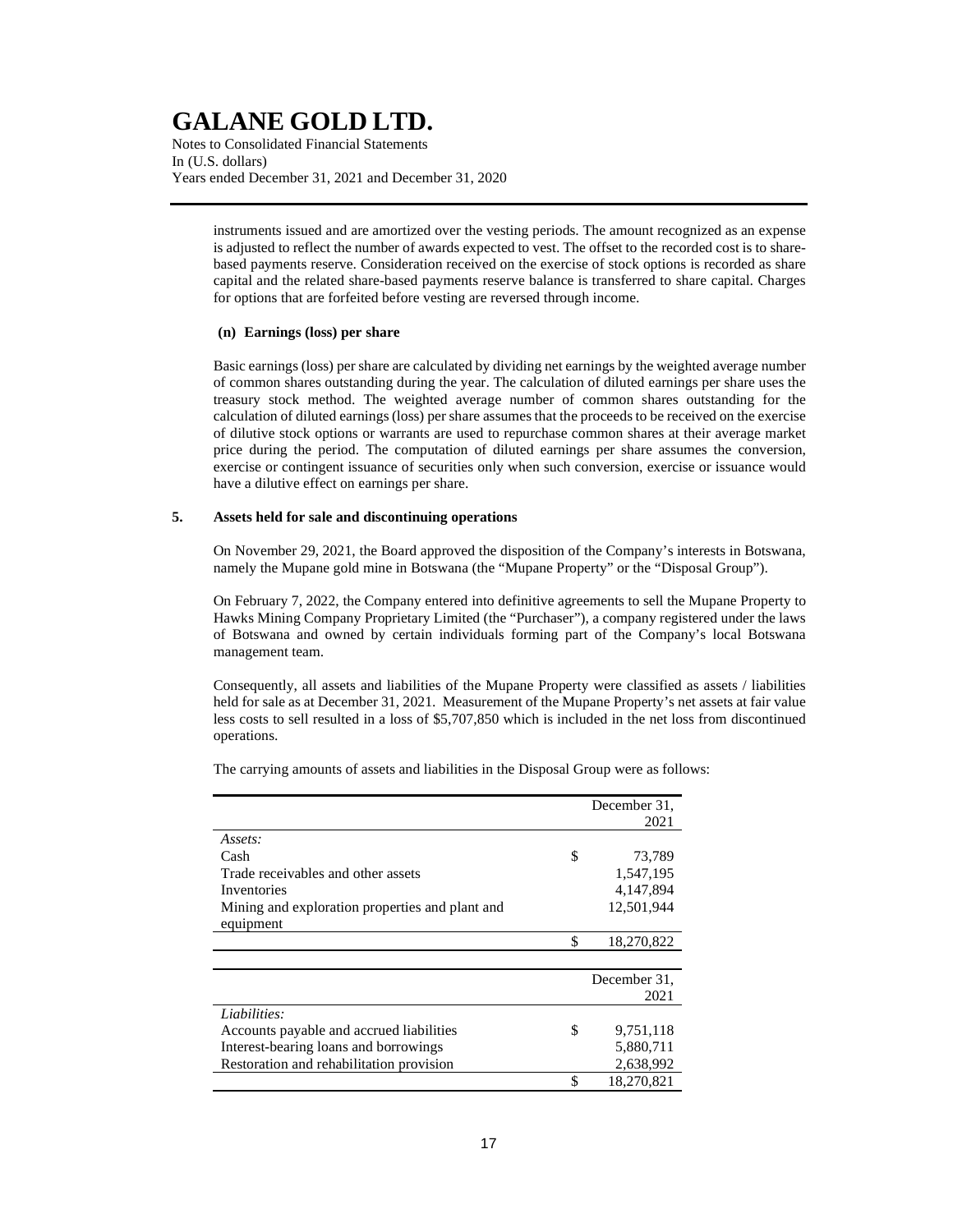Notes to Consolidated Financial Statements In (U.S. dollars) Years ended December 31, 2021 and December 31, 2020

> instruments issued and are amortized over the vesting periods. The amount recognized as an expense is adjusted to reflect the number of awards expected to vest. The offset to the recorded cost is to sharebased payments reserve. Consideration received on the exercise of stock options is recorded as share capital and the related share-based payments reserve balance is transferred to share capital. Charges for options that are forfeited before vesting are reversed through income.

#### **(n) Earnings (loss) per share**

Basic earnings (loss) per share are calculated by dividing net earnings by the weighted average number of common shares outstanding during the year. The calculation of diluted earnings per share uses the treasury stock method. The weighted average number of common shares outstanding for the calculation of diluted earnings (loss) per share assumes that the proceeds to be received on the exercise of dilutive stock options or warrants are used to repurchase common shares at their average market price during the period. The computation of diluted earnings per share assumes the conversion, exercise or contingent issuance of securities only when such conversion, exercise or issuance would have a dilutive effect on earnings per share.

#### **5. Assets held for sale and discontinuing operations**

On November 29, 2021, the Board approved the disposition of the Company's interests in Botswana, namely the Mupane gold mine in Botswana (the "Mupane Property" or the "Disposal Group").

On February 7, 2022, the Company entered into definitive agreements to sell the Mupane Property to Hawks Mining Company Proprietary Limited (the "Purchaser"), a company registered under the laws of Botswana and owned by certain individuals forming part of the Company's local Botswana management team.

Consequently, all assets and liabilities of the Mupane Property were classified as assets / liabilities held for sale as at December 31, 2021. Measurement of the Mupane Property's net assets at fair value less costs to sell resulted in a loss of \$5,707,850 which is included in the net loss from discontinued operations.

The carrying amounts of assets and liabilities in the Disposal Group were as follows:

|                                                 | December 31.     |
|-------------------------------------------------|------------------|
|                                                 | 2021             |
| Assets:                                         |                  |
| Cash                                            | \$<br>73,789     |
| Trade receivables and other assets              | 1,547,195        |
| Inventories                                     | 4,147,894        |
| Mining and exploration properties and plant and | 12,501,944       |
| equipment                                       |                  |
|                                                 | \$<br>18,270,822 |
|                                                 |                  |
|                                                 | December 31.     |
|                                                 | 2021             |
| Liabilities:                                    |                  |
| Accounts payable and accrued liabilities        | \$<br>9,751,118  |
| Interest-bearing loans and borrowings           | 5,880,711        |
| Restoration and rehabilitation provision        | 2,638,992        |
|                                                 | \$<br>18,270,821 |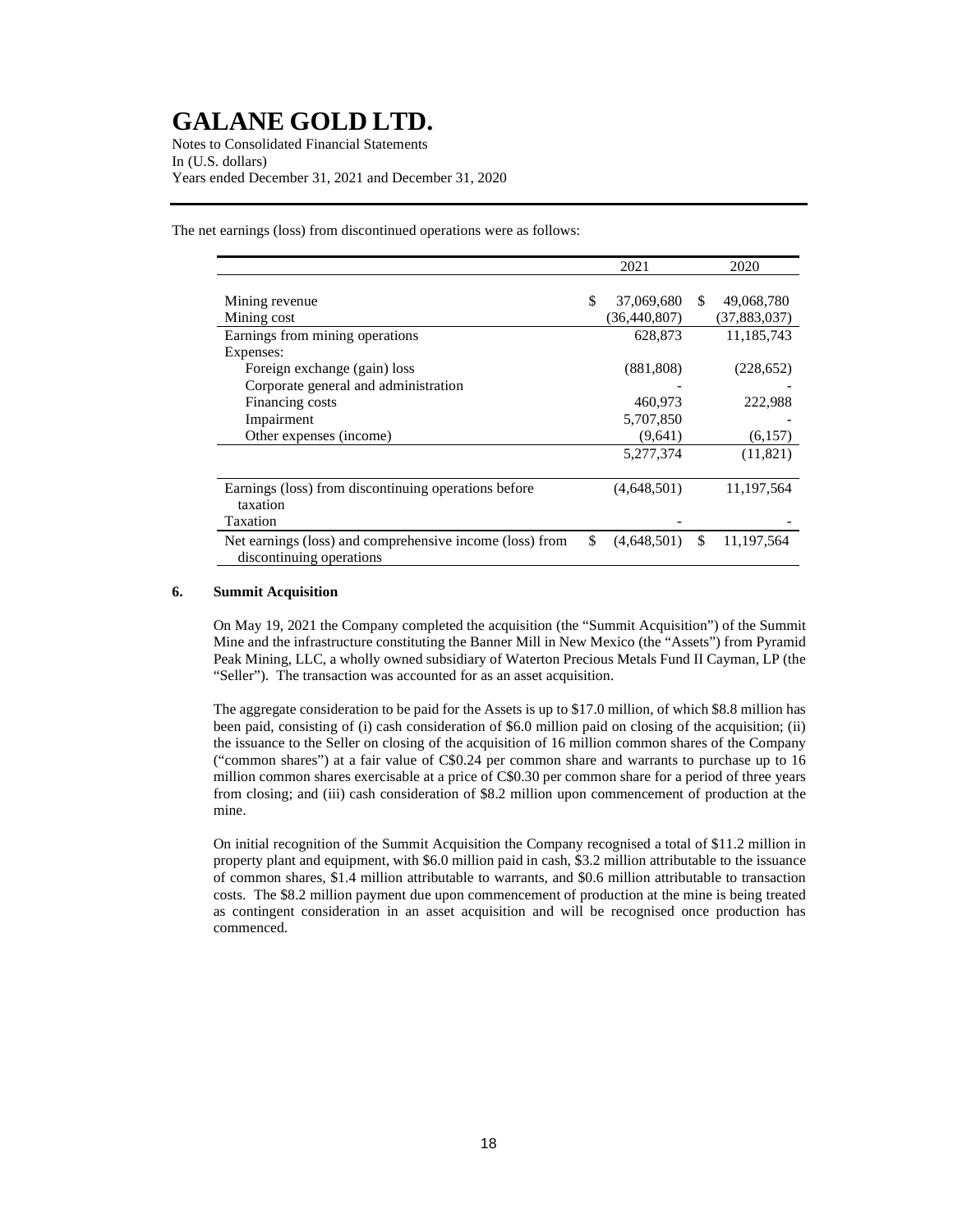Notes to Consolidated Financial Statements In (U.S. dollars) Years ended December 31, 2021 and December 31, 2020

The net earnings (loss) from discontinued operations were as follows:

|                                                                                      | 2021 |                |              | 2020         |
|--------------------------------------------------------------------------------------|------|----------------|--------------|--------------|
|                                                                                      |      |                |              |              |
| Mining revenue                                                                       | \$   | 37,069,680     | <sup>S</sup> | 49,068,780   |
| Mining cost                                                                          |      | (36, 440, 807) |              | (37,883,037) |
| Earnings from mining operations                                                      |      | 628,873        |              | 11,185,743   |
| Expenses:                                                                            |      |                |              |              |
| Foreign exchange (gain) loss                                                         |      | (881, 808)     |              | (228, 652)   |
| Corporate general and administration                                                 |      |                |              |              |
| Financing costs                                                                      |      | 460,973        |              | 222,988      |
| Impairment                                                                           |      | 5,707,850      |              |              |
| Other expenses (income)                                                              |      | (9,641)        |              | (6,157)      |
|                                                                                      |      | 5,277,374      |              | (11, 821)    |
| Earnings (loss) from discontinuing operations before                                 |      | (4,648,501)    |              | 11,197,564   |
| taxation                                                                             |      |                |              |              |
| Taxation                                                                             |      |                |              |              |
| Net earnings (loss) and comprehensive income (loss) from<br>discontinuing operations | \$   | (4,648,501)    | $\mathbb{S}$ | 11, 197, 564 |

#### **6. Summit Acquisition**

On May 19, 2021 the Company completed the acquisition (the "Summit Acquisition") of the Summit Mine and the infrastructure constituting the Banner Mill in New Mexico (the "Assets") from Pyramid Peak Mining, LLC, a wholly owned subsidiary of Waterton Precious Metals Fund II Cayman, LP (the "Seller"). The transaction was accounted for as an asset acquisition.

The aggregate consideration to be paid for the Assets is up to \$17.0 million, of which \$8.8 million has been paid, consisting of (i) cash consideration of \$6.0 million paid on closing of the acquisition; (ii) the issuance to the Seller on closing of the acquisition of 16 million common shares of the Company ("common shares") at a fair value of C\$0.24 per common share and warrants to purchase up to 16 million common shares exercisable at a price of C\$0.30 per common share for a period of three years from closing; and (iii) cash consideration of \$8.2 million upon commencement of production at the mine.

On initial recognition of the Summit Acquisition the Company recognised a total of \$11.2 million in property plant and equipment, with \$6.0 million paid in cash, \$3.2 million attributable to the issuance of common shares, \$1.4 million attributable to warrants, and \$0.6 million attributable to transaction costs. The \$8.2 million payment due upon commencement of production at the mine is being treated as contingent consideration in an asset acquisition and will be recognised once production has commenced.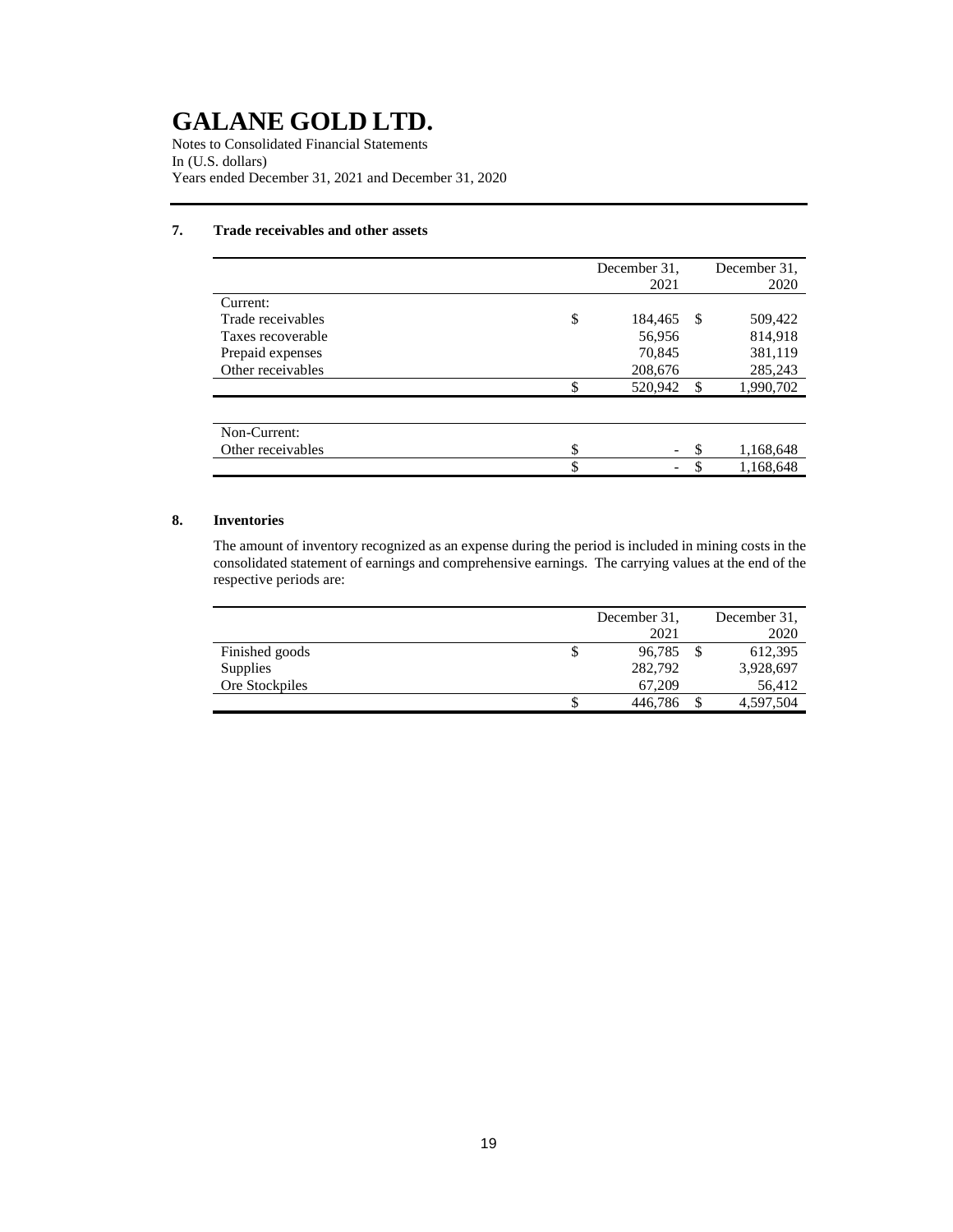Notes to Consolidated Financial Statements In (U.S. dollars) Years ended December 31, 2021 and December 31, 2020

### **7. Trade receivables and other assets**

|                   |    | December 31,<br>2021     |    | December 31.<br>2020 |
|-------------------|----|--------------------------|----|----------------------|
| Current:          |    |                          |    |                      |
| Trade receivables | \$ | 184,465                  | -S | 509,422              |
| Taxes recoverable |    | 56,956                   |    | 814,918              |
| Prepaid expenses  |    | 70,845                   |    | 381,119              |
| Other receivables |    | 208,676                  |    | 285,243              |
|                   |    | 520,942                  | \$ | 1,990,702            |
|                   |    |                          |    |                      |
| Non-Current:      |    |                          |    |                      |
| Other receivables | \$ | $\overline{\phantom{0}}$ | -S | 1,168,648            |
|                   | ¢  |                          |    | 1,168,648            |

#### **8. Inventories**

The amount of inventory recognized as an expense during the period is included in mining costs in the consolidated statement of earnings and comprehensive earnings. The carrying values at the end of the respective periods are:

|                | December 31. | December 31. |
|----------------|--------------|--------------|
|                | 2021         | 2020         |
| Finished goods | 96,785       | 612,395      |
| Supplies       | 282,792      | 3,928,697    |
| Ore Stockpiles | 67.209       | 56,412       |
|                | 446,786      | 4,597,504    |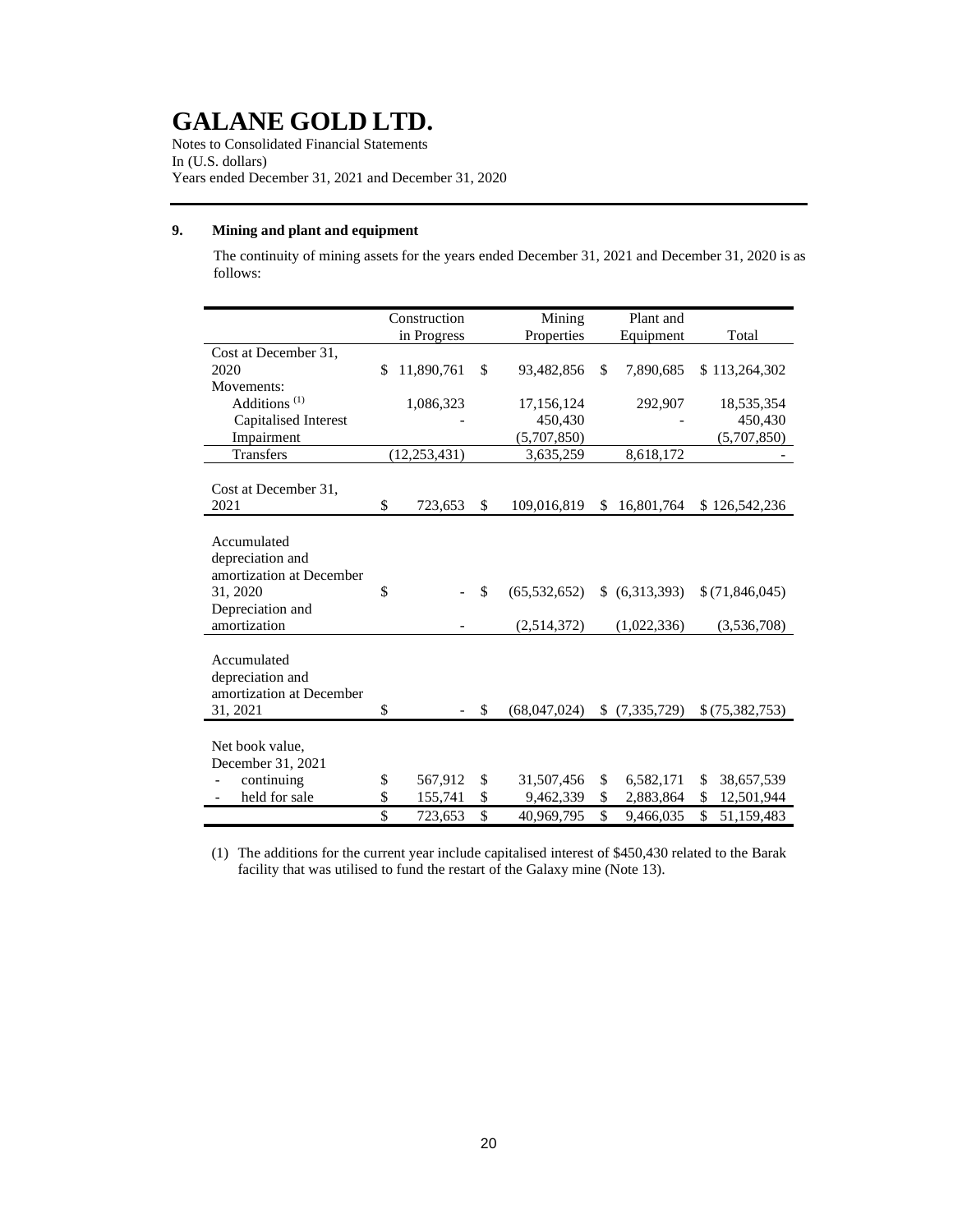Notes to Consolidated Financial Statements In (U.S. dollars) Years ended December 31, 2021 and December 31, 2020

### **9. Mining and plant and equipment**

The continuity of mining assets for the years ended December 31, 2021 and December 31, 2020 is as follows:

|                          | Construction     | Mining               |              | Plant and     |                  |
|--------------------------|------------------|----------------------|--------------|---------------|------------------|
|                          | in Progress      | Properties           |              | Equipment     | Total            |
| Cost at December 31,     |                  |                      |              |               |                  |
| 2020                     | \$<br>11,890,761 | \$<br>93,482,856     | $\mathbb{S}$ | 7,890,685     | \$113,264,302    |
| Movements:               |                  |                      |              |               |                  |
| Additions <sup>(1)</sup> | 1,086,323        | 17,156,124           |              | 292,907       | 18,535,354       |
| Capitalised Interest     |                  | 450,430              |              |               | 450,430          |
| Impairment               |                  | (5,707,850)          |              |               | (5,707,850)      |
| <b>Transfers</b>         | (12, 253, 431)   | 3,635,259            |              | 8,618,172     |                  |
|                          |                  |                      |              |               |                  |
| Cost at December 31,     |                  |                      |              |               |                  |
| 2021                     | \$<br>723,653    | \$<br>109,016,819    | \$           | 16,801,764    | \$126,542,236    |
|                          |                  |                      |              |               |                  |
| Accumulated              |                  |                      |              |               |                  |
| depreciation and         |                  |                      |              |               |                  |
| amortization at December |                  |                      |              |               |                  |
| 31, 2020                 | \$               | \$<br>(65, 532, 652) |              | (6,313,393)   | \$(71,846,045)   |
| Depreciation and         |                  |                      |              |               |                  |
| amortization             |                  | (2,514,372)          |              | (1,022,336)   | (3,536,708)      |
|                          |                  |                      |              |               |                  |
| Accumulated              |                  |                      |              |               |                  |
| depreciation and         |                  |                      |              |               |                  |
| amortization at December |                  |                      |              |               |                  |
| 31, 2021                 | \$               | \$<br>(68,047,024)   |              | \$(7,335,729) | \$(75,382,753)   |
|                          |                  |                      |              |               |                  |
| Net book value.          |                  |                      |              |               |                  |
| December 31, 2021        |                  |                      |              |               |                  |
| continuing               | \$<br>567,912    | \$<br>31,507,456     | \$           | 6,582,171     | 38,657,539<br>\$ |
| held for sale            | \$<br>155,741    | \$<br>9,462,339      | \$           | 2,883,864     | 12,501,944<br>\$ |
|                          | \$<br>723,653    | \$<br>40,969,795     | \$           | 9,466,035     | \$<br>51,159,483 |

(1) The additions for the current year include capitalised interest of \$450,430 related to the Barak facility that was utilised to fund the restart of the Galaxy mine (Note 13).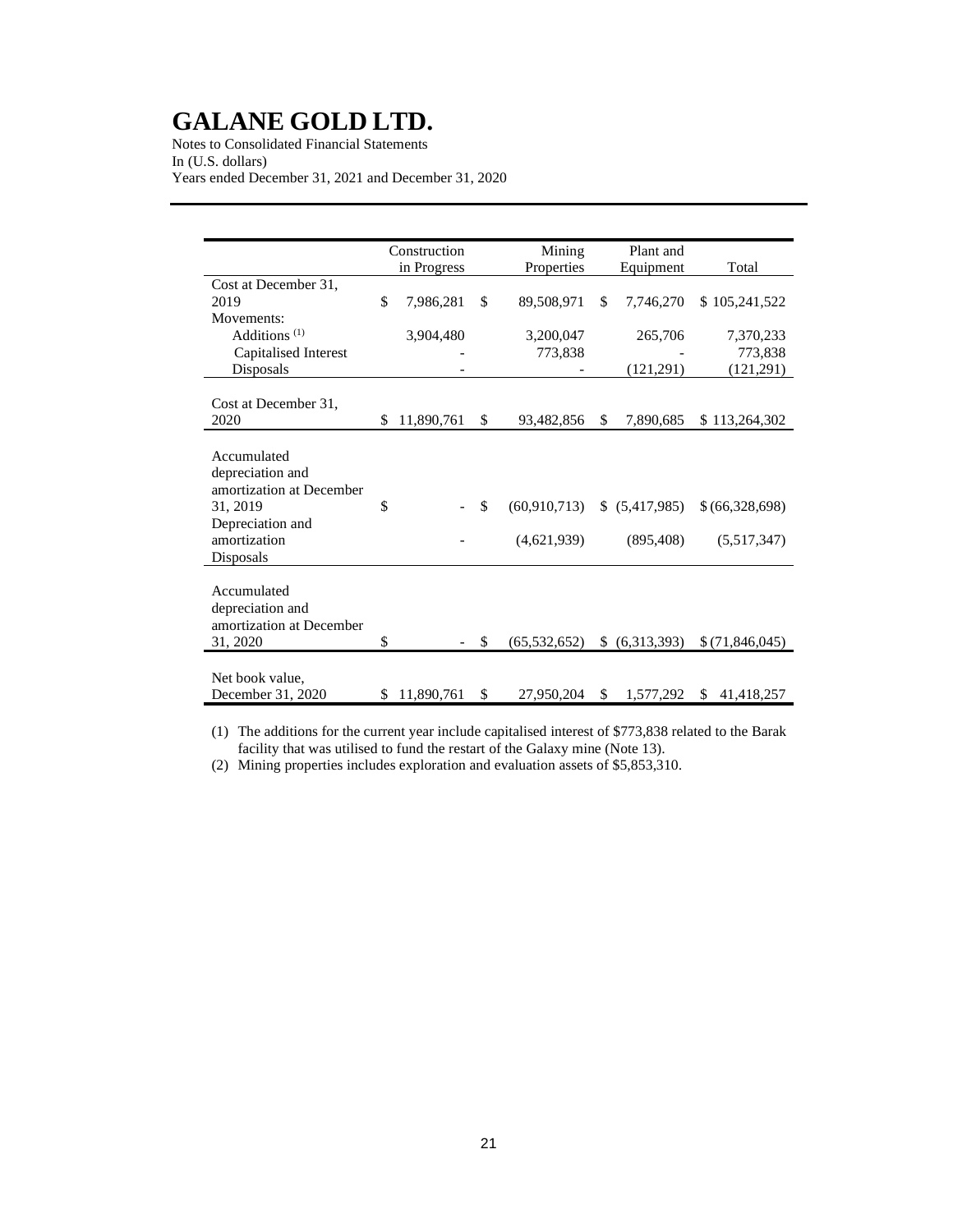Notes to Consolidated Financial Statements In (U.S. dollars) Years ended December 31, 2021 and December 31, 2020

|                                                                                                                          | Construction     | Mining                              | Plant and                    |                               |
|--------------------------------------------------------------------------------------------------------------------------|------------------|-------------------------------------|------------------------------|-------------------------------|
|                                                                                                                          | in Progress      | Properties                          | Equipment                    | Total                         |
| Cost at December 31,                                                                                                     |                  |                                     |                              |                               |
| 2019                                                                                                                     | \$<br>7,986,281  | \$<br>89,508,971                    | \$<br>7,746,270              | \$105,241,522                 |
| Movements:                                                                                                               |                  |                                     |                              |                               |
| Additions <sup>(1)</sup>                                                                                                 | 3,904,480        | 3,200,047                           | 265,706                      | 7,370,233                     |
| Capitalised Interest                                                                                                     |                  | 773,838                             |                              | 773,838                       |
| Disposals                                                                                                                |                  |                                     | (121, 291)                   | (121,291)                     |
|                                                                                                                          |                  |                                     |                              |                               |
| Cost at December 31.                                                                                                     |                  |                                     |                              |                               |
| 2020                                                                                                                     | \$<br>11,890,761 | \$<br>93,482,856                    | \$<br>7,890,685              | \$113,264,302                 |
| Accumulated<br>depreciation and<br>amortization at December<br>31, 2019<br>Depreciation and<br>amortization<br>Disposals | \$               | \$<br>(60, 910, 713)<br>(4,621,939) | \$ (5,417,985)<br>(895, 408) | \$(66,328,698)<br>(5,517,347) |
| Accumulated<br>depreciation and<br>amortization at December<br>31, 2020                                                  | \$               | \$<br>(65, 532, 652)                | (6,313,393)                  | \$(71,846,045)                |
| Net book value.<br>December 31, 2020                                                                                     | \$<br>11,890,761 | \$<br>27,950,204                    | \$<br>1.577.292              | \$<br>41,418,257              |

(1) The additions for the current year include capitalised interest of \$773,838 related to the Barak facility that was utilised to fund the restart of the Galaxy mine (Note 13).

(2) Mining properties includes exploration and evaluation assets of \$5,853,310.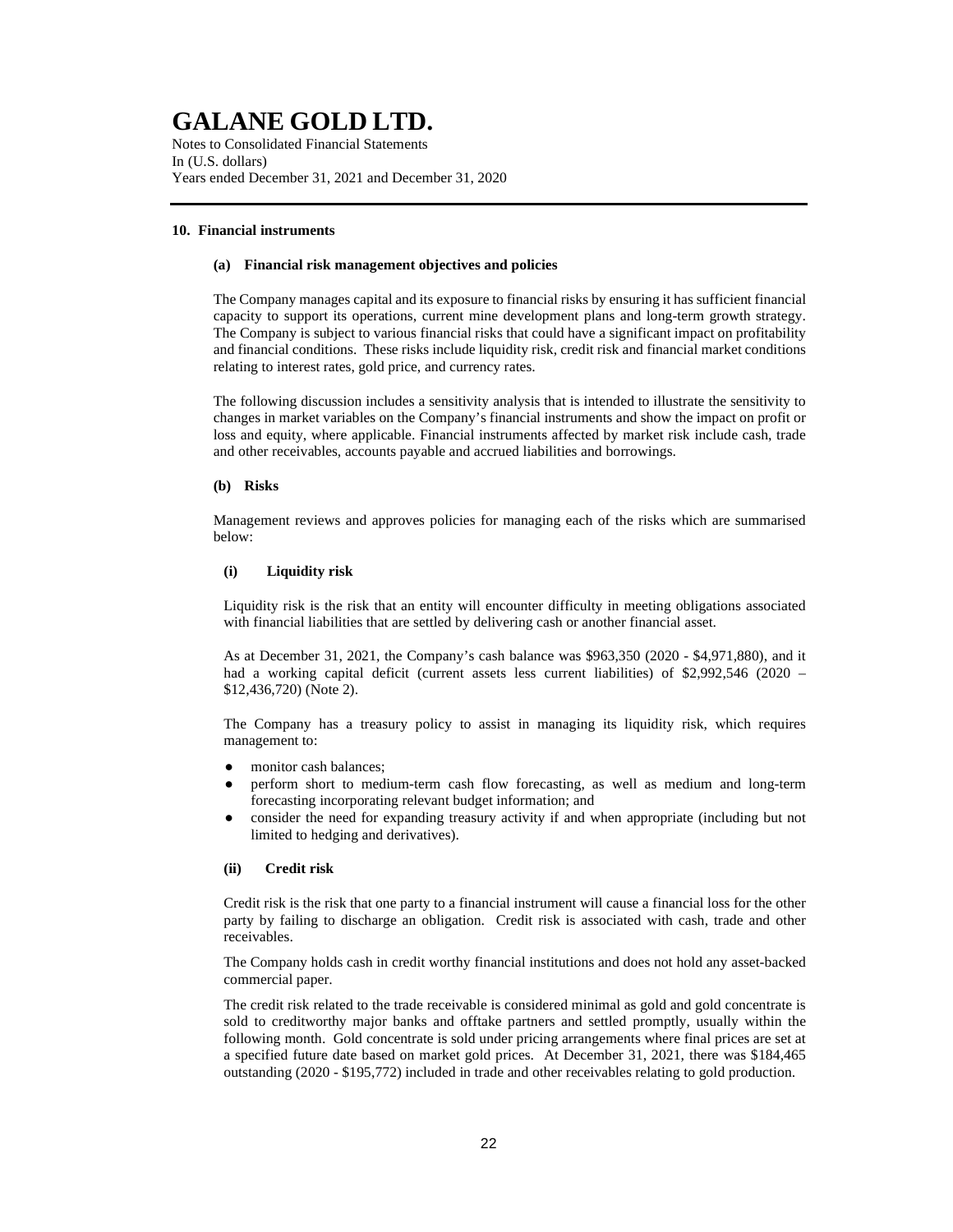Notes to Consolidated Financial Statements In (U.S. dollars) Years ended December 31, 2021 and December 31, 2020

#### **10. Financial instruments**

#### **(a) Financial risk management objectives and policies**

The Company manages capital and its exposure to financial risks by ensuring it has sufficient financial capacity to support its operations, current mine development plans and long-term growth strategy. The Company is subject to various financial risks that could have a significant impact on profitability and financial conditions. These risks include liquidity risk, credit risk and financial market conditions relating to interest rates, gold price, and currency rates.

The following discussion includes a sensitivity analysis that is intended to illustrate the sensitivity to changes in market variables on the Company's financial instruments and show the impact on profit or loss and equity, where applicable. Financial instruments affected by market risk include cash, trade and other receivables, accounts payable and accrued liabilities and borrowings.

#### **(b) Risks**

Management reviews and approves policies for managing each of the risks which are summarised below:

#### **(i) Liquidity risk**

Liquidity risk is the risk that an entity will encounter difficulty in meeting obligations associated with financial liabilities that are settled by delivering cash or another financial asset.

As at December 31, 2021, the Company's cash balance was \$963,350 (2020 - \$4,971,880), and it had a working capital deficit (current assets less current liabilities) of \$2,992,546 (2020 – \$12,436,720) (Note 2).

The Company has a treasury policy to assist in managing its liquidity risk, which requires management to:

- monitor cash balances;
- perform short to medium-term cash flow forecasting, as well as medium and long-term forecasting incorporating relevant budget information; and
- consider the need for expanding treasury activity if and when appropriate (including but not limited to hedging and derivatives).

#### **(ii) Credit risk**

Credit risk is the risk that one party to a financial instrument will cause a financial loss for the other party by failing to discharge an obligation. Credit risk is associated with cash, trade and other receivables.

The Company holds cash in credit worthy financial institutions and does not hold any asset-backed commercial paper.

The credit risk related to the trade receivable is considered minimal as gold and gold concentrate is sold to creditworthy major banks and offtake partners and settled promptly, usually within the following month. Gold concentrate is sold under pricing arrangements where final prices are set at a specified future date based on market gold prices. At December 31, 2021, there was \$184,465 outstanding (2020 - \$195,772) included in trade and other receivables relating to gold production.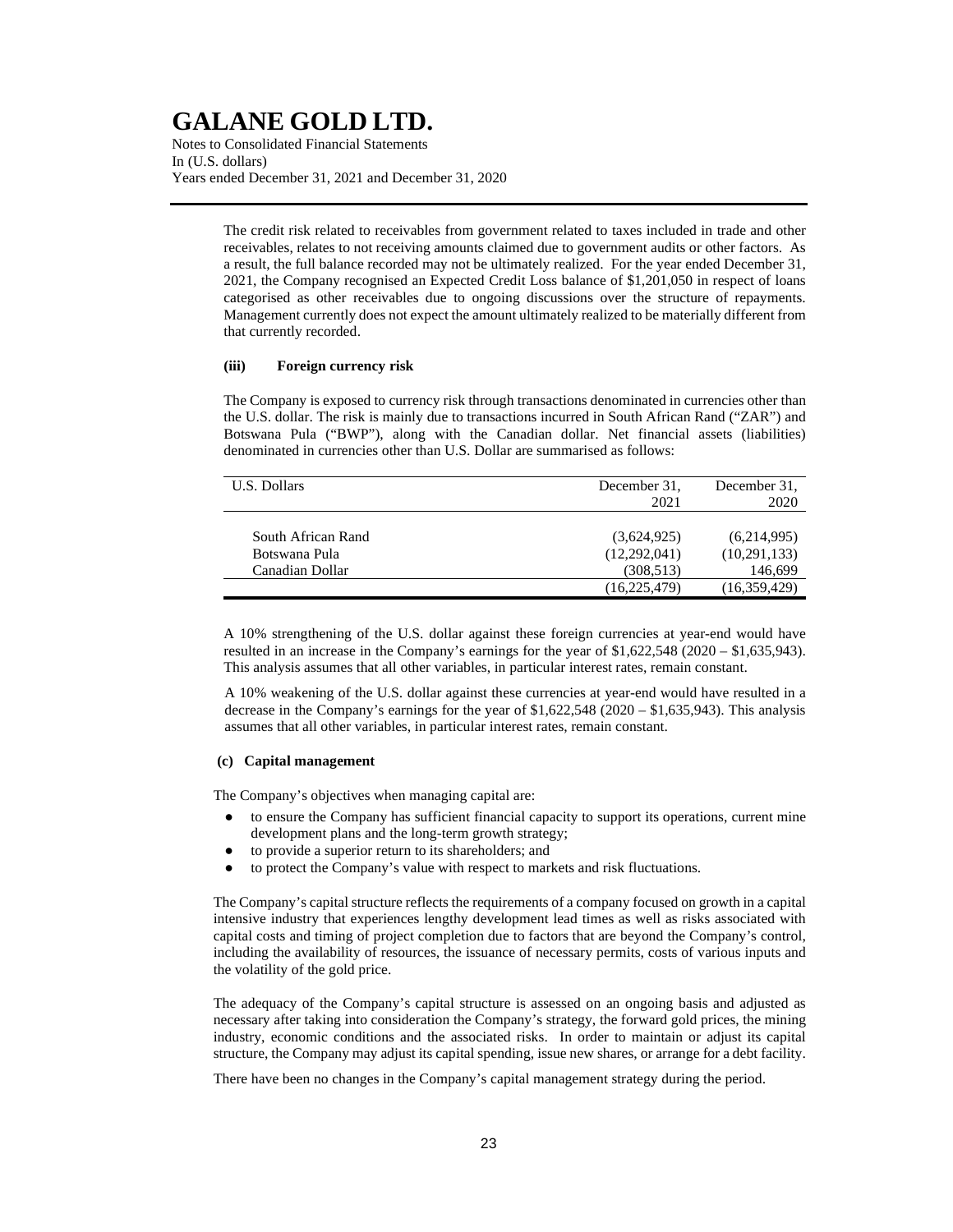Notes to Consolidated Financial Statements In (U.S. dollars) Years ended December 31, 2021 and December 31, 2020

> The credit risk related to receivables from government related to taxes included in trade and other receivables, relates to not receiving amounts claimed due to government audits or other factors. As a result, the full balance recorded may not be ultimately realized. For the year ended December 31, 2021, the Company recognised an Expected Credit Loss balance of \$1,201,050 in respect of loans categorised as other receivables due to ongoing discussions over the structure of repayments. Management currently does not expect the amount ultimately realized to be materially different from that currently recorded.

#### **(iii) Foreign currency risk**

The Company is exposed to currency risk through transactions denominated in currencies other than the U.S. dollar. The risk is mainly due to transactions incurred in South African Rand ("ZAR") and Botswana Pula ("BWP"), along with the Canadian dollar. Net financial assets (liabilities) denominated in currencies other than U.S. Dollar are summarised as follows:

| U.S. Dollars                                           | December 31.<br>2021                      | December 31.<br>2020                   |
|--------------------------------------------------------|-------------------------------------------|----------------------------------------|
| South African Rand<br>Botswana Pula<br>Canadian Dollar | (3,624,925)<br>(12,292,041)<br>(308, 513) | (6,214,995)<br>(10,291,133)<br>146,699 |
|                                                        | (16, 225, 479)                            | (16, 359, 429)                         |

A 10% strengthening of the U.S. dollar against these foreign currencies at year-end would have resulted in an increase in the Company's earnings for the year of \$1,622,548 (2020 – \$1,635,943). This analysis assumes that all other variables, in particular interest rates, remain constant.

A 10% weakening of the U.S. dollar against these currencies at year-end would have resulted in a decrease in the Company's earnings for the year of \$1,622,548 (2020 – \$1,635,943). This analysis assumes that all other variables, in particular interest rates, remain constant.

#### **(c) Capital management**

The Company's objectives when managing capital are:

- to ensure the Company has sufficient financial capacity to support its operations, current mine development plans and the long-term growth strategy;
- to provide a superior return to its shareholders; and
- to protect the Company's value with respect to markets and risk fluctuations.

The Company's capital structure reflects the requirements of a company focused on growth in a capital intensive industry that experiences lengthy development lead times as well as risks associated with capital costs and timing of project completion due to factors that are beyond the Company's control, including the availability of resources, the issuance of necessary permits, costs of various inputs and the volatility of the gold price.

The adequacy of the Company's capital structure is assessed on an ongoing basis and adjusted as necessary after taking into consideration the Company's strategy, the forward gold prices, the mining industry, economic conditions and the associated risks. In order to maintain or adjust its capital structure, the Company may adjust its capital spending, issue new shares, or arrange for a debt facility.

There have been no changes in the Company's capital management strategy during the period.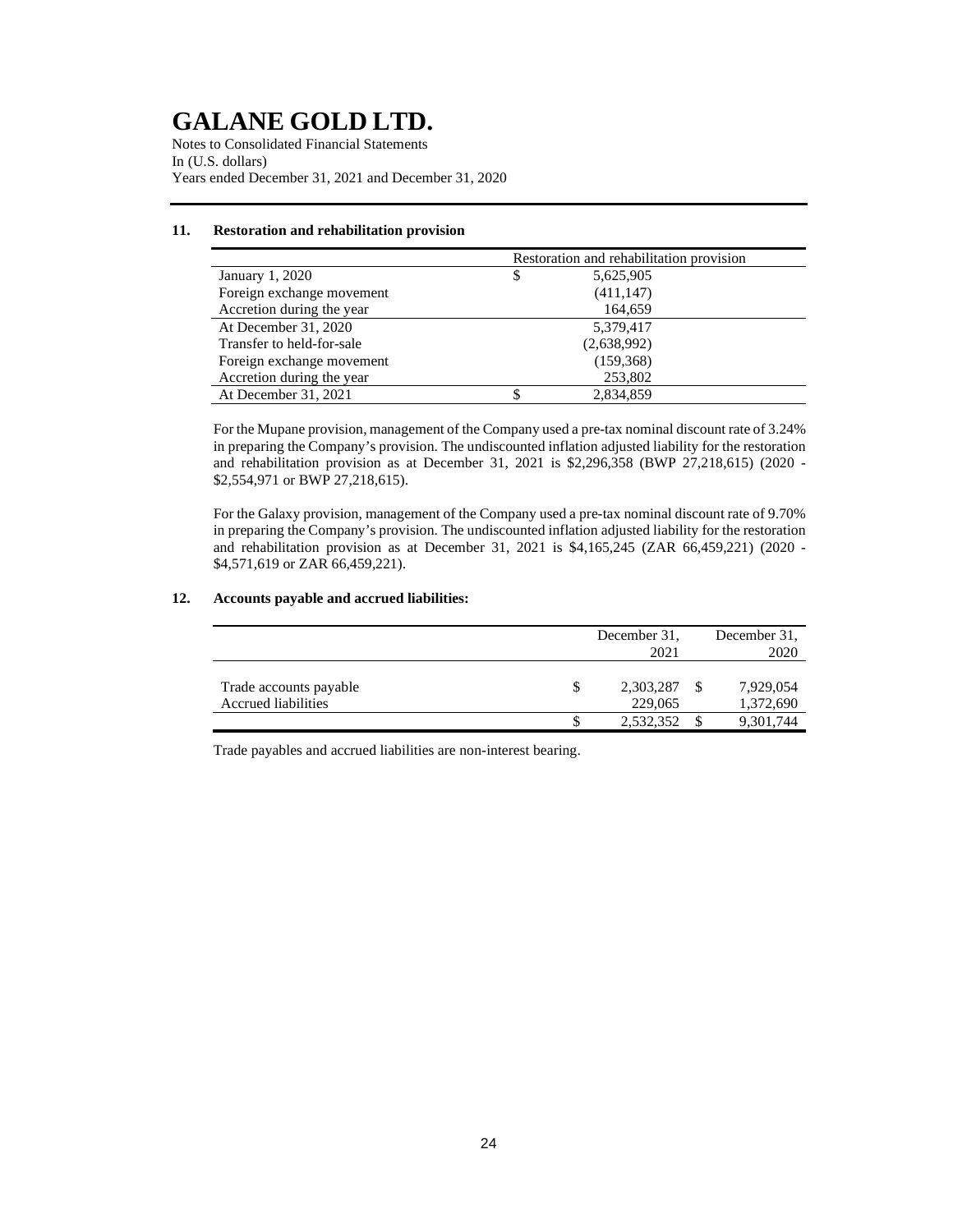Notes to Consolidated Financial Statements In (U.S. dollars) Years ended December 31, 2021 and December 31, 2020

### **11. Restoration and rehabilitation provision**

|                           | Restoration and rehabilitation provision |
|---------------------------|------------------------------------------|
| January 1, 2020           | 5,625,905<br>\$                          |
| Foreign exchange movement | (411, 147)                               |
| Accretion during the year | 164.659                                  |
| At December 31, 2020      | 5,379,417                                |
| Transfer to held-for-sale | (2,638,992)                              |
| Foreign exchange movement | (159, 368)                               |
| Accretion during the year | 253,802                                  |
| At December 31, 2021      | 2.834.859                                |

For the Mupane provision, management of the Company used a pre-tax nominal discount rate of 3.24% in preparing the Company's provision. The undiscounted inflation adjusted liability for the restoration and rehabilitation provision as at December 31, 2021 is \$2,296,358 (BWP 27,218,615) (2020 - \$2,554,971 or BWP 27,218,615).

For the Galaxy provision, management of the Company used a pre-tax nominal discount rate of 9.70% in preparing the Company's provision. The undiscounted inflation adjusted liability for the restoration and rehabilitation provision as at December 31, 2021 is \$4,165,245 (ZAR 66,459,221) (2020 - \$4,571,619 or ZAR 66,459,221).

### **12. Accounts payable and accrued liabilities:**

|                                                      | December 31,<br>2021       |  | December 31.<br>2020   |  |
|------------------------------------------------------|----------------------------|--|------------------------|--|
| Trade accounts payable<br><b>Accrued liabilities</b> | \$<br>2,303,287<br>229,065 |  | 7,929,054<br>1,372,690 |  |
|                                                      | 2,532,352                  |  | 9,301,744              |  |

Trade payables and accrued liabilities are non-interest bearing.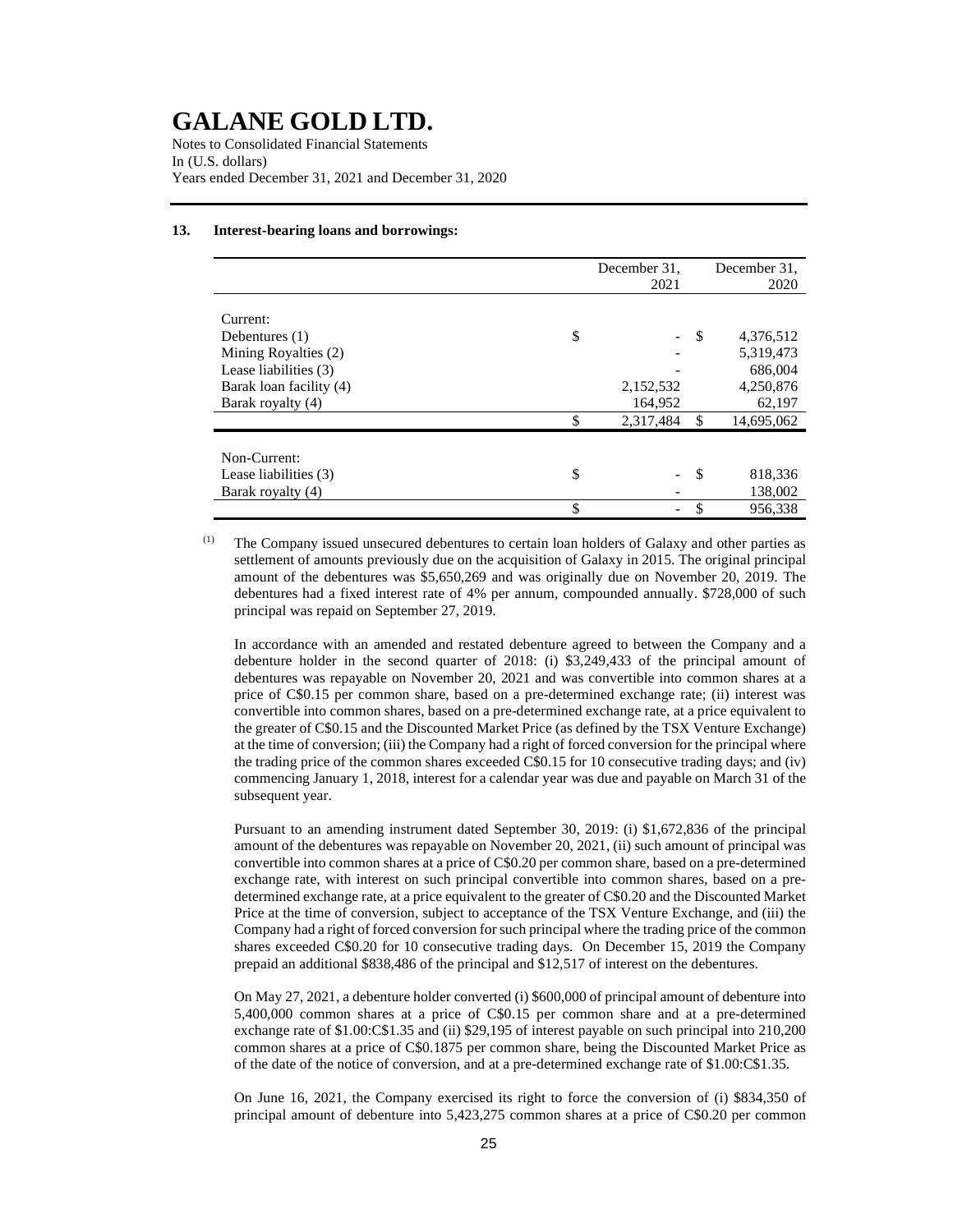Notes to Consolidated Financial Statements In (U.S. dollars) Years ended December 31, 2021 and December 31, 2020

#### **13. Interest-bearing loans and borrowings:**

|                         | December 31,<br>2021 |    | December 31.<br>2020 |
|-------------------------|----------------------|----|----------------------|
|                         |                      |    |                      |
| Current:                |                      |    |                      |
| Debentures $(1)$        | \$                   | \$ | 4,376,512            |
| Mining Royalties (2)    |                      |    | 5,319,473            |
| Lease liabilities (3)   |                      |    | 686,004              |
| Barak loan facility (4) | 2,152,532            |    | 4,250,876            |
| Barak royalty (4)       | 164,952              |    | 62,197               |
|                         | \$<br>2,317,484      | \$ | 14,695,062           |
|                         |                      |    |                      |
| Non-Current:            |                      |    |                      |
| Lease liabilities (3)   | \$                   | \$ | 818,336              |
| Barak royalty (4)       |                      |    | 138,002              |
|                         | \$                   | S  | 956.338              |

(1) The Company issued unsecured debentures to certain loan holders of Galaxy and other parties as settlement of amounts previously due on the acquisition of Galaxy in 2015. The original principal amount of the debentures was \$5,650,269 and was originally due on November 20, 2019. The debentures had a fixed interest rate of 4% per annum, compounded annually. \$728,000 of such principal was repaid on September 27, 2019.

In accordance with an amended and restated debenture agreed to between the Company and a debenture holder in the second quarter of 2018: (i) \$3,249,433 of the principal amount of debentures was repayable on November 20, 2021 and was convertible into common shares at a price of C\$0.15 per common share, based on a pre-determined exchange rate; (ii) interest was convertible into common shares, based on a pre-determined exchange rate, at a price equivalent to the greater of C\$0.15 and the Discounted Market Price (as defined by the TSX Venture Exchange) at the time of conversion; (iii) the Company had a right of forced conversion for the principal where the trading price of the common shares exceeded C\$0.15 for 10 consecutive trading days; and (iv) commencing January 1, 2018, interest for a calendar year was due and payable on March 31 of the subsequent year.

Pursuant to an amending instrument dated September 30, 2019: (i) \$1,672,836 of the principal amount of the debentures was repayable on November 20, 2021, (ii) such amount of principal was convertible into common shares at a price of C\$0.20 per common share, based on a pre-determined exchange rate, with interest on such principal convertible into common shares, based on a predetermined exchange rate, at a price equivalent to the greater of C\$0.20 and the Discounted Market Price at the time of conversion, subject to acceptance of the TSX Venture Exchange, and (iii) the Company had a right of forced conversion for such principal where the trading price of the common shares exceeded C\$0.20 for 10 consecutive trading days. On December 15, 2019 the Company prepaid an additional \$838,486 of the principal and \$12,517 of interest on the debentures.

On May 27, 2021, a debenture holder converted (i) \$600,000 of principal amount of debenture into 5,400,000 common shares at a price of C\$0.15 per common share and at a pre-determined exchange rate of \$1.00:C\$1.35 and (ii) \$29,195 of interest payable on such principal into 210,200 common shares at a price of C\$0.1875 per common share, being the Discounted Market Price as of the date of the notice of conversion, and at a pre-determined exchange rate of \$1.00:C\$1.35.

On June 16, 2021, the Company exercised its right to force the conversion of (i) \$834,350 of principal amount of debenture into 5,423,275 common shares at a price of C\$0.20 per common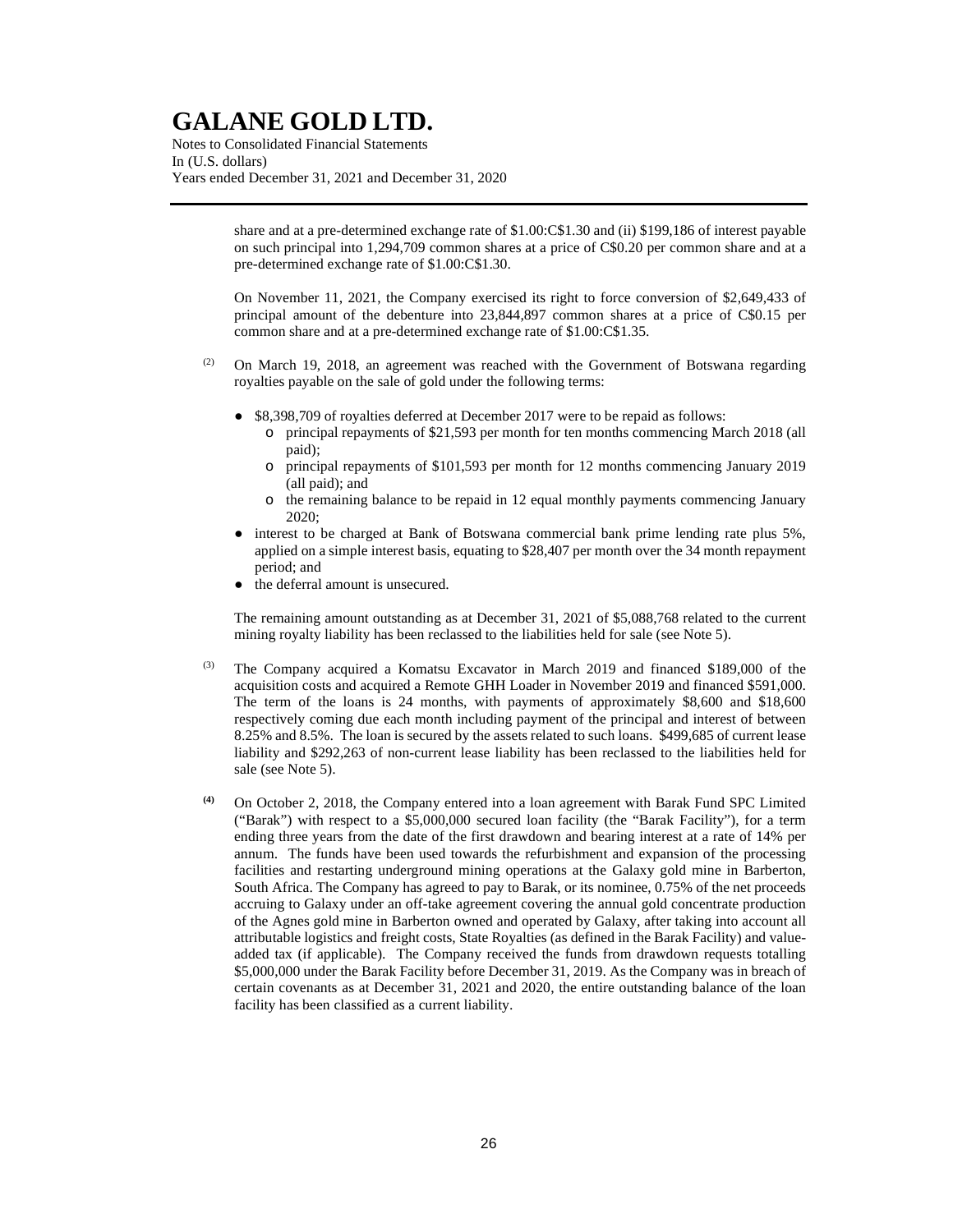Notes to Consolidated Financial Statements In (U.S. dollars) Years ended December 31, 2021 and December 31, 2020

> share and at a pre-determined exchange rate of \$1.00:C\$1.30 and (ii) \$199,186 of interest payable on such principal into 1,294,709 common shares at a price of C\$0.20 per common share and at a pre-determined exchange rate of \$1.00:C\$1.30.

> On November 11, 2021, the Company exercised its right to force conversion of \$2,649,433 of principal amount of the debenture into 23,844,897 common shares at a price of C\$0.15 per common share and at a pre-determined exchange rate of \$1.00:C\$1.35.

- $(2)$  On March 19, 2018, an agreement was reached with the Government of Botswana regarding royalties payable on the sale of gold under the following terms:
	- \$8,398,709 of royalties deferred at December 2017 were to be repaid as follows:
		- o principal repayments of \$21,593 per month for ten months commencing March 2018 (all paid);
		- o principal repayments of \$101,593 per month for 12 months commencing January 2019 (all paid); and
		- o the remaining balance to be repaid in 12 equal monthly payments commencing January 2020;
	- interest to be charged at Bank of Botswana commercial bank prime lending rate plus 5%, applied on a simple interest basis, equating to \$28,407 per month over the 34 month repayment period; and
	- the deferral amount is unsecured.

The remaining amount outstanding as at December 31, 2021 of \$5,088,768 related to the current mining royalty liability has been reclassed to the liabilities held for sale (see Note 5).

- (3) The Company acquired a Komatsu Excavator in March 2019 and financed \$189,000 of the acquisition costs and acquired a Remote GHH Loader in November 2019 and financed \$591,000. The term of the loans is 24 months, with payments of approximately \$8,600 and \$18,600 respectively coming due each month including payment of the principal and interest of between 8.25% and 8.5%. The loan is secured by the assets related to such loans. \$499,685 of current lease liability and \$292,263 of non-current lease liability has been reclassed to the liabilities held for sale (see Note 5).
- **(4)** On October 2, 2018, the Company entered into a loan agreement with Barak Fund SPC Limited ("Barak") with respect to a \$5,000,000 secured loan facility (the "Barak Facility"), for a term ending three years from the date of the first drawdown and bearing interest at a rate of 14% per annum. The funds have been used towards the refurbishment and expansion of the processing facilities and restarting underground mining operations at the Galaxy gold mine in Barberton, South Africa. The Company has agreed to pay to Barak, or its nominee, 0.75% of the net proceeds accruing to Galaxy under an off-take agreement covering the annual gold concentrate production of the Agnes gold mine in Barberton owned and operated by Galaxy, after taking into account all attributable logistics and freight costs, State Royalties (as defined in the Barak Facility) and valueadded tax (if applicable). The Company received the funds from drawdown requests totalling \$5,000,000 under the Barak Facility before December 31, 2019. As the Company was in breach of certain covenants as at December 31, 2021 and 2020, the entire outstanding balance of the loan facility has been classified as a current liability.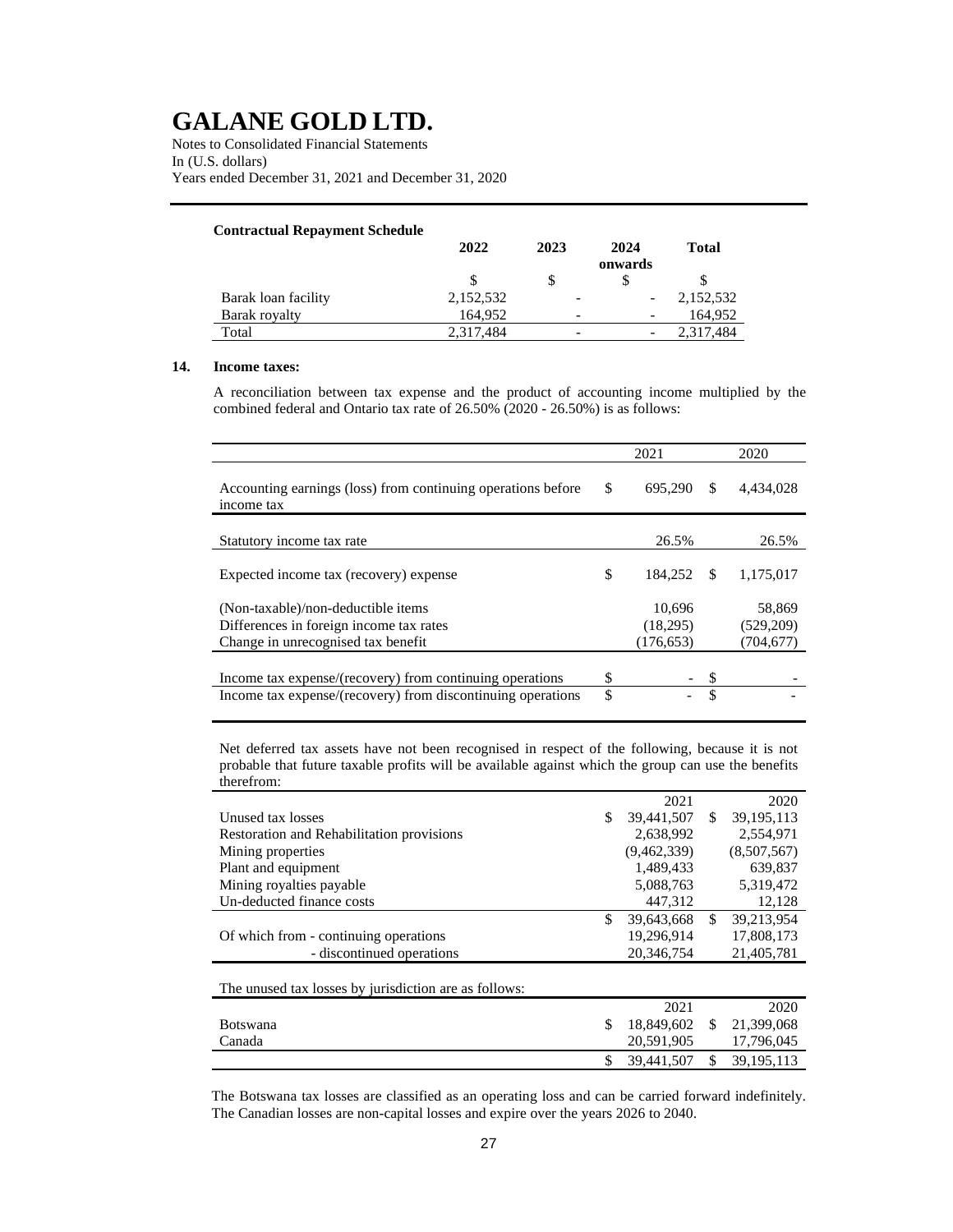Notes to Consolidated Financial Statements In (U.S. dollars) Years ended December 31, 2021 and December 31, 2020

| <b>Contractual Repayment Schedule</b> |           |      |                 |              |
|---------------------------------------|-----------|------|-----------------|--------------|
|                                       | 2022      | 2023 | 2024<br>onwards | <b>Total</b> |
|                                       | S         | S    |                 |              |
| Barak loan facility                   | 2,152,532 |      | -               | 2,152,532    |
| Barak royalty                         | 164.952   |      | ۰               | 164.952      |
| Total                                 | 2,317,484 |      | -               | 2,317,484    |

#### **14. Income taxes:**

A reconciliation between tax expense and the product of accounting income multiplied by the combined federal and Ontario tax rate of 26.50% (2020 - 26.50%) is as follows:

|                                                                                                                         |          | 2021                             |          | 2020                               |
|-------------------------------------------------------------------------------------------------------------------------|----------|----------------------------------|----------|------------------------------------|
| Accounting earnings (loss) from continuing operations before<br>income tax                                              | \$.      | 695.290                          | \$.      | 4.434,028                          |
| Statutory income tax rate                                                                                               |          | 26.5%                            |          | 26.5%                              |
| Expected income tax (recovery) expense                                                                                  | \$       | 184.252                          | <b>S</b> | 1,175,017                          |
| (Non-taxable)/non-deductible items<br>Differences in foreign income tax rates<br>Change in unrecognised tax benefit     |          | 10,696<br>(18,295)<br>(176, 653) |          | 58,869<br>(529, 209)<br>(704, 677) |
| Income tax expense/(recovery) from continuing operations<br>Income tax expense/(recovery) from discontinuing operations | \$<br>\$ |                                  | S<br>\$  |                                    |

Net deferred tax assets have not been recognised in respect of the following, because it is not probable that future taxable profits will be available against which the group can use the benefits therefrom:

|                                                       |     | 2021        |     | 2020         |
|-------------------------------------------------------|-----|-------------|-----|--------------|
| Unused tax losses                                     | \$. | 39,441,507  | \$. | 39, 195, 113 |
| Restoration and Rehabilitation provisions             |     | 2,638,992   |     | 2,554,971    |
| Mining properties                                     |     | (9,462,339) |     | (8,507,567)  |
| Plant and equipment                                   |     | 1,489,433   |     | 639.837      |
| Mining royalties payable                              |     | 5,088,763   |     | 5,319,472    |
| Un-deducted finance costs                             |     | 447,312     |     | 12,128       |
|                                                       | \$  | 39,643,668  | \$. | 39.213.954   |
| Of which from - continuing operations                 |     | 19,296,914  |     | 17,808,173   |
| - discontinued operations                             |     | 20.346.754  |     | 21,405,781   |
|                                                       |     |             |     |              |
| The unused tax losses by jurisdiction are as follows: |     |             |     |              |
|                                                       |     | 2021        |     | 2020         |
| <b>Botswana</b>                                       | \$  | 18,849,602  | \$. | 21,399,068   |
| Canada                                                |     | 20,591,905  |     | 17,796,045   |
|                                                       | \$  | 39,441,507  |     | 39,195,113   |

The Botswana tax losses are classified as an operating loss and can be carried forward indefinitely. The Canadian losses are non-capital losses and expire over the years 2026 to 2040.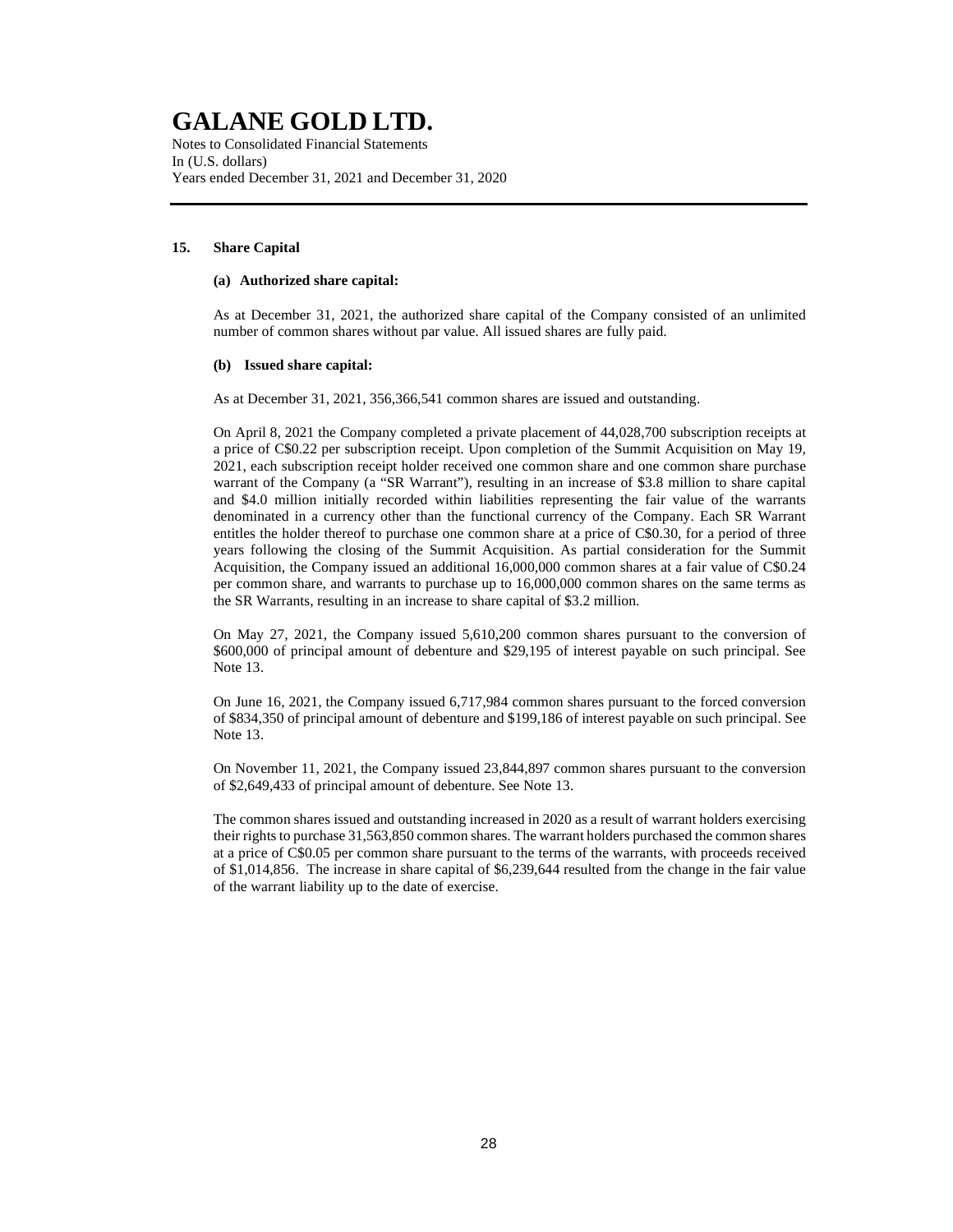Notes to Consolidated Financial Statements In (U.S. dollars) Years ended December 31, 2021 and December 31, 2020

#### **15. Share Capital**

#### **(a) Authorized share capital:**

As at December 31, 2021, the authorized share capital of the Company consisted of an unlimited number of common shares without par value. All issued shares are fully paid.

#### **(b) Issued share capital:**

As at December 31, 2021, 356,366,541 common shares are issued and outstanding.

On April 8, 2021 the Company completed a private placement of 44,028,700 subscription receipts at a price of C\$0.22 per subscription receipt. Upon completion of the Summit Acquisition on May 19, 2021, each subscription receipt holder received one common share and one common share purchase warrant of the Company (a "SR Warrant"), resulting in an increase of \$3.8 million to share capital and \$4.0 million initially recorded within liabilities representing the fair value of the warrants denominated in a currency other than the functional currency of the Company. Each SR Warrant entitles the holder thereof to purchase one common share at a price of C\$0.30, for a period of three years following the closing of the Summit Acquisition. As partial consideration for the Summit Acquisition, the Company issued an additional 16,000,000 common shares at a fair value of C\$0.24 per common share, and warrants to purchase up to 16,000,000 common shares on the same terms as the SR Warrants, resulting in an increase to share capital of \$3.2 million.

On May 27, 2021, the Company issued 5,610,200 common shares pursuant to the conversion of \$600,000 of principal amount of debenture and \$29,195 of interest payable on such principal. See Note 13.

On June 16, 2021, the Company issued 6,717,984 common shares pursuant to the forced conversion of \$834,350 of principal amount of debenture and \$199,186 of interest payable on such principal. See Note 13.

On November 11, 2021, the Company issued 23,844,897 common shares pursuant to the conversion of \$2,649,433 of principal amount of debenture. See Note 13.

The common shares issued and outstanding increased in 2020 as a result of warrant holders exercising their rights to purchase 31,563,850 common shares. The warrant holders purchased the common shares at a price of C\$0.05 per common share pursuant to the terms of the warrants, with proceeds received of \$1,014,856. The increase in share capital of \$6,239,644 resulted from the change in the fair value of the warrant liability up to the date of exercise.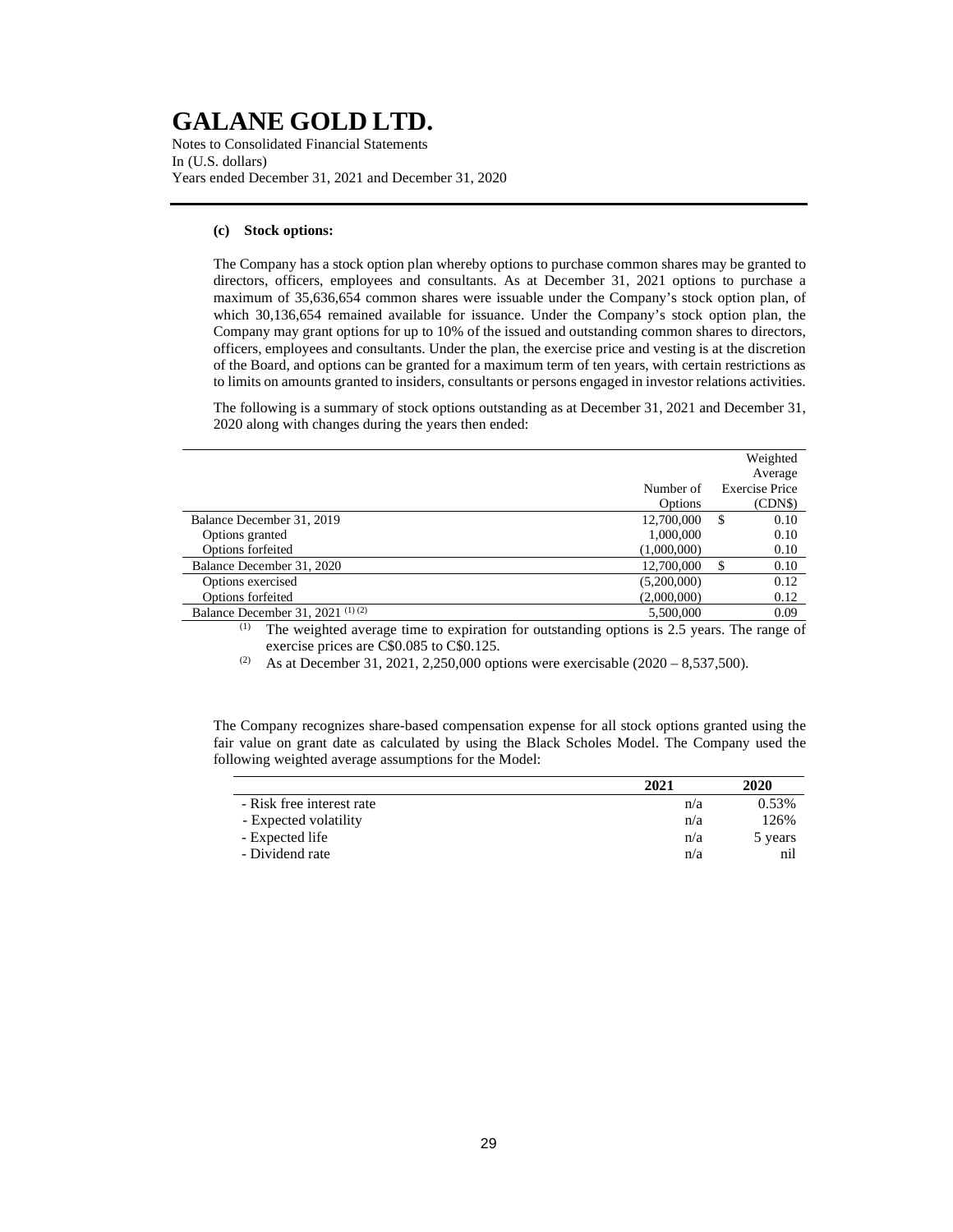Notes to Consolidated Financial Statements In (U.S. dollars) Years ended December 31, 2021 and December 31, 2020

#### **(c) Stock options:**

The Company has a stock option plan whereby options to purchase common shares may be granted to directors, officers, employees and consultants. As at December 31, 2021 options to purchase a maximum of 35,636,654 common shares were issuable under the Company's stock option plan, of which 30,136,654 remained available for issuance. Under the Company's stock option plan, the Company may grant options for up to 10% of the issued and outstanding common shares to directors, officers, employees and consultants. Under the plan, the exercise price and vesting is at the discretion of the Board, and options can be granted for a maximum term of ten years, with certain restrictions as to limits on amounts granted to insiders, consultants or persons engaged in investor relations activities.

The following is a summary of stock options outstanding as at December 31, 2021 and December 31, 2020 along with changes during the years then ended:

|                                    |             |   | Weighted              |
|------------------------------------|-------------|---|-----------------------|
|                                    |             |   | Average               |
|                                    | Number of   |   | <b>Exercise Price</b> |
|                                    | Options     |   | (CDN\$)               |
| Balance December 31, 2019          | 12,700,000  | S | 0.10                  |
| Options granted                    | 1,000,000   |   | 0.10                  |
| Options forfeited                  | (1,000,000) |   | 0.10                  |
| Balance December 31, 2020          | 12,700,000  | S | 0.10                  |
| Options exercised                  | (5,200,000) |   | 0.12                  |
| Options forfeited                  | (2,000,000) |   | 0.12                  |
| Balance December 31, 2021 $(1)(2)$ | 5.500,000   |   | 0.09                  |

(1) The weighted average time to expiration for outstanding options is 2.5 years. The range of exercise prices are C\$0.085 to C\$0.125.

(2) As at December 31, 2021, 2,250,000 options were exercisable  $(2020 - 8,537,500)$ .

The Company recognizes share-based compensation expense for all stock options granted using the fair value on grant date as calculated by using the Black Scholes Model. The Company used the following weighted average assumptions for the Model:

|                           | 2021 | 2020    |
|---------------------------|------|---------|
| - Risk free interest rate | n/a  | 0.53%   |
| - Expected volatility     | n/a  | 126%    |
| - Expected life           | n/a  | 5 years |
| - Dividend rate           | n/a  | nil     |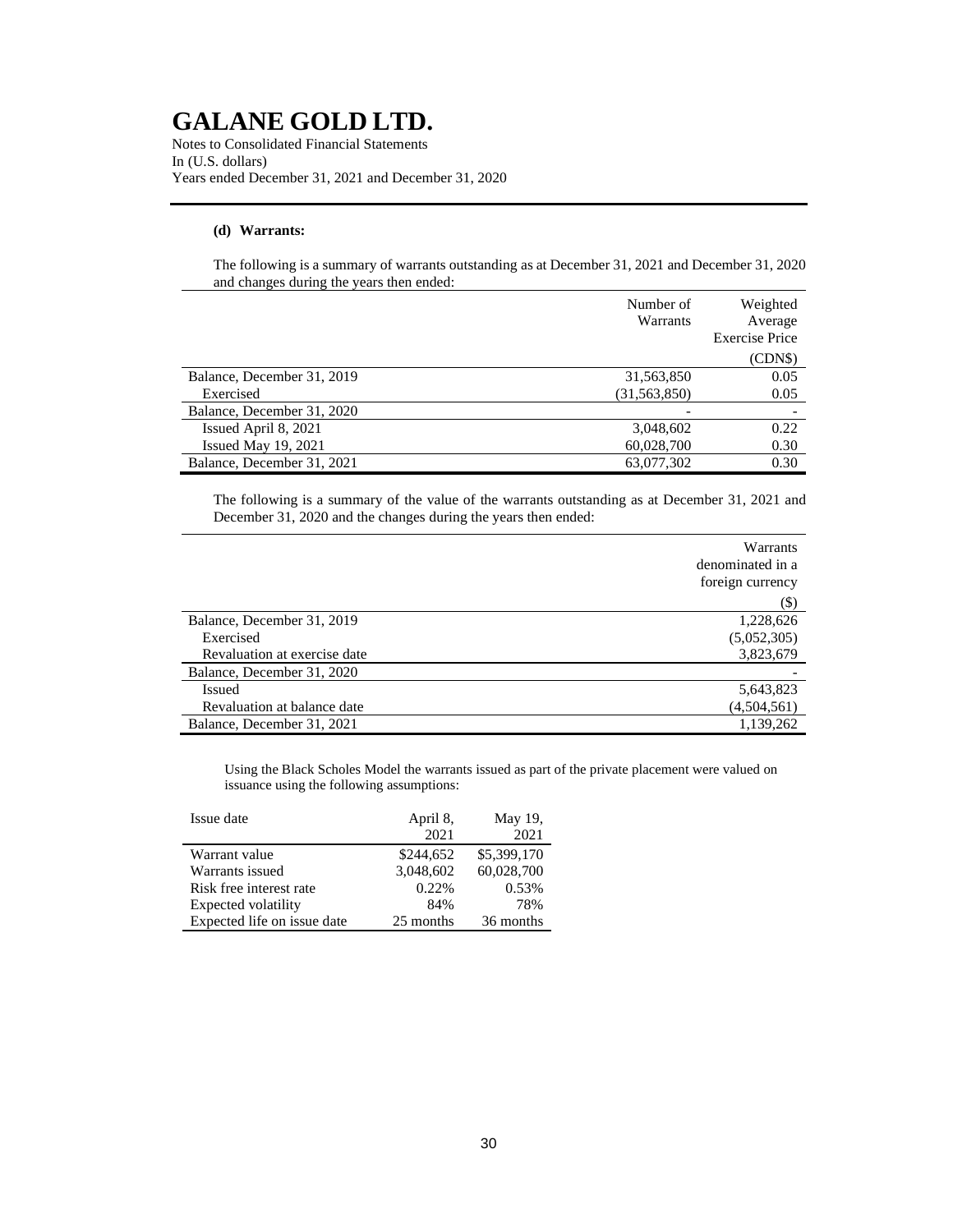Notes to Consolidated Financial Statements In (U.S. dollars) Years ended December 31, 2021 and December 31, 2020

### **(d) Warrants:**

The following is a summary of warrants outstanding as at December 31, 2021 and December 31, 2020 and changes during the years then ended:

|                            | Number of<br>Warrants | Weighted<br>Average<br><b>Exercise Price</b> |
|----------------------------|-----------------------|----------------------------------------------|
|                            |                       | (CDNS)                                       |
| Balance, December 31, 2019 | 31,563,850            | 0.05                                         |
| Exercised                  | (31, 563, 850)        | 0.05                                         |
| Balance, December 31, 2020 |                       |                                              |
| Issued April 8, 2021       | 3,048,602             | 0.22                                         |
| Issued May $19, 2021$      | 60,028,700            | 0.30                                         |
| Balance, December 31, 2021 | 63,077,302            | 0.30                                         |

The following is a summary of the value of the warrants outstanding as at December 31, 2021 and December 31, 2020 and the changes during the years then ended:

|                              | Warrants<br>denominated in a<br>foreign currency |
|------------------------------|--------------------------------------------------|
|                              | (\$)                                             |
| Balance, December 31, 2019   | 1,228,626                                        |
| Exercised                    | (5,052,305)                                      |
| Revaluation at exercise date | 3,823,679                                        |
| Balance, December 31, 2020   |                                                  |
| <b>Issued</b>                | 5,643,823                                        |
| Revaluation at balance date  | (4,504,561)                                      |
| Balance, December 31, 2021   | 1,139,262                                        |

Using the Black Scholes Model the warrants issued as part of the private placement were valued on issuance using the following assumptions:

| Issue date                  | April 8,  | May 19,     |
|-----------------------------|-----------|-------------|
|                             | 2021      | 2021        |
| Warrant value               | \$244,652 | \$5,399,170 |
| Warrants issued             | 3,048,602 | 60,028,700  |
| Risk free interest rate     | $0.22\%$  | 0.53%       |
| Expected volatility         | 84%       | 78%         |
| Expected life on issue date | 25 months | 36 months   |

j.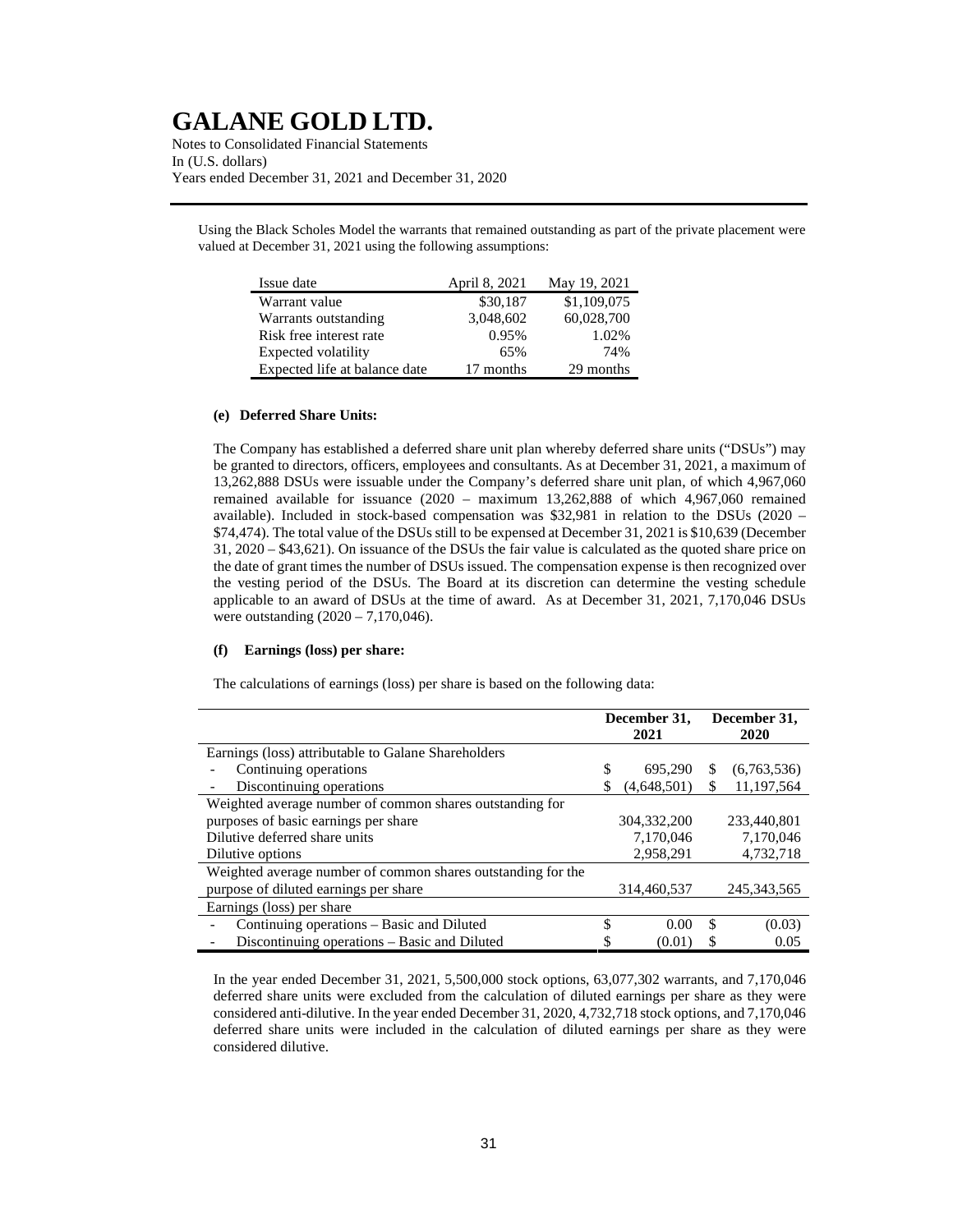Notes to Consolidated Financial Statements In (U.S. dollars) Years ended December 31, 2021 and December 31, 2020

Using the Black Scholes Model the warrants that remained outstanding as part of the private placement were valued at December 31, 2021 using the following assumptions:

| Issue date                    | April 8, 2021 | May 19, 2021 |
|-------------------------------|---------------|--------------|
| Warrant value                 | \$30,187      | \$1,109,075  |
| Warrants outstanding          | 3.048.602     | 60,028,700   |
| Risk free interest rate       | 0.95%         | 1.02%        |
| Expected volatility           | 65%           | 74%          |
| Expected life at balance date | 17 months     | 29 months    |

#### **(e) Deferred Share Units:**

The Company has established a deferred share unit plan whereby deferred share units ("DSUs") may be granted to directors, officers, employees and consultants. As at December 31, 2021, a maximum of 13,262,888 DSUs were issuable under the Company's deferred share unit plan, of which 4,967,060 remained available for issuance (2020 – maximum 13,262,888 of which 4,967,060 remained available). Included in stock-based compensation was \$32,981 in relation to the DSUs (2020 – \$74,474). The total value of the DSUs still to be expensed at December 31, 2021 is \$10,639 (December 31, 2020 – \$43,621). On issuance of the DSUs the fair value is calculated as the quoted share price on the date of grant times the number of DSUs issued. The compensation expense is then recognized over the vesting period of the DSUs. The Board at its discretion can determine the vesting schedule applicable to an award of DSUs at the time of award. As at December 31, 2021, 7,170,046 DSUs were outstanding (2020 – 7,170,046).

#### **(f) Earnings (loss) per share:**

The calculations of earnings (loss) per share is based on the following data:

|                                                              | December 31,<br>2021 |             | December 31,<br>2020 |               |  |  |
|--------------------------------------------------------------|----------------------|-------------|----------------------|---------------|--|--|
| Earnings (loss) attributable to Galane Shareholders          |                      |             |                      |               |  |  |
| Continuing operations                                        | \$                   | 695.290     | \$.                  | (6,763,536)   |  |  |
| Discontinuing operations                                     | S                    | (4,648,501) | S.                   | 11,197,564    |  |  |
| Weighted average number of common shares outstanding for     |                      |             |                      |               |  |  |
| purposes of basic earnings per share                         |                      | 304.332,200 |                      | 233,440,801   |  |  |
| Dilutive deferred share units                                | 7,170,046            |             |                      | 7,170,046     |  |  |
| Dilutive options                                             | 2,958,291            |             |                      | 4,732,718     |  |  |
| Weighted average number of common shares outstanding for the |                      |             |                      |               |  |  |
| purpose of diluted earnings per share<br>314,460,537         |                      |             |                      | 245, 343, 565 |  |  |
| Earnings (loss) per share                                    |                      |             |                      |               |  |  |
| Continuing operations - Basic and Diluted                    | \$                   | 0.00        | \$                   | (0.03)        |  |  |
| Discontinuing operations – Basic and Diluted                 | S                    | (0.01)      |                      | 0.05          |  |  |

In the year ended December 31, 2021, 5,500,000 stock options, 63,077,302 warrants, and 7,170,046 deferred share units were excluded from the calculation of diluted earnings per share as they were considered anti-dilutive. In the year ended December 31, 2020, 4,732,718 stock options, and 7,170,046 deferred share units were included in the calculation of diluted earnings per share as they were considered dilutive.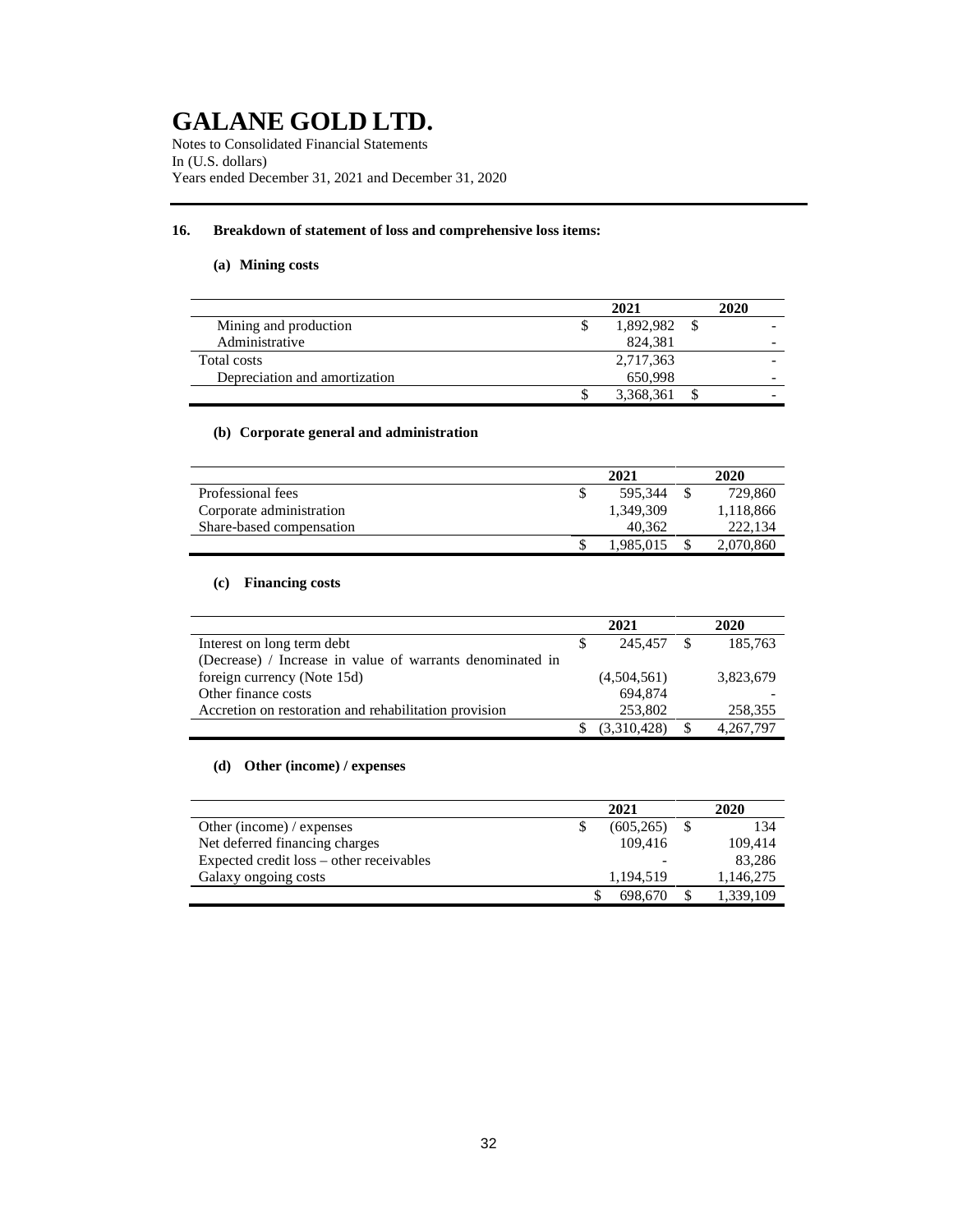Notes to Consolidated Financial Statements In (U.S. dollars) Years ended December 31, 2021 and December 31, 2020

### **16. Breakdown of statement of loss and comprehensive loss items:**

### **(a) Mining costs**

|                               | 2021      | 2020 |   |
|-------------------------------|-----------|------|---|
| Mining and production         | 1,892,982 |      |   |
| Administrative                | 824.381   |      |   |
| Total costs                   | 2,717,363 |      |   |
| Depreciation and amortization | 650.998   |      | - |
|                               | 3,368,361 |      |   |

### **(b) Corporate general and administration**

|                          | 2021      | 2020      |
|--------------------------|-----------|-----------|
| Professional fees        | 595.344   | 729,860   |
| Corporate administration | 1.349.309 | 1,118,866 |
| Share-based compensation | 40.362    | 222,134   |
|                          | 1.985.015 | 2,070,860 |

### **(c) Financing costs**

|                                                           | 2021        | 2020      |
|-----------------------------------------------------------|-------------|-----------|
| Interest on long term debt                                | 245.457 \$  | 185,763   |
| (Decrease) / Increase in value of warrants denominated in |             |           |
| foreign currency (Note 15d)                               | (4,504,561) | 3,823,679 |
| Other finance costs                                       | 694.874     |           |
| Accretion on restoration and rehabilitation provision     | 253,802     | 258,355   |
|                                                           | (3,310,428) | 4,267,797 |

### **(d) Other (income) / expenses**

|                                          | 2021       | 2020      |
|------------------------------------------|------------|-----------|
| Other (income) / expenses                | (605, 265) | 134       |
| Net deferred financing charges           | 109.416    | 109.414   |
| Expected credit loss – other receivables |            | 83,286    |
| Galaxy ongoing costs                     | 1.194.519  | 1,146,275 |
|                                          | 698,670    | 1,339,109 |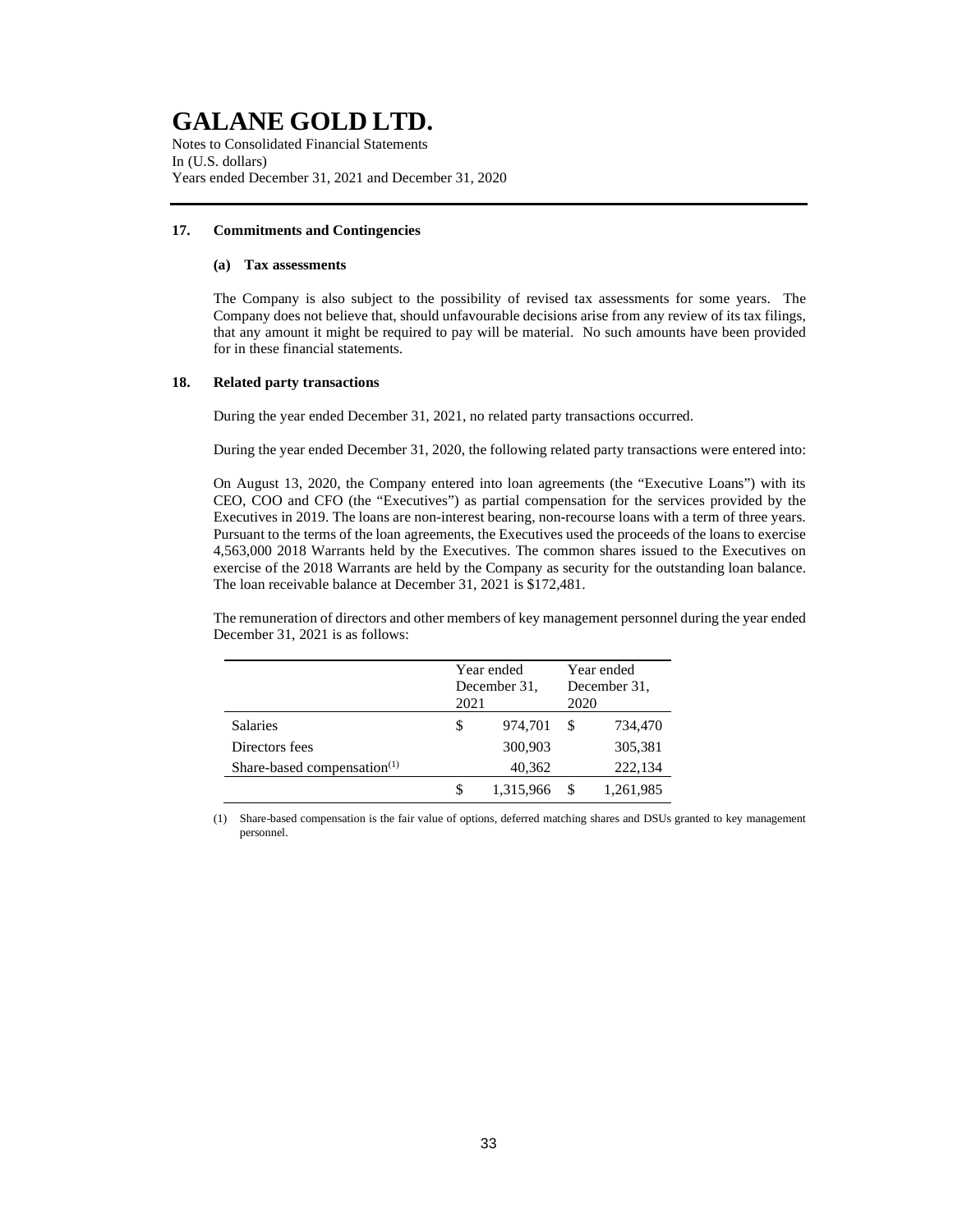Notes to Consolidated Financial Statements In (U.S. dollars) Years ended December 31, 2021 and December 31, 2020

### **17. Commitments and Contingencies**

#### **(a) Tax assessments**

The Company is also subject to the possibility of revised tax assessments for some years. The Company does not believe that, should unfavourable decisions arise from any review of its tax filings, that any amount it might be required to pay will be material. No such amounts have been provided for in these financial statements.

#### **18. Related party transactions**

During the year ended December 31, 2021, no related party transactions occurred.

During the year ended December 31, 2020, the following related party transactions were entered into:

On August 13, 2020, the Company entered into loan agreements (the "Executive Loans") with its CEO, COO and CFO (the "Executives") as partial compensation for the services provided by the Executives in 2019. The loans are non-interest bearing, non-recourse loans with a term of three years. Pursuant to the terms of the loan agreements, the Executives used the proceeds of the loans to exercise 4,563,000 2018 Warrants held by the Executives. The common shares issued to the Executives on exercise of the 2018 Warrants are held by the Company as security for the outstanding loan balance. The loan receivable balance at December 31, 2021 is \$172,481.

The remuneration of directors and other members of key management personnel during the year ended December 31, 2021 is as follows:

|                                |   | Year ended<br>December 31.<br>2021 |   | Year ended<br>December 31,<br>2020 |
|--------------------------------|---|------------------------------------|---|------------------------------------|
| <b>Salaries</b>                | S | 974,701                            | S | 734,470                            |
| Directors fees                 |   | 300,903                            |   | 305,381                            |
| Share-based compensation $(1)$ |   | 40,362                             |   | 222,134                            |
|                                | S | 1,315,966                          | S | 1,261,985                          |

(1) Share-based compensation is the fair value of options, deferred matching shares and DSUs granted to key management personnel.